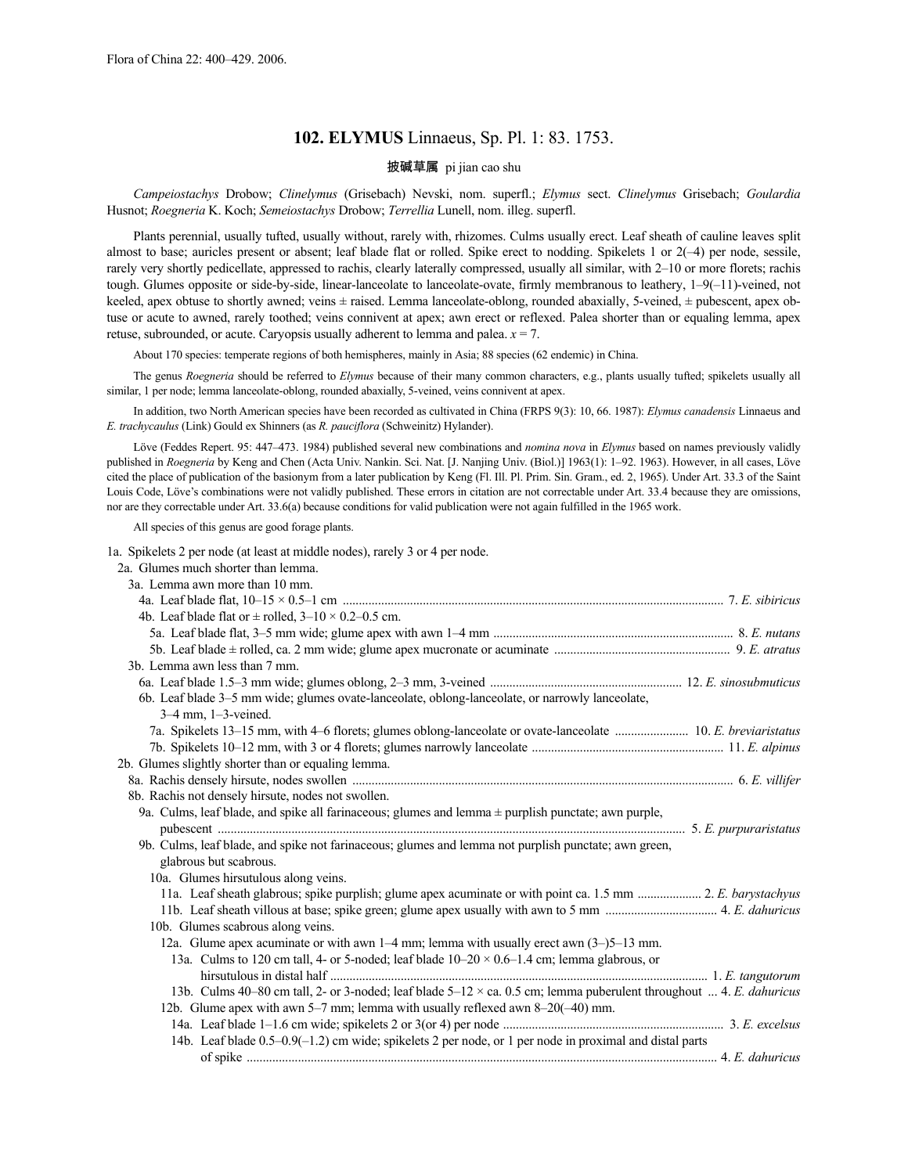# **102. ELYMUS** Linnaeus, Sp. Pl. 1: 83. 1753.

# 披碱草属 pi jian cao shu

*Campeiostachys* Drobow; *Clinelymus* (Grisebach) Nevski, nom. superfl.; *Elymus* sect. *Clinelymus* Grisebach; *Goulardia* Husnot; *Roegneria* K. Koch; *Semeiostachys* Drobow; *Terrellia* Lunell, nom. illeg. superfl.

Plants perennial, usually tufted, usually without, rarely with, rhizomes. Culms usually erect. Leaf sheath of cauline leaves split almost to base; auricles present or absent; leaf blade flat or rolled. Spike erect to nodding. Spikelets 1 or 2(–4) per node, sessile, rarely very shortly pedicellate, appressed to rachis, clearly laterally compressed, usually all similar, with 2–10 or more florets; rachis tough. Glumes opposite or side-by-side, linear-lanceolate to lanceolate-ovate, firmly membranous to leathery, 1–9(-11)-veined, not keeled, apex obtuse to shortly awned; veins ± raised. Lemma lanceolate-oblong, rounded abaxially, 5-veined, ± pubescent, apex obtuse or acute to awned, rarely toothed; veins connivent at apex; awn erect or reflexed. Palea shorter than or equaling lemma, apex retuse, subrounded, or acute. Caryopsis usually adherent to lemma and palea.  $x = 7$ .

About 170 species: temperate regions of both hemispheres, mainly in Asia; 88 species (62 endemic) in China.

The genus *Roegneria* should be referred to *Elymus* because of their many common characters, e.g., plants usually tufted; spikelets usually all similar, 1 per node; lemma lanceolate-oblong, rounded abaxially, 5-veined, veins connivent at apex.

In addition, two North American species have been recorded as cultivated in China (FRPS 9(3): 10, 66. 1987): *Elymus canadensis* Linnaeus and *E. trachycaulus* (Link) Gould ex Shinners (as *R. pauciflora* (Schweinitz) Hylander).

Löve (Feddes Repert. 95: 447–473. 1984) published several new combinations and *nomina nova* in *Elymus* based on names previously validly published in *Roegneria* by Keng and Chen (Acta Univ. Nankin. Sci. Nat. [J. Nanjing Univ. (Biol.)] 1963(1): 1–92. 1963). However, in all cases, Löve cited the place of publication of the basionym from a later publication by Keng (Fl. Ill. Pl. Prim. Sin. Gram., ed. 2, 1965). Under Art. 33.3 of the Saint Louis Code, Löve's combinations were not validly published. These errors in citation are not correctable under Art. 33.4 because they are omissions, nor are they correctable under Art. 33.6(a) because conditions for valid publication were not again fulfilled in the 1965 work.

All species of this genus are good forage plants.

1a. Spikelets 2 per node (at least at middle nodes), rarely 3 or 4 per node.

| 2a. Glumes much shorter than lemma.                                                                                 |  |
|---------------------------------------------------------------------------------------------------------------------|--|
| 3a. Lemma awn more than 10 mm.                                                                                      |  |
|                                                                                                                     |  |
| 4b. Leaf blade flat or $\pm$ rolled, $3-10 \times 0.2-0.5$ cm.                                                      |  |
|                                                                                                                     |  |
|                                                                                                                     |  |
| 3b. Lemma awn less than 7 mm.                                                                                       |  |
|                                                                                                                     |  |
| 6b. Leaf blade 3-5 mm wide; glumes ovate-lanceolate, oblong-lanceolate, or narrowly lanceolate,                     |  |
| $3-4$ mm, $1-3$ -veined.                                                                                            |  |
|                                                                                                                     |  |
|                                                                                                                     |  |
| 2b. Glumes slightly shorter than or equaling lemma.                                                                 |  |
|                                                                                                                     |  |
| 8b. Rachis not densely hirsute, nodes not swollen.                                                                  |  |
| 9a. Culms, leaf blade, and spike all farinaceous; glumes and lemma $\pm$ purplish punctate; awn purple,             |  |
|                                                                                                                     |  |
| 9b. Culms, leaf blade, and spike not farinaceous; glumes and lemma not purplish punctate; awn green,                |  |
| glabrous but scabrous.                                                                                              |  |
| 10a. Glumes hirsutulous along veins.                                                                                |  |
| 11a. Leaf sheath glabrous; spike purplish; glume apex acuminate or with point ca. 1.5 mm  2. E. barystachyus        |  |
|                                                                                                                     |  |
| 10b. Glumes scabrous along veins.                                                                                   |  |
| 12a. Glume apex acuminate or with awn $1-4$ mm; lemma with usually erect awn $(3-)5-13$ mm.                         |  |
| 13a. Culms to 120 cm tall, 4- or 5-noded; leaf blade $10-20 \times 0.6-1.4$ cm; lemma glabrous, or                  |  |
|                                                                                                                     |  |
| 13b. Culms 40-80 cm tall, 2- or 3-noded; leaf blade 5-12 × ca. 0.5 cm; lemma puberulent throughout  4. E. dahuricus |  |
| 12b. Glume apex with awn 5–7 mm; lemma with usually reflexed awn 8–20(–40) mm.                                      |  |
|                                                                                                                     |  |
| 14b. Leaf blade 0.5-0.9(-1.2) cm wide; spikelets 2 per node, or 1 per node in proximal and distal parts             |  |
|                                                                                                                     |  |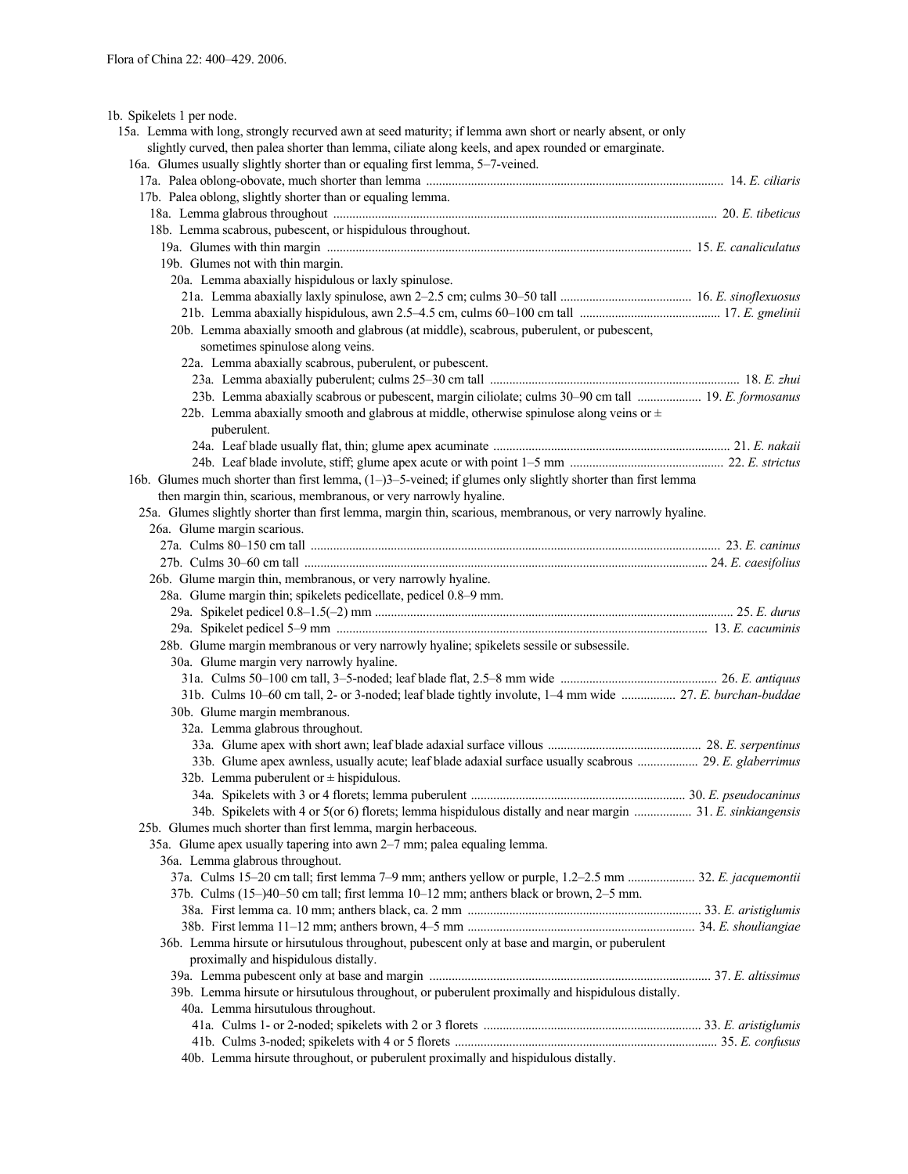1b. Spikelets 1 per node.

| 15a. Lemma with long, strongly recurved awn at seed maturity; if lemma awn short or nearly absent, or only                                                                                                                     |  |
|--------------------------------------------------------------------------------------------------------------------------------------------------------------------------------------------------------------------------------|--|
| slightly curved, then palea shorter than lemma, ciliate along keels, and apex rounded or emarginate.                                                                                                                           |  |
| 16a. Glumes usually slightly shorter than or equaling first lemma, 5-7-veined.                                                                                                                                                 |  |
|                                                                                                                                                                                                                                |  |
| 17b. Palea oblong, slightly shorter than or equaling lemma.                                                                                                                                                                    |  |
| 18a. Lemma glabrous throughout manufactured and all the state of the state of the state of the state of the state of the state of the state of the state of the state of the state of the state of the state of the state of t |  |
| 18b. Lemma scabrous, pubescent, or hispidulous throughout.                                                                                                                                                                     |  |
|                                                                                                                                                                                                                                |  |
| 19b. Glumes not with thin margin.                                                                                                                                                                                              |  |
| 20a. Lemma abaxially hispidulous or laxly spinulose.                                                                                                                                                                           |  |
|                                                                                                                                                                                                                                |  |
|                                                                                                                                                                                                                                |  |
| 20b. Lemma abaxially smooth and glabrous (at middle), scabrous, puberulent, or pubescent,                                                                                                                                      |  |
| sometimes spinulose along veins.                                                                                                                                                                                               |  |
| 22a. Lemma abaxially scabrous, puberulent, or pubescent.                                                                                                                                                                       |  |
|                                                                                                                                                                                                                                |  |
| 23b. Lemma abaxially scabrous or pubescent, margin ciliolate; culms 30–90 cm tall  19. E. formosanus                                                                                                                           |  |
| 22b. Lemma abaxially smooth and glabrous at middle, otherwise spinulose along veins or $\pm$                                                                                                                                   |  |
| puberulent.                                                                                                                                                                                                                    |  |
|                                                                                                                                                                                                                                |  |
|                                                                                                                                                                                                                                |  |
| 16b. Glumes much shorter than first lemma, $(1-3-5$ -veined; if glumes only slightly shorter than first lemma                                                                                                                  |  |
| then margin thin, scarious, membranous, or very narrowly hyaline.                                                                                                                                                              |  |
| 25a. Glumes slightly shorter than first lemma, margin thin, scarious, membranous, or very narrowly hyaline.                                                                                                                    |  |
| 26a. Glume margin scarious.                                                                                                                                                                                                    |  |
|                                                                                                                                                                                                                                |  |
|                                                                                                                                                                                                                                |  |
| 26b. Glume margin thin, membranous, or very narrowly hyaline.                                                                                                                                                                  |  |
| 28a. Glume margin thin; spikelets pedicellate, pedicel 0.8-9 mm.                                                                                                                                                               |  |
|                                                                                                                                                                                                                                |  |
|                                                                                                                                                                                                                                |  |
| 28b. Glume margin membranous or very narrowly hyaline; spikelets sessile or subsessile.                                                                                                                                        |  |
| 30a. Glume margin very narrowly hyaline.                                                                                                                                                                                       |  |
|                                                                                                                                                                                                                                |  |
| 31b. Culms 10–60 cm tall, 2- or 3-noded; leaf blade tightly involute, 1–4 mm wide  27. E. burchan-buddae                                                                                                                       |  |
| 30b. Glume margin membranous.                                                                                                                                                                                                  |  |
| 32a. Lemma glabrous throughout.                                                                                                                                                                                                |  |
|                                                                                                                                                                                                                                |  |
| 33b. Glume apex awnless, usually acute; leaf blade adaxial surface usually scabrous  29. E. glaberrimus                                                                                                                        |  |
| 32b. Lemma puberulent or $\pm$ hispidulous.                                                                                                                                                                                    |  |
|                                                                                                                                                                                                                                |  |
| 34b. Spikelets with 4 or 5(or 6) florets; lemma hispidulous distally and near margin  31. E. sinkiangensis                                                                                                                     |  |
| 25b. Glumes much shorter than first lemma, margin herbaceous.                                                                                                                                                                  |  |
| 35a. Glume apex usually tapering into awn 2-7 mm; palea equaling lemma.                                                                                                                                                        |  |
| 36a. Lemma glabrous throughout.                                                                                                                                                                                                |  |
| 37a. Culms 15-20 cm tall; first lemma 7-9 mm; anthers yellow or purple, 1.2-2.5 mm  32. E. jacquemontii                                                                                                                        |  |
| 37b. Culms (15-)40-50 cm tall; first lemma 10-12 mm; anthers black or brown, 2-5 mm.                                                                                                                                           |  |
|                                                                                                                                                                                                                                |  |
|                                                                                                                                                                                                                                |  |
| 36b. Lemma hirsute or hirsutulous throughout, pubescent only at base and margin, or puberulent                                                                                                                                 |  |
| proximally and hispidulous distally.                                                                                                                                                                                           |  |
|                                                                                                                                                                                                                                |  |
| 39b. Lemma hirsute or hirsutulous throughout, or puberulent proximally and hispidulous distally.                                                                                                                               |  |
| 40a. Lemma hirsutulous throughout.                                                                                                                                                                                             |  |
|                                                                                                                                                                                                                                |  |
|                                                                                                                                                                                                                                |  |
| 40b. Lemma hirsute throughout, or puberulent proximally and hispidulous distally.                                                                                                                                              |  |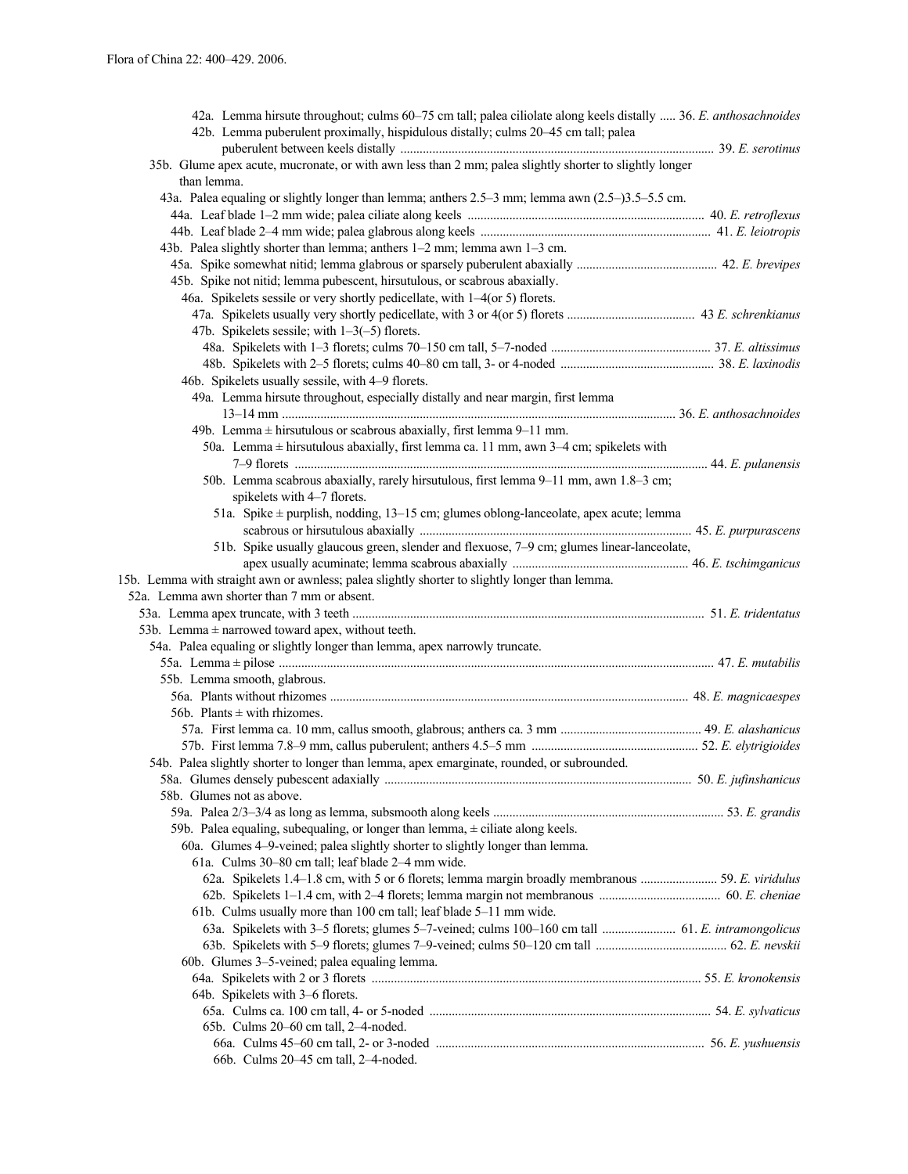| 42a. Lemma hirsute throughout; culms 60-75 cm tall; palea ciliolate along keels distally  36. E. anthosachnoides<br>42b. Lemma puberulent proximally, hispidulous distally; culms 20–45 cm tall; palea |  |
|--------------------------------------------------------------------------------------------------------------------------------------------------------------------------------------------------------|--|
| 35b. Glume apex acute, mucronate, or with awn less than 2 mm; palea slightly shorter to slightly longer                                                                                                |  |
| than lemma.                                                                                                                                                                                            |  |
| 43a. Palea equaling or slightly longer than lemma; anthers 2.5–3 mm; lemma awn (2.5–)3.5–5.5 cm.                                                                                                       |  |
|                                                                                                                                                                                                        |  |
|                                                                                                                                                                                                        |  |
| 43b. Palea slightly shorter than lemma; anthers 1-2 mm; lemma awn 1-3 cm.                                                                                                                              |  |
|                                                                                                                                                                                                        |  |
| 45b. Spike not nitid; lemma pubescent, hirsutulous, or scabrous abaxially.                                                                                                                             |  |
| 46a. Spikelets sessile or very shortly pedicellate, with 1-4(or 5) florets.                                                                                                                            |  |
|                                                                                                                                                                                                        |  |
| 47b. Spikelets sessile; with $1-3(-5)$ florets.                                                                                                                                                        |  |
|                                                                                                                                                                                                        |  |
|                                                                                                                                                                                                        |  |
| 46b. Spikelets usually sessile, with 4-9 florets.                                                                                                                                                      |  |
| 49a. Lemma hirsute throughout, especially distally and near margin, first lemma                                                                                                                        |  |
|                                                                                                                                                                                                        |  |
| 49b. Lemma $\pm$ hirsutulous or scabrous abaxially, first lemma 9–11 mm.                                                                                                                               |  |
| 50a. Lemma $\pm$ hirsutulous abaxially, first lemma ca. 11 mm, awn 3–4 cm; spikelets with                                                                                                              |  |
|                                                                                                                                                                                                        |  |
| 50b. Lemma scabrous abaxially, rarely hirsutulous, first lemma 9-11 mm, awn 1.8-3 cm;                                                                                                                  |  |
| spikelets with 4-7 florets.                                                                                                                                                                            |  |
| 51a. Spike ± purplish, nodding, 13-15 cm; glumes oblong-lanceolate, apex acute; lemma                                                                                                                  |  |
|                                                                                                                                                                                                        |  |
| 51b. Spike usually glaucous green, slender and flexuose, 7-9 cm; glumes linear-lanceolate,                                                                                                             |  |
|                                                                                                                                                                                                        |  |
| 15b. Lemma with straight awn or awnless; palea slightly shorter to slightly longer than lemma.                                                                                                         |  |
| 52a. Lemma awn shorter than 7 mm or absent.                                                                                                                                                            |  |
|                                                                                                                                                                                                        |  |
|                                                                                                                                                                                                        |  |
| 53b. Lemma $\pm$ narrowed toward apex, without teeth.                                                                                                                                                  |  |
| 54a. Palea equaling or slightly longer than lemma, apex narrowly truncate.                                                                                                                             |  |
|                                                                                                                                                                                                        |  |
| 55b. Lemma smooth, glabrous.                                                                                                                                                                           |  |
|                                                                                                                                                                                                        |  |
| 56b. Plants $\pm$ with rhizomes.                                                                                                                                                                       |  |
|                                                                                                                                                                                                        |  |
|                                                                                                                                                                                                        |  |
| 54b. Palea slightly shorter to longer than lemma, apex emarginate, rounded, or subrounded.                                                                                                             |  |
|                                                                                                                                                                                                        |  |
| 58b. Glumes not as above.                                                                                                                                                                              |  |
|                                                                                                                                                                                                        |  |
| 59b. Palea equaling, subequaling, or longer than lemma, $\pm$ ciliate along keels.                                                                                                                     |  |
| 60a. Glumes 4–9-veined; palea slightly shorter to slightly longer than lemma.                                                                                                                          |  |
| 61a. Culms 30–80 cm tall; leaf blade 2–4 mm wide.                                                                                                                                                      |  |
| 62a. Spikelets 1.4–1.8 cm, with 5 or 6 florets; lemma margin broadly membranous  59. E. viridulus                                                                                                      |  |
|                                                                                                                                                                                                        |  |
| 61b. Culms usually more than 100 cm tall; leaf blade 5-11 mm wide.                                                                                                                                     |  |
|                                                                                                                                                                                                        |  |
|                                                                                                                                                                                                        |  |
| 60b. Glumes 3–5-veined; palea equaling lemma.                                                                                                                                                          |  |
|                                                                                                                                                                                                        |  |
| 64b. Spikelets with 3-6 florets.                                                                                                                                                                       |  |
|                                                                                                                                                                                                        |  |
| 65b. Culms 20-60 cm tall, 2-4-noded.                                                                                                                                                                   |  |
|                                                                                                                                                                                                        |  |
| 66b. Culms 20-45 cm tall, 2-4-noded.                                                                                                                                                                   |  |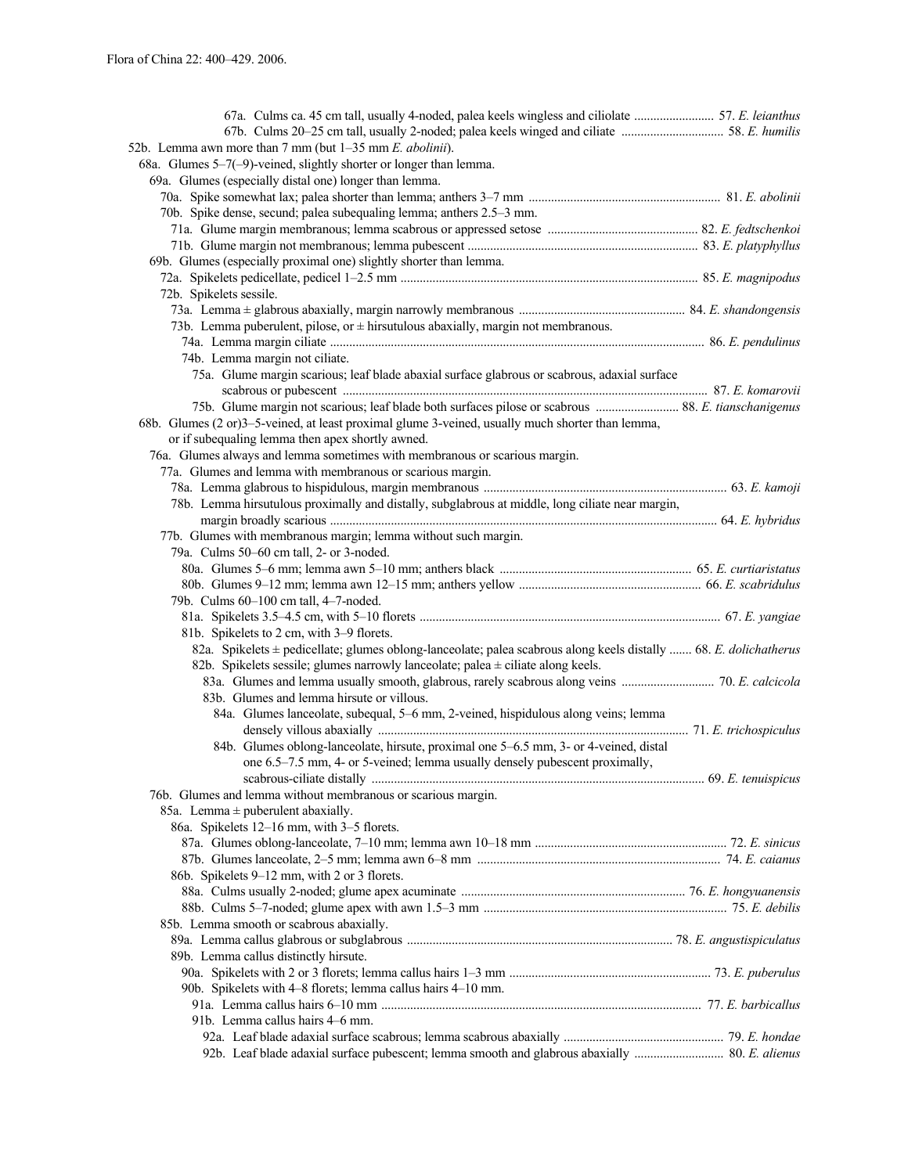| 52b. Lemma awn more than 7 mm (but 1-35 mm E. abolinii).                                                          |  |
|-------------------------------------------------------------------------------------------------------------------|--|
| 68a. Glumes $5-7(-9)$ -veined, slightly shorter or longer than lemma.                                             |  |
| 69a. Glumes (especially distal one) longer than lemma.                                                            |  |
|                                                                                                                   |  |
| 70b. Spike dense, secund; palea subequaling lemma; anthers 2.5–3 mm.                                              |  |
|                                                                                                                   |  |
|                                                                                                                   |  |
| 69b. Glumes (especially proximal one) slightly shorter than lemma.                                                |  |
|                                                                                                                   |  |
| 72b. Spikelets sessile.                                                                                           |  |
|                                                                                                                   |  |
| 73b. Lemma puberulent, pilose, or $\pm$ hirsutulous abaxially, margin not membranous.                             |  |
|                                                                                                                   |  |
| 74b. Lemma margin not ciliate.                                                                                    |  |
| 75a. Glume margin scarious; leaf blade abaxial surface glabrous or scabrous, adaxial surface                      |  |
|                                                                                                                   |  |
|                                                                                                                   |  |
| 68b. Glumes (2 or)3–5-veined, at least proximal glume 3-veined, usually much shorter than lemma,                  |  |
| or if subequaling lemma then apex shortly awned.                                                                  |  |
| 76a. Glumes always and lemma sometimes with membranous or scarious margin.                                        |  |
| 77a. Glumes and lemma with membranous or scarious margin.                                                         |  |
|                                                                                                                   |  |
| 78b. Lemma hirsutulous proximally and distally, subglabrous at middle, long ciliate near margin,                  |  |
|                                                                                                                   |  |
| 77b. Glumes with membranous margin; lemma without such margin.                                                    |  |
| 79a. Culms 50-60 cm tall, 2- or 3-noded.                                                                          |  |
|                                                                                                                   |  |
|                                                                                                                   |  |
| 79b. Culms 60-100 cm tall, 4-7-noded.                                                                             |  |
|                                                                                                                   |  |
| 81b. Spikelets to 2 cm, with 3-9 florets.                                                                         |  |
| 82a. Spikelets ± pedicellate; glumes oblong-lanceolate; palea scabrous along keels distally  68. E. dolichatherus |  |
| 82b. Spikelets sessile; glumes narrowly lanceolate; palea $\pm$ ciliate along keels.                              |  |
| 83a. Glumes and lemma usually smooth, glabrous, rarely scabrous along veins  70. E. calcicola                     |  |
| 83b. Glumes and lemma hirsute or villous.                                                                         |  |
| 84a. Glumes lanceolate, subequal, 5–6 mm, 2-veined, hispidulous along veins; lemma                                |  |
|                                                                                                                   |  |
| 84b. Glumes oblong-lanceolate, hirsute, proximal one 5-6.5 mm, 3- or 4-veined, distal                             |  |
| one 6.5–7.5 mm, 4- or 5-veined; lemma usually densely pubescent proximally,                                       |  |
|                                                                                                                   |  |
| 76b. Glumes and lemma without membranous or scarious margin.                                                      |  |
| 85a. Lemma $\pm$ puberulent abaxially.                                                                            |  |
| 86a. Spikelets 12-16 mm, with 3-5 florets.                                                                        |  |
|                                                                                                                   |  |
|                                                                                                                   |  |
| 86b. Spikelets 9–12 mm, with 2 or 3 florets.                                                                      |  |
|                                                                                                                   |  |
|                                                                                                                   |  |
| 85b. Lemma smooth or scabrous abaxially.                                                                          |  |
|                                                                                                                   |  |
| 89b. Lemma callus distinctly hirsute.                                                                             |  |
|                                                                                                                   |  |
| 90b. Spikelets with 4-8 florets; lemma callus hairs 4-10 mm.                                                      |  |
|                                                                                                                   |  |
| 91b. Lemma callus hairs 4–6 mm.                                                                                   |  |
|                                                                                                                   |  |
|                                                                                                                   |  |
|                                                                                                                   |  |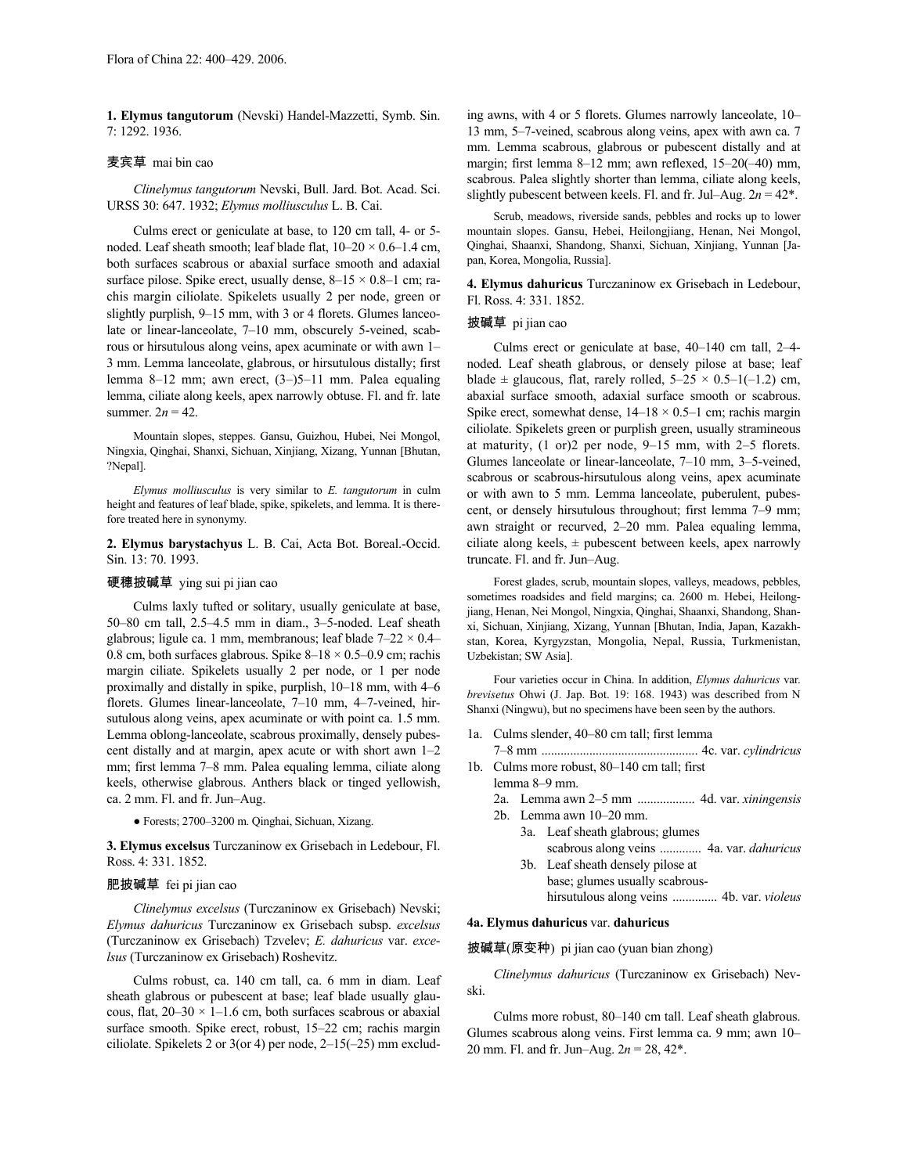**1. Elymus tangutorum** (Nevski) Handel-Mazzetti, Symb. Sin. 7: 1292. 1936.

# 麦宾草 mai bin cao

*Clinelymus tangutorum* Nevski, Bull. Jard. Bot. Acad. Sci. URSS 30: 647. 1932; *Elymus molliusculus* L. B. Cai.

Culms erect or geniculate at base, to 120 cm tall, 4- or 5 noded. Leaf sheath smooth; leaf blade flat,  $10-20 \times 0.6-1.4$  cm, both surfaces scabrous or abaxial surface smooth and adaxial surface pilose. Spike erect, usually dense,  $8-15 \times 0.8-1$  cm; rachis margin ciliolate. Spikelets usually 2 per node, green or slightly purplish, 9–15 mm, with 3 or 4 florets. Glumes lanceolate or linear-lanceolate, 7–10 mm, obscurely 5-veined, scabrous or hirsutulous along veins, apex acuminate or with awn 1– 3 mm. Lemma lanceolate, glabrous, or hirsutulous distally; first lemma 8–12 mm; awn erect, (3–)5–11 mm. Palea equaling lemma, ciliate along keels, apex narrowly obtuse. Fl. and fr. late summer.  $2n = 42$ .

Mountain slopes, steppes. Gansu, Guizhou, Hubei, Nei Mongol, Ningxia, Qinghai, Shanxi, Sichuan, Xinjiang, Xizang, Yunnan [Bhutan, ?Nepal].

*Elymus molliusculus* is very similar to *E. tangutorum* in culm height and features of leaf blade, spike, spikelets, and lemma. It is therefore treated here in synonymy.

**2. Elymus barystachyus** L. B. Cai, Acta Bot. Boreal.-Occid. Sin. 13: 70. 1993.

# 硬穗披碱草 ying sui pi jian cao

Culms laxly tufted or solitary, usually geniculate at base, 50–80 cm tall, 2.5–4.5 mm in diam., 3–5-noded. Leaf sheath glabrous; ligule ca. 1 mm, membranous; leaf blade  $7-22 \times 0.4-$ 0.8 cm, both surfaces glabrous. Spike  $8-18 \times 0.5-0.9$  cm; rachis margin ciliate. Spikelets usually 2 per node, or 1 per node proximally and distally in spike, purplish, 10–18 mm, with 4–6 florets. Glumes linear-lanceolate, 7–10 mm, 4–7-veined, hirsutulous along veins, apex acuminate or with point ca. 1.5 mm. Lemma oblong-lanceolate, scabrous proximally, densely pubescent distally and at margin, apex acute or with short awn 1–2 mm; first lemma 7–8 mm. Palea equaling lemma, ciliate along keels, otherwise glabrous. Anthers black or tinged yellowish, ca. 2 mm. Fl. and fr. Jun–Aug.

● Forests; 2700–3200 m. Qinghai, Sichuan, Xizang.

**3. Elymus excelsus** Turczaninow ex Grisebach in Ledebour, Fl. Ross. 4: 331. 1852.

## 肥披碱草 fei pi jian cao

*Clinelymus excelsus* (Turczaninow ex Grisebach) Nevski; *Elymus dahuricus* Turczaninow ex Grisebach subsp. *excelsus* (Turczaninow ex Grisebach) Tzvelev; *E. dahuricus* var. *excelsus* (Turczaninow ex Grisebach) Roshevitz.

Culms robust, ca. 140 cm tall, ca. 6 mm in diam. Leaf sheath glabrous or pubescent at base; leaf blade usually glaucous, flat,  $20-30 \times 1-1.6$  cm, both surfaces scabrous or abaxial surface smooth. Spike erect, robust, 15–22 cm; rachis margin ciliolate. Spikelets 2 or 3(or 4) per node, 2–15(–25) mm excluding awns, with 4 or 5 florets. Glumes narrowly lanceolate, 10– 13 mm, 5–7-veined, scabrous along veins, apex with awn ca. 7 mm. Lemma scabrous, glabrous or pubescent distally and at margin; first lemma 8–12 mm; awn reflexed, 15–20(–40) mm, scabrous. Palea slightly shorter than lemma, ciliate along keels, slightly pubescent between keels. Fl. and fr. Jul–Aug.  $2n = 42$ <sup>\*</sup>.

Scrub, meadows, riverside sands, pebbles and rocks up to lower mountain slopes. Gansu, Hebei, Heilongjiang, Henan, Nei Mongol, Qinghai, Shaanxi, Shandong, Shanxi, Sichuan, Xinjiang, Yunnan [Japan, Korea, Mongolia, Russia].

**4. Elymus dahuricus** Turczaninow ex Grisebach in Ledebour, Fl. Ross. 4: 331. 1852.

#### 披碱草 pi jian cao

Culms erect or geniculate at base, 40–140 cm tall, 2–4 noded. Leaf sheath glabrous, or densely pilose at base; leaf blade  $\pm$  glaucous, flat, rarely rolled,  $5-25 \times 0.5-1(-1.2)$  cm, abaxial surface smooth, adaxial surface smooth or scabrous. Spike erect, somewhat dense,  $14-18 \times 0.5-1$  cm; rachis margin ciliolate. Spikelets green or purplish green, usually stramineous at maturity, (1 or)2 per node, 9–15 mm, with 2–5 florets. Glumes lanceolate or linear-lanceolate, 7–10 mm, 3–5-veined, scabrous or scabrous-hirsutulous along veins, apex acuminate or with awn to 5 mm. Lemma lanceolate, puberulent, pubescent, or densely hirsutulous throughout; first lemma 7–9 mm; awn straight or recurved, 2–20 mm. Palea equaling lemma, ciliate along keels,  $\pm$  pubescent between keels, apex narrowly truncate. Fl. and fr. Jun–Aug.

Forest glades, scrub, mountain slopes, valleys, meadows, pebbles, sometimes roadsides and field margins; ca. 2600 m. Hebei, Heilongjiang, Henan, Nei Mongol, Ningxia, Qinghai, Shaanxi, Shandong, Shanxi, Sichuan, Xinjiang, Xizang, Yunnan [Bhutan, India, Japan, Kazakhstan, Korea, Kyrgyzstan, Mongolia, Nepal, Russia, Turkmenistan, Uzbekistan; SW Asia].

Four varieties occur in China. In addition, *Elymus dahuricus* var. *brevisetus* Ohwi (J. Jap. Bot. 19: 168. 1943) was described from N Shanxi (Ningwu), but no specimens have been seen by the authors.

- 1a. Culms slender, 40–80 cm tall; first lemma
- 7–8 mm ................................................. 4c. var. *cylindricus* 1b. Culms more robust, 80–140 cm tall; first
	- lemma 8–9 mm.
	- 2a. Lemma awn 2–5 mm .................. 4d. var. *xiningensis*
	- 2b. Lemma awn 10–20 mm.
		- 3a. Leaf sheath glabrous; glumes scabrous along veins ............. 4a. var. *dahuricus*
		- 3b. Leaf sheath densely pilose at base; glumes usually scabrous
			- hirsutulous along veins .............. 4b. var. *violeus*

## **4a. Elymus dahuricus** var. **dahuricus**

披碱草(原变种) pi jian cao (yuan bian zhong)

*Clinelymus dahuricus* (Turczaninow ex Grisebach) Nevski.

Culms more robust, 80–140 cm tall. Leaf sheath glabrous. Glumes scabrous along veins. First lemma ca. 9 mm; awn 10– 20 mm. Fl. and fr. Jun–Aug. 2*n* = 28, 42\*.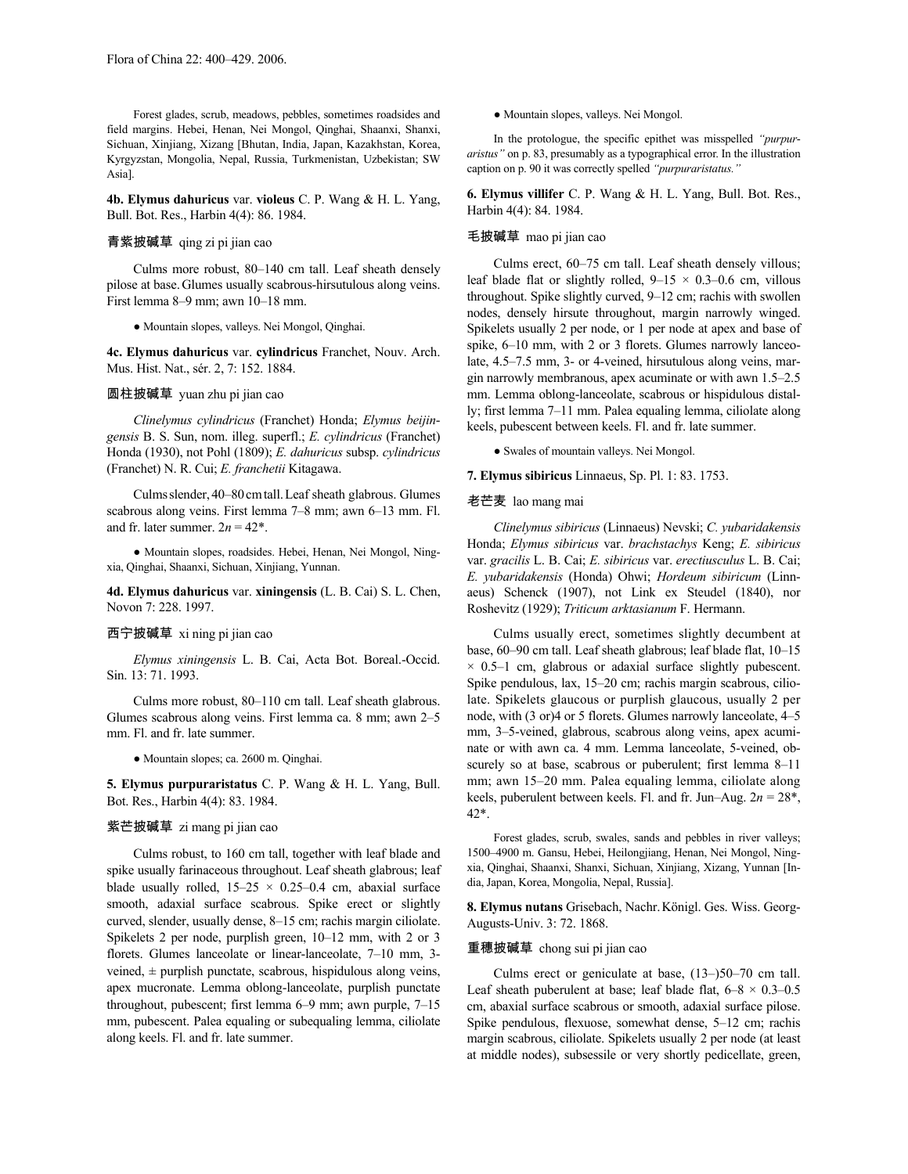Forest glades, scrub, meadows, pebbles, sometimes roadsides and field margins. Hebei, Henan, Nei Mongol, Qinghai, Shaanxi, Shanxi, Sichuan, Xinjiang, Xizang [Bhutan, India, Japan, Kazakhstan, Korea, Kyrgyzstan, Mongolia, Nepal, Russia, Turkmenistan, Uzbekistan; SW Asia].

**4b. Elymus dahuricus** var. **violeus** C. P. Wang & H. L. Yang, Bull. Bot. Res., Harbin 4(4): 86. 1984.

# 青紫披碱草 qing zi pi jian cao

Culms more robust, 80–140 cm tall. Leaf sheath densely pilose at base.Glumes usually scabrous-hirsutulous along veins. First lemma 8–9 mm; awn 10–18 mm.

● Mountain slopes, valleys. Nei Mongol, Qinghai.

**4c. Elymus dahuricus** var. **cylindricus** Franchet, Nouv. Arch. Mus. Hist. Nat., sér. 2, 7: 152. 1884.

# 圆柱披碱草 yuan zhu pi jian cao

*Clinelymus cylindricus* (Franchet) Honda; *Elymus beijingensis* B. S. Sun, nom. illeg. superfl.; *E. cylindricus* (Franchet) Honda (1930), not Pohl (1809); *E. dahuricus* subsp. *cylindricus* (Franchet) N. R. Cui; *E. franchetii* Kitagawa.

Culmsslender,40–80cmtall.Leaf sheath glabrous. Glumes scabrous along veins. First lemma 7–8 mm; awn 6–13 mm. Fl. and fr. later summer.  $2n = 42^*$ .

● Mountain slopes, roadsides. Hebei, Henan, Nei Mongol, Ningxia, Qinghai, Shaanxi, Sichuan, Xinjiang, Yunnan.

**4d. Elymus dahuricus** var. **xiningensis** (L. B. Cai) S. L. Chen, Novon 7: 228. 1997.

#### 西宁披碱草 xi ning pi jian cao

*Elymus xiningensis* L. B. Cai, Acta Bot. Boreal.-Occid. Sin. 13: 71. 1993.

Culms more robust, 80–110 cm tall. Leaf sheath glabrous. Glumes scabrous along veins. First lemma ca. 8 mm; awn 2–5 mm. Fl. and fr. late summer.

● Mountain slopes; ca. 2600 m. Qinghai.

**5. Elymus purpuraristatus** C. P. Wang & H. L. Yang, Bull. Bot. Res., Harbin 4(4): 83. 1984.

### 紫芒披碱草 zi mang pi jian cao

Culms robust, to 160 cm tall, together with leaf blade and spike usually farinaceous throughout. Leaf sheath glabrous; leaf blade usually rolled,  $15-25 \times 0.25-0.4$  cm, abaxial surface smooth, adaxial surface scabrous. Spike erect or slightly curved, slender, usually dense, 8–15 cm; rachis margin ciliolate. Spikelets 2 per node, purplish green, 10–12 mm, with 2 or 3 florets. Glumes lanceolate or linear-lanceolate, 7–10 mm, 3 veined,  $\pm$  purplish punctate, scabrous, hispidulous along veins, apex mucronate. Lemma oblong-lanceolate, purplish punctate throughout, pubescent; first lemma 6–9 mm; awn purple, 7–15 mm, pubescent. Palea equaling or subequaling lemma, ciliolate along keels. Fl. and fr. late summer.

● Mountain slopes, valleys. Nei Mongol.

In the protologue, the specific epithet was misspelled *"purpuraristus"* on p. 83, presumably as a typographical error. In the illustration caption on p. 90 it was correctly spelled *"purpuraristatus."*

**6. Elymus villifer** C. P. Wang & H. L. Yang, Bull. Bot. Res., Harbin 4(4): 84. 1984.

# 毛披碱草 mao pi jian cao

Culms erect, 60–75 cm tall. Leaf sheath densely villous; leaf blade flat or slightly rolled,  $9-15 \times 0.3-0.6$  cm, villous throughout. Spike slightly curved, 9–12 cm; rachis with swollen nodes, densely hirsute throughout, margin narrowly winged. Spikelets usually 2 per node, or 1 per node at apex and base of spike, 6–10 mm, with 2 or 3 florets. Glumes narrowly lanceolate, 4.5–7.5 mm, 3- or 4-veined, hirsutulous along veins, margin narrowly membranous, apex acuminate or with awn 1.5–2.5 mm. Lemma oblong-lanceolate, scabrous or hispidulous distally; first lemma 7–11 mm. Palea equaling lemma, ciliolate along keels, pubescent between keels. Fl. and fr. late summer.

● Swales of mountain valleys. Nei Mongol.

**7. Elymus sibiricus** Linnaeus, Sp. Pl. 1: 83. 1753.

#### 老芒麦 lao mang mai

*Clinelymus sibiricus* (Linnaeus) Nevski; *C. yubaridakensis* Honda; *Elymus sibiricus* var. *brachstachys* Keng; *E. sibiricus* var. *gracilis* L. B. Cai; *E. sibiricus* var. *erectiusculus* L. B. Cai; *E. yubaridakensis* (Honda) Ohwi; *Hordeum sibiricum* (Linnaeus) Schenck (1907), not Link ex Steudel (1840), nor Roshevitz (1929); *Triticum arktasianum* F. Hermann.

Culms usually erect, sometimes slightly decumbent at base, 60–90 cm tall. Leaf sheath glabrous; leaf blade flat, 10–15  $\times$  0.5–1 cm, glabrous or adaxial surface slightly pubescent. Spike pendulous, lax, 15–20 cm; rachis margin scabrous, ciliolate. Spikelets glaucous or purplish glaucous, usually 2 per node, with (3 or)4 or 5 florets. Glumes narrowly lanceolate, 4–5 mm, 3–5-veined, glabrous, scabrous along veins, apex acuminate or with awn ca. 4 mm. Lemma lanceolate, 5-veined, obscurely so at base, scabrous or puberulent; first lemma 8–11 mm; awn 15–20 mm. Palea equaling lemma, ciliolate along keels, puberulent between keels. Fl. and fr. Jun–Aug. 2*n* = 28\*, 42\*.

Forest glades, scrub, swales, sands and pebbles in river valleys; 1500–4900 m. Gansu, Hebei, Heilongjiang, Henan, Nei Mongol, Ningxia, Qinghai, Shaanxi, Shanxi, Sichuan, Xinjiang, Xizang, Yunnan [India, Japan, Korea, Mongolia, Nepal, Russia].

**8. Elymus nutans** Grisebach, Nachr.Königl. Ges. Wiss. Georg-Augusts-Univ. 3: 72. 1868.

#### 重穗披碱草 chong sui pi jian cao

Culms erect or geniculate at base, (13–)50–70 cm tall. Leaf sheath puberulent at base; leaf blade flat,  $6-8 \times 0.3-0.5$ cm, abaxial surface scabrous or smooth, adaxial surface pilose. Spike pendulous, flexuose, somewhat dense, 5–12 cm; rachis margin scabrous, ciliolate. Spikelets usually 2 per node (at least at middle nodes), subsessile or very shortly pedicellate, green,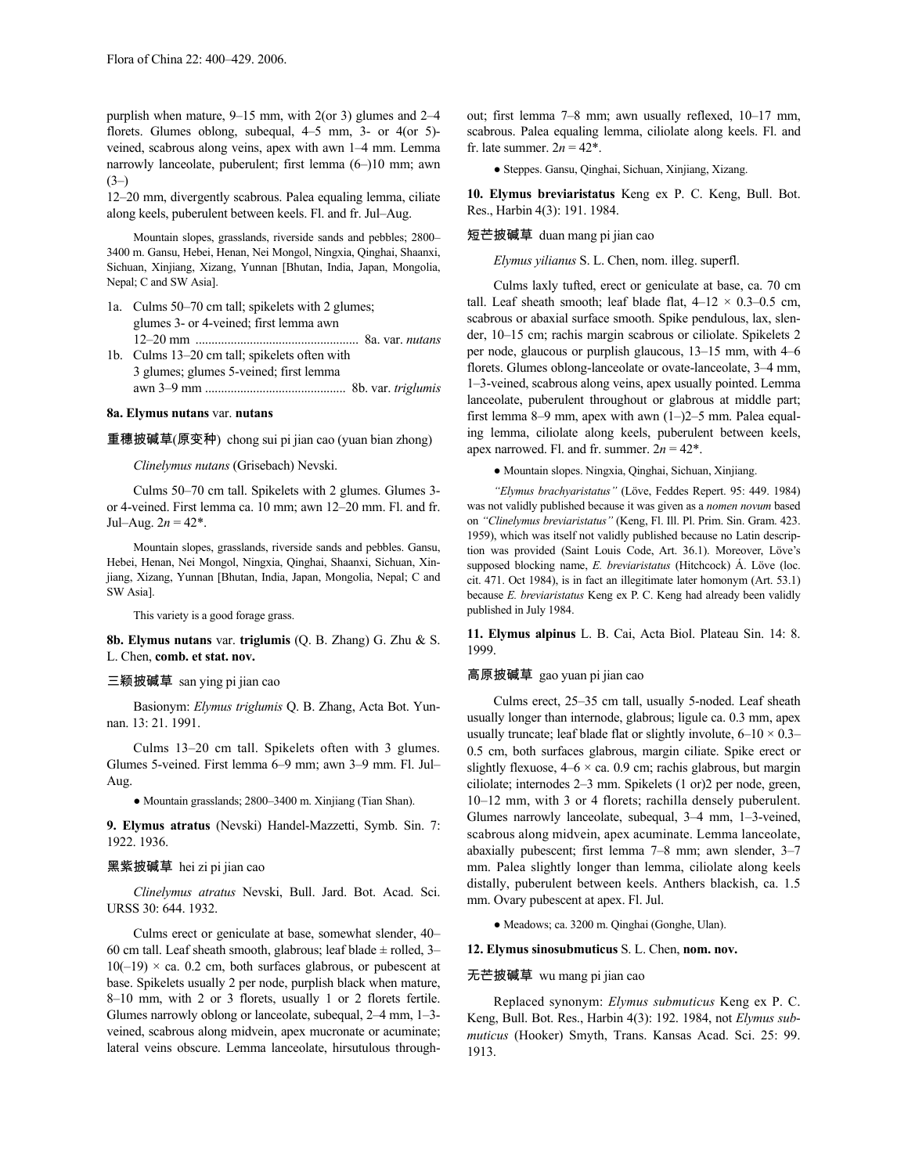purplish when mature, 9–15 mm, with 2(or 3) glumes and 2–4 florets. Glumes oblong, subequal, 4–5 mm, 3- or 4(or 5) veined, scabrous along veins, apex with awn 1–4 mm. Lemma narrowly lanceolate, puberulent; first lemma (6–)10 mm; awn  $(3-)$ 

12–20 mm, divergently scabrous. Palea equaling lemma, ciliate along keels, puberulent between keels. Fl. and fr. Jul–Aug.

Mountain slopes, grasslands, riverside sands and pebbles; 2800– 3400 m. Gansu, Hebei, Henan, Nei Mongol, Ningxia, Qinghai, Shaanxi, Sichuan, Xinjiang, Xizang, Yunnan [Bhutan, India, Japan, Mongolia, Nepal; C and SW Asia].

- 1a. Culms 50–70 cm tall; spikelets with 2 glumes; glumes 3- or 4-veined; first lemma awn 12–20 mm ................................................... 8a. var. *nutans* 1b. Culms 13–20 cm tall; spikelets often with
- 3 glumes; glumes 5-veined; first lemma awn 3–9 mm ............................................ 8b. var. *triglumis*

### **8a. Elymus nutans** var. **nutans**

重穗披碱草(原变种) chong sui pi jian cao (yuan bian zhong)

*Clinelymus nutans* (Grisebach) Nevski.

Culms 50–70 cm tall. Spikelets with 2 glumes. Glumes 3 or 4-veined. First lemma ca. 10 mm; awn 12–20 mm. Fl. and fr. Jul–Aug.  $2n = 42^*$ .

Mountain slopes, grasslands, riverside sands and pebbles. Gansu, Hebei, Henan, Nei Mongol, Ningxia, Qinghai, Shaanxi, Sichuan, Xinjiang, Xizang, Yunnan [Bhutan, India, Japan, Mongolia, Nepal; C and SW Asia].

This variety is a good forage grass.

**8b. Elymus nutans** var. **triglumis** (Q. B. Zhang) G. Zhu & S. L. Chen, **comb. et stat. nov.**

#### 三颖披碱草 san ying pi jian cao

Basionym: *Elymus triglumis* Q. B. Zhang, Acta Bot. Yunnan. 13: 21. 1991.

Culms 13–20 cm tall. Spikelets often with 3 glumes. Glumes 5-veined. First lemma 6–9 mm; awn 3–9 mm. Fl. Jul– Aug.

● Mountain grasslands; 2800–3400 m. Xinjiang (Tian Shan).

**9. Elymus atratus** (Nevski) Handel-Mazzetti, Symb. Sin. 7: 1922. 1936.

#### 黑紫披碱草 hei zi pi jian cao

*Clinelymus atratus* Nevski, Bull. Jard. Bot. Acad. Sci. URSS 30: 644. 1932.

Culms erect or geniculate at base, somewhat slender, 40– 60 cm tall. Leaf sheath smooth, glabrous; leaf blade  $\pm$  rolled, 3–  $10(-19) \times$  ca. 0.2 cm, both surfaces glabrous, or pubescent at base. Spikelets usually 2 per node, purplish black when mature, 8–10 mm, with 2 or 3 florets, usually 1 or 2 florets fertile. Glumes narrowly oblong or lanceolate, subequal, 2–4 mm, 1–3 veined, scabrous along midvein, apex mucronate or acuminate; lateral veins obscure. Lemma lanceolate, hirsutulous throughout; first lemma 7–8 mm; awn usually reflexed, 10–17 mm, scabrous. Palea equaling lemma, ciliolate along keels. Fl. and fr. late summer.  $2n = 42^*$ .

● Steppes. Gansu, Qinghai, Sichuan, Xinjiang, Xizang.

**10. Elymus breviaristatus** Keng ex P. C. Keng, Bull. Bot. Res., Harbin 4(3): 191. 1984.

### 短芒披碱草 duan mang pi jian cao

*Elymus yilianus* S. L. Chen, nom. illeg. superfl.

Culms laxly tufted, erect or geniculate at base, ca. 70 cm tall. Leaf sheath smooth; leaf blade flat,  $4-12 \times 0.3-0.5$  cm, scabrous or abaxial surface smooth. Spike pendulous, lax, slender, 10–15 cm; rachis margin scabrous or ciliolate. Spikelets 2 per node, glaucous or purplish glaucous, 13–15 mm, with 4–6 florets. Glumes oblong-lanceolate or ovate-lanceolate, 3–4 mm, 1–3-veined, scabrous along veins, apex usually pointed. Lemma lanceolate, puberulent throughout or glabrous at middle part; first lemma 8–9 mm, apex with awn (1–)2–5 mm. Palea equaling lemma, ciliolate along keels, puberulent between keels, apex narrowed. Fl. and fr. summer.  $2n = 42^*$ .

● Mountain slopes. Ningxia, Qinghai, Sichuan, Xinjiang.

*"Elymus brachyaristatus"* (Löve, Feddes Repert. 95: 449. 1984) was not validly published because it was given as a *nomen novum* based on *"Clinelymus breviaristatus"* (Keng, Fl. Ill. Pl. Prim. Sin. Gram. 423. 1959), which was itself not validly published because no Latin description was provided (Saint Louis Code, Art. 36.1). Moreover, Löve's supposed blocking name, *E. breviaristatus* (Hitchcock) Á. Löve (loc. cit. 471. Oct 1984), is in fact an illegitimate later homonym (Art. 53.1) because *E. breviaristatus* Keng ex P. C. Keng had already been validly published in July 1984.

**11. Elymus alpinus** L. B. Cai, Acta Biol. Plateau Sin. 14: 8. 1999.

### 高原披碱草 gao yuan pi jian cao

Culms erect, 25–35 cm tall, usually 5-noded. Leaf sheath usually longer than internode, glabrous; ligule ca. 0.3 mm, apex usually truncate; leaf blade flat or slightly involute,  $6-10 \times 0.3-$ 0.5 cm, both surfaces glabrous, margin ciliate. Spike erect or slightly flexuose,  $4-6 \times$  ca. 0.9 cm; rachis glabrous, but margin ciliolate; internodes 2–3 mm. Spikelets (1 or)2 per node, green, 10–12 mm, with 3 or 4 florets; rachilla densely puberulent. Glumes narrowly lanceolate, subequal, 3–4 mm, 1–3-veined, scabrous along midvein, apex acuminate. Lemma lanceolate, abaxially pubescent; first lemma 7–8 mm; awn slender, 3–7 mm. Palea slightly longer than lemma, ciliolate along keels distally, puberulent between keels. Anthers blackish, ca. 1.5 mm. Ovary pubescent at apex. Fl. Jul.

● Meadows; ca. 3200 m. Qinghai (Gonghe, Ulan).

#### **12. Elymus sinosubmuticus** S. L. Chen, **nom. nov.**

### 无芒披碱草 wu mang pi jian cao

Replaced synonym: *Elymus submuticus* Keng ex P. C. Keng, Bull. Bot. Res., Harbin 4(3): 192. 1984, not *Elymus submuticus* (Hooker) Smyth, Trans. Kansas Acad. Sci. 25: 99. 1913.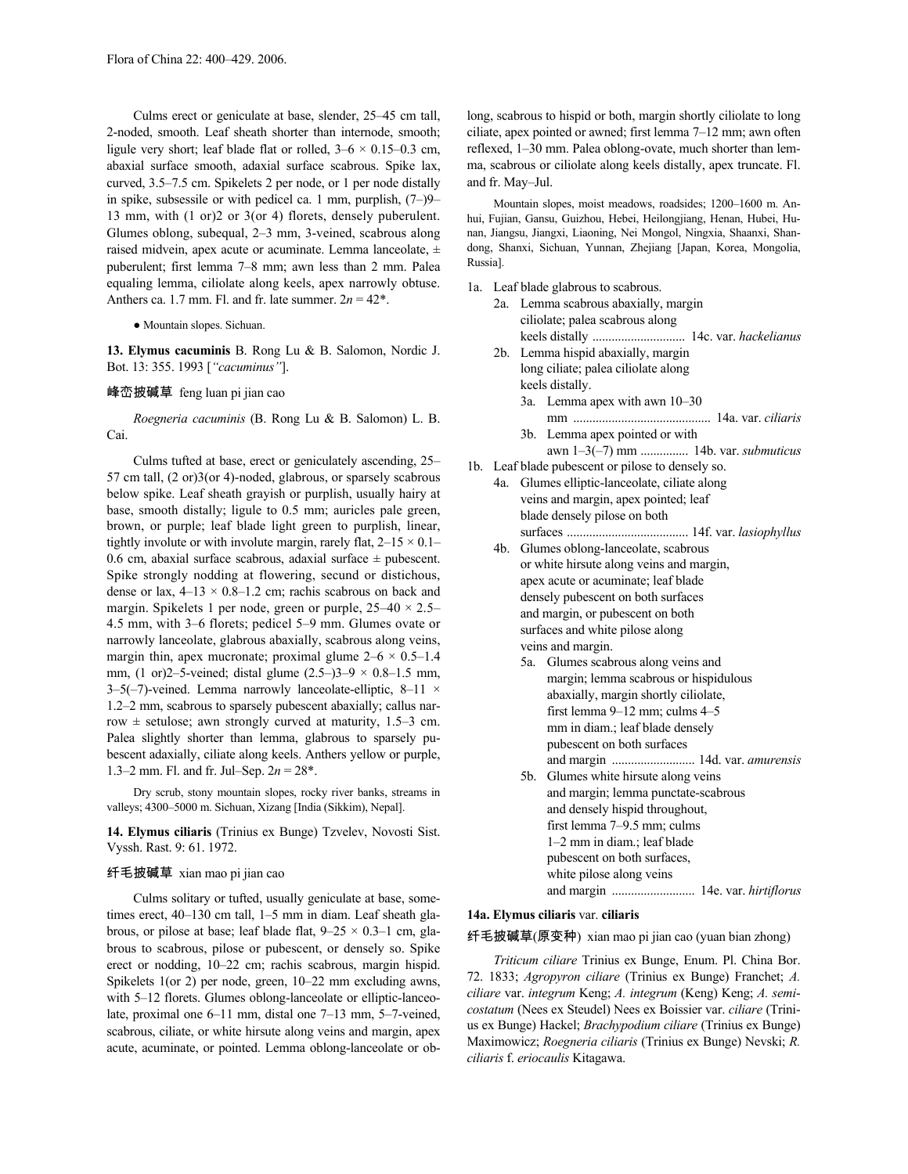Culms erect or geniculate at base, slender, 25–45 cm tall, 2-noded, smooth. Leaf sheath shorter than internode, smooth; ligule very short; leaf blade flat or rolled,  $3-6 \times 0.15-0.3$  cm, abaxial surface smooth, adaxial surface scabrous. Spike lax, curved, 3.5–7.5 cm. Spikelets 2 per node, or 1 per node distally in spike, subsessile or with pedicel ca. 1 mm, purplish, (7–)9– 13 mm, with (1 or)2 or 3(or 4) florets, densely puberulent. Glumes oblong, subequal, 2–3 mm, 3-veined, scabrous along raised midvein, apex acute or acuminate. Lemma lanceolate,  $\pm$ puberulent; first lemma 7–8 mm; awn less than 2 mm. Palea equaling lemma, ciliolate along keels, apex narrowly obtuse. Anthers ca. 1.7 mm. Fl. and fr. late summer.  $2n = 42^*$ .

● Mountain slopes. Sichuan.

**13. Elymus cacuminis** B. Rong Lu & B. Salomon, Nordic J. Bot. 13: 355. 1993 [*"cacuminus"*].

# 峰峦披碱草 feng luan pi jian cao

*Roegneria cacuminis* (B. Rong Lu & B. Salomon) L. B. Cai.

Culms tufted at base, erect or geniculately ascending, 25– 57 cm tall, (2 or)3(or 4)-noded, glabrous, or sparsely scabrous below spike. Leaf sheath grayish or purplish, usually hairy at base, smooth distally; ligule to 0.5 mm; auricles pale green, brown, or purple; leaf blade light green to purplish, linear, tightly involute or with involute margin, rarely flat,  $2-15 \times 0.1-$ 0.6 cm, abaxial surface scabrous, adaxial surface  $\pm$  pubescent. Spike strongly nodding at flowering, secund or distichous, dense or lax,  $4-13 \times 0.8-1.2$  cm; rachis scabrous on back and margin. Spikelets 1 per node, green or purple,  $25-40 \times 2.5-$ 4.5 mm, with 3–6 florets; pedicel 5–9 mm. Glumes ovate or narrowly lanceolate, glabrous abaxially, scabrous along veins, margin thin, apex mucronate; proximal glume  $2-6 \times 0.5-1.4$ mm, (1 or)2–5-veined; distal glume  $(2.5-3)$ 3–9 × 0.8–1.5 mm, 3–5(-7)-veined. Lemma narrowly lanceolate-elliptic, 8–11  $\times$ 1.2–2 mm, scabrous to sparsely pubescent abaxially; callus narrow  $\pm$  setulose; awn strongly curved at maturity, 1.5–3 cm. Palea slightly shorter than lemma, glabrous to sparsely pubescent adaxially, ciliate along keels. Anthers yellow or purple, 1.3–2 mm. Fl. and fr. Jul–Sep. 2*n* = 28\*.

Dry scrub, stony mountain slopes, rocky river banks, streams in valleys; 4300–5000 m. Sichuan, Xizang [India (Sikkim), Nepal].

**14. Elymus ciliaris** (Trinius ex Bunge) Tzvelev, Novosti Sist. Vyssh. Rast. 9: 61. 1972.

# 纤毛披碱草 xian mao pi jian cao

Culms solitary or tufted, usually geniculate at base, sometimes erect, 40–130 cm tall, 1–5 mm in diam. Leaf sheath glabrous, or pilose at base; leaf blade flat,  $9-25 \times 0.3-1$  cm, glabrous to scabrous, pilose or pubescent, or densely so. Spike erect or nodding, 10–22 cm; rachis scabrous, margin hispid. Spikelets 1(or 2) per node, green, 10–22 mm excluding awns, with 5–12 florets. Glumes oblong-lanceolate or elliptic-lanceolate, proximal one 6–11 mm, distal one 7–13 mm, 5–7-veined, scabrous, ciliate, or white hirsute along veins and margin, apex acute, acuminate, or pointed. Lemma oblong-lanceolate or oblong, scabrous to hispid or both, margin shortly ciliolate to long ciliate, apex pointed or awned; first lemma 7–12 mm; awn often reflexed, 1–30 mm. Palea oblong-ovate, much shorter than lemma, scabrous or ciliolate along keels distally, apex truncate. Fl. and fr. May–Jul.

Mountain slopes, moist meadows, roadsides; 1200–1600 m. Anhui, Fujian, Gansu, Guizhou, Hebei, Heilongjiang, Henan, Hubei, Hunan, Jiangsu, Jiangxi, Liaoning, Nei Mongol, Ningxia, Shaanxi, Shandong, Shanxi, Sichuan, Yunnan, Zhejiang [Japan, Korea, Mongolia, Russia].

- 1a. Leaf blade glabrous to scabrous.
	- 2a. Lemma scabrous abaxially, margin ciliolate; palea scabrous along keels distally ............................. 14c. var. *hackelianus*
	- 2b. Lemma hispid abaxially, margin long ciliate; palea ciliolate along keels distally. 3a. Lemma apex with awn 10–30 mm ........................................... 14a. var. *ciliaris* 3b. Lemma apex pointed or with
- awn 1–3(–7) mm ............... 14b. var. *submuticus* 1b. Leaf blade pubescent or pilose to densely so.
	- 4a. Glumes elliptic-lanceolate, ciliate along veins and margin, apex pointed; leaf blade densely pilose on both surfaces ...................................... 14f. var. *lasiophyllus*
	- 4b. Glumes oblong-lanceolate, scabrous or white hirsute along veins and margin, apex acute or acuminate; leaf blade densely pubescent on both surfaces and margin, or pubescent on both surfaces and white pilose along veins and margin.
		- 5a. Glumes scabrous along veins and margin; lemma scabrous or hispidulous abaxially, margin shortly ciliolate, first lemma 9–12 mm; culms 4–5 mm in diam.; leaf blade densely pubescent on both surfaces and margin .......................... 14d. var. *amurensis*
		- 5b. Glumes white hirsute along veins and margin; lemma punctate-scabrous and densely hispid throughout, first lemma 7–9.5 mm; culms 1–2 mm in diam.; leaf blade pubescent on both surfaces, white pilose along veins and margin .......................... 14e. var. *hirtiflorus*

### **14a. Elymus ciliaris** var. **ciliaris**

纤毛披碱草(原变种) xian mao pi jian cao (yuan bian zhong)

*Triticum ciliare* Trinius ex Bunge, Enum. Pl. China Bor. 72. 1833; *Agropyron ciliare* (Trinius ex Bunge) Franchet; *A. ciliare* var. *integrum* Keng; *A. integrum* (Keng) Keng; *A. semicostatum* (Nees ex Steudel) Nees ex Boissier var. *ciliare* (Trinius ex Bunge) Hackel; *Brachypodium ciliare* (Trinius ex Bunge) Maximowicz; *Roegneria ciliaris* (Trinius ex Bunge) Nevski; *R. ciliaris* f. *eriocaulis* Kitagawa.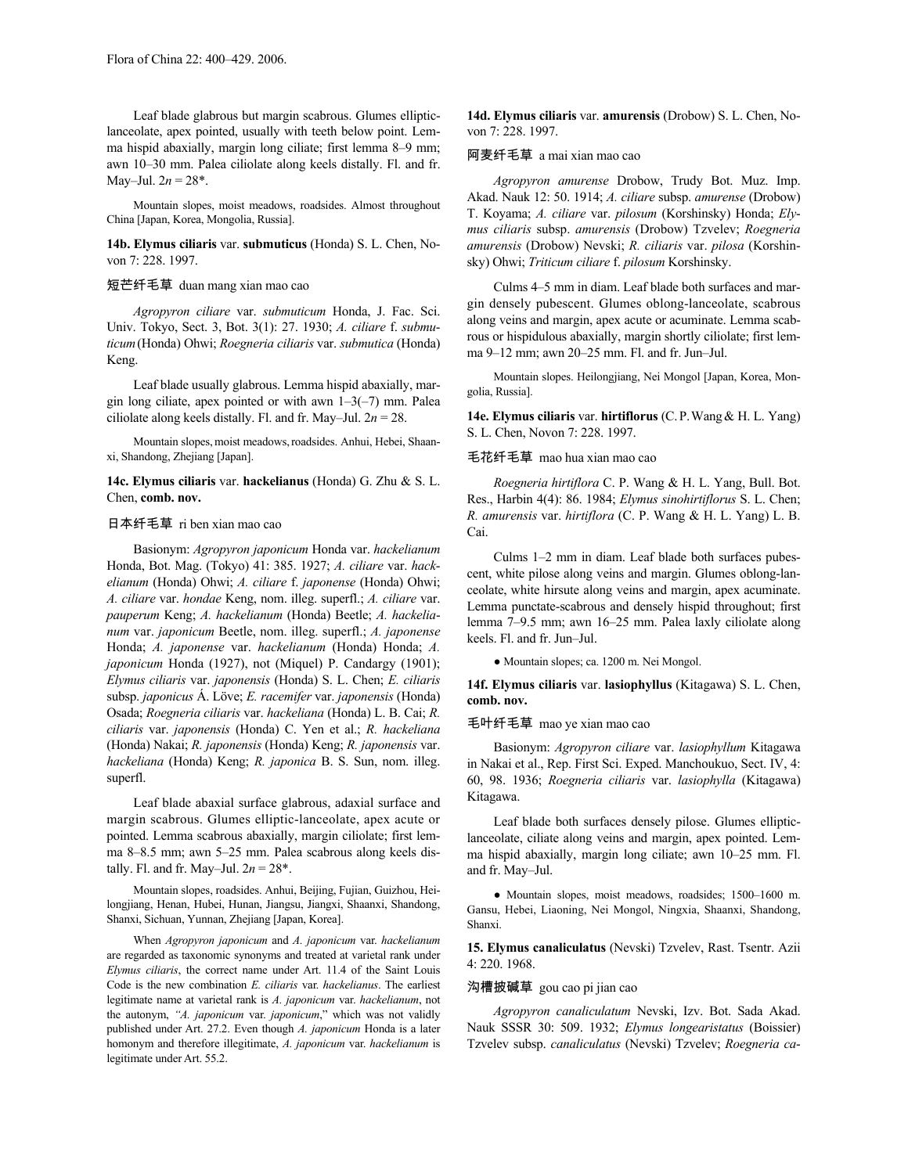Leaf blade glabrous but margin scabrous. Glumes ellipticlanceolate, apex pointed, usually with teeth below point. Lemma hispid abaxially, margin long ciliate; first lemma 8–9 mm; awn 10–30 mm. Palea ciliolate along keels distally. Fl. and fr. May–Jul.  $2n = 28^*$ .

Mountain slopes, moist meadows, roadsides. Almost throughout China [Japan, Korea, Mongolia, Russia].

**14b. Elymus ciliaris** var. **submuticus** (Honda) S. L. Chen, Novon 7: 228. 1997.

# 短芒纤毛草 duan mang xian mao cao

*Agropyron ciliare* var. *submuticum* Honda, J. Fac. Sci. Univ. Tokyo, Sect. 3, Bot. 3(1): 27. 1930; *A. ciliare* f. *submuticum*(Honda) Ohwi; *Roegneria ciliaris* var. *submutica* (Honda) Keng.

Leaf blade usually glabrous. Lemma hispid abaxially, margin long ciliate, apex pointed or with awn  $1-3(-7)$  mm. Palea ciliolate along keels distally. Fl. and fr. May–Jul. 2*n* = 28.

Mountain slopes, moist meadows, roadsides. Anhui, Hebei, Shaanxi, Shandong, Zhejiang [Japan].

# **14c. Elymus ciliaris** var. **hackelianus** (Honda) G. Zhu & S. L. Chen, **comb. nov.**

# 日本纤毛草 ri ben xian mao cao

Basionym: *Agropyron japonicum* Honda var. *hackelianum* Honda, Bot. Mag. (Tokyo) 41: 385. 1927; *A. ciliare* var. *hackelianum* (Honda) Ohwi; *A. ciliare* f. *japonense* (Honda) Ohwi; *A. ciliare* var. *hondae* Keng, nom. illeg. superfl.; *A. ciliare* var. *pauperum* Keng; *A. hackelianum* (Honda) Beetle; *A. hackelianum* var. *japonicum* Beetle, nom. illeg. superfl.; *A. japonense* Honda; *A. japonense* var. *hackelianum* (Honda) Honda; *A. japonicum* Honda (1927), not (Miquel) P. Candargy (1901); *Elymus ciliaris* var. *japonensis* (Honda) S. L. Chen; *E. ciliaris* subsp. *japonicus* Á. Löve; *E. racemifer* var. *japonensis* (Honda) Osada; *Roegneria ciliaris* var. *hackeliana* (Honda) L. B. Cai; *R. ciliaris* var. *japonensis* (Honda) C. Yen et al.; *R. hackeliana* (Honda) Nakai; *R. japonensis* (Honda) Keng; *R. japonensis* var. *hackeliana* (Honda) Keng; *R. japonica* B. S. Sun, nom. illeg. superfl.

Leaf blade abaxial surface glabrous, adaxial surface and margin scabrous. Glumes elliptic-lanceolate, apex acute or pointed. Lemma scabrous abaxially, margin ciliolate; first lemma 8–8.5 mm; awn 5–25 mm. Palea scabrous along keels distally. Fl. and fr. May–Jul.  $2n = 28^*$ .

Mountain slopes, roadsides. Anhui, Beijing, Fujian, Guizhou, Heilongjiang, Henan, Hubei, Hunan, Jiangsu, Jiangxi, Shaanxi, Shandong, Shanxi, Sichuan, Yunnan, Zhejiang [Japan, Korea].

When *Agropyron japonicum* and *A. japonicum* var. *hackelianum* are regarded as taxonomic synonyms and treated at varietal rank under *Elymus ciliaris*, the correct name under Art. 11.4 of the Saint Louis Code is the new combination *E. ciliaris* var. *hackelianus*. The earliest legitimate name at varietal rank is *A. japonicum* var. *hackelianum*, not the autonym, *"A. japonicum* var. *japonicum*," which was not validly published under Art. 27.2. Even though *A. japonicum* Honda is a later homonym and therefore illegitimate, *A. japonicum* var. *hackelianum* is legitimate under Art. 55.2.

**14d. Elymus ciliaris** var. **amurensis** (Drobow) S. L. Chen, Novon 7: 228. 1997.

#### 阿麦纤毛草 a mai xian mao cao

*Agropyron amurense* Drobow, Trudy Bot. Muz. Imp. Akad. Nauk 12: 50. 1914; *A. ciliare* subsp. *amurense* (Drobow) T. Koyama; *A. ciliare* var. *pilosum* (Korshinsky) Honda; *Elymus ciliaris* subsp. *amurensis* (Drobow) Tzvelev; *Roegneria amurensis* (Drobow) Nevski; *R. ciliaris* var. *pilosa* (Korshinsky) Ohwi; *Triticum ciliare* f. *pilosum* Korshinsky.

Culms 4–5 mm in diam. Leaf blade both surfaces and margin densely pubescent. Glumes oblong-lanceolate, scabrous along veins and margin, apex acute or acuminate. Lemma scabrous or hispidulous abaxially, margin shortly ciliolate; first lemma 9–12 mm; awn 20–25 mm. Fl. and fr. Jun–Jul.

Mountain slopes. Heilongjiang, Nei Mongol [Japan, Korea, Mongolia, Russia].

**14e. Elymus ciliaris** var. **hirtiflorus** (C.P.Wang& H. L. Yang) S. L. Chen, Novon 7: 228. 1997.

# 毛花纤毛草 mao hua xian mao cao

*Roegneria hirtiflora* C. P. Wang & H. L. Yang, Bull. Bot. Res., Harbin 4(4): 86. 1984; *Elymus sinohirtiflorus* S. L. Chen; *R. amurensis* var. *hirtiflora* (C. P. Wang & H. L. Yang) L. B. Cai.

Culms 1–2 mm in diam. Leaf blade both surfaces pubescent, white pilose along veins and margin. Glumes oblong-lanceolate, white hirsute along veins and margin, apex acuminate. Lemma punctate-scabrous and densely hispid throughout; first lemma 7–9.5 mm; awn 16–25 mm. Palea laxly ciliolate along keels. Fl. and fr. Jun–Jul.

● Mountain slopes; ca. 1200 m. Nei Mongol.

**14f. Elymus ciliaris** var. **lasiophyllus** (Kitagawa) S. L. Chen, **comb. nov.**

#### 毛叶纤毛草 mao ye xian mao cao

Basionym: *Agropyron ciliare* var. *lasiophyllum* Kitagawa in Nakai et al., Rep. First Sci. Exped. Manchoukuo, Sect. IV, 4: 60, 98. 1936; *Roegneria ciliaris* var. *lasiophylla* (Kitagawa) Kitagawa.

Leaf blade both surfaces densely pilose. Glumes ellipticlanceolate, ciliate along veins and margin, apex pointed. Lemma hispid abaxially, margin long ciliate; awn 10–25 mm. Fl. and fr. May–Jul.

● Mountain slopes, moist meadows, roadsides; 1500–1600 m. Gansu, Hebei, Liaoning, Nei Mongol, Ningxia, Shaanxi, Shandong, Shanxi.

**15. Elymus canaliculatus** (Nevski) Tzvelev, Rast. Tsentr. Azii 4: 220. 1968.

# 沟槽披碱草 gou cao pi jian cao

*Agropyron canaliculatum* Nevski, Izv. Bot. Sada Akad. Nauk SSSR 30: 509. 1932; *Elymus longearistatus* (Boissier) Tzvelev subsp. *canaliculatus* (Nevski) Tzvelev; *Roegneria ca*-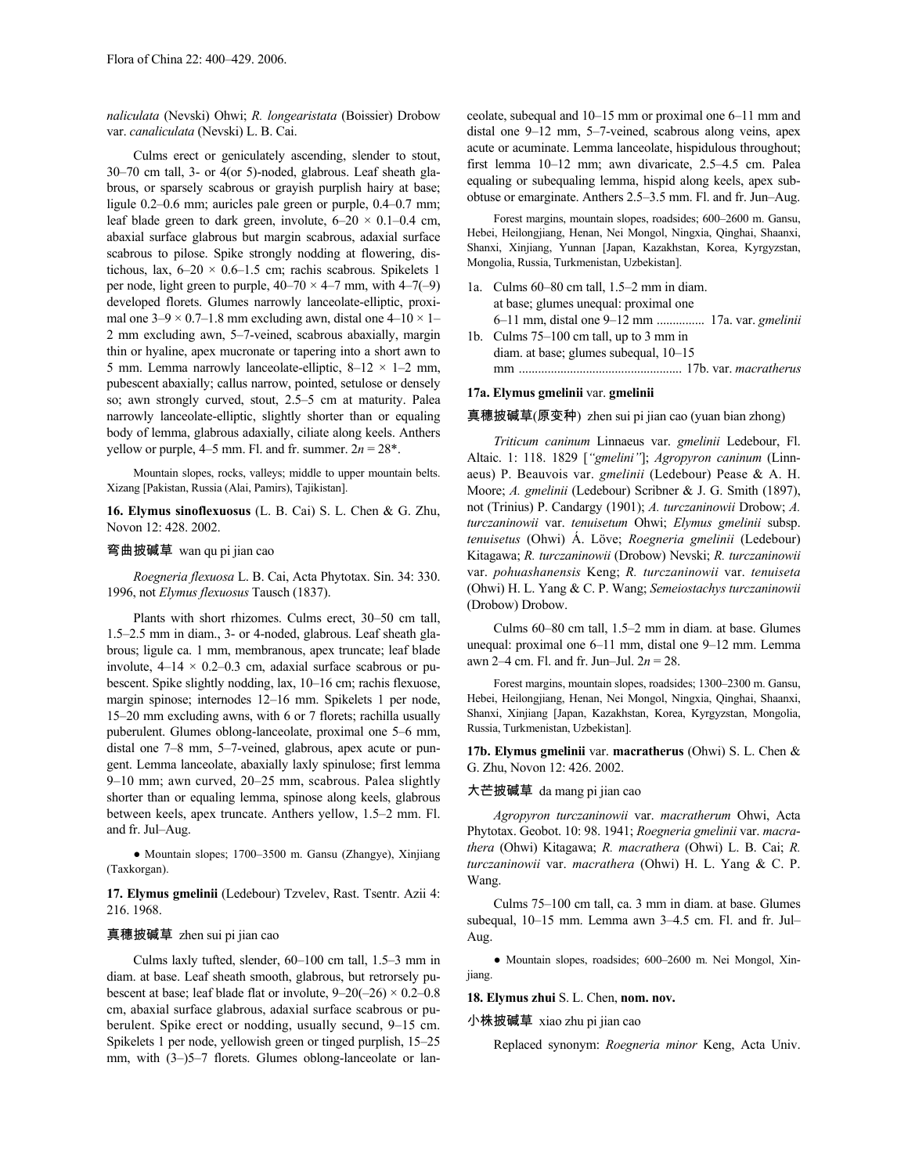*naliculata* (Nevski) Ohwi; *R. longearistata* (Boissier) Drobow var. *canaliculata* (Nevski) L. B. Cai.

Culms erect or geniculately ascending, slender to stout, 30–70 cm tall, 3- or 4(or 5)-noded, glabrous. Leaf sheath glabrous, or sparsely scabrous or grayish purplish hairy at base; ligule 0.2–0.6 mm; auricles pale green or purple, 0.4–0.7 mm; leaf blade green to dark green, involute,  $6-20 \times 0.1-0.4$  cm, abaxial surface glabrous but margin scabrous, adaxial surface scabrous to pilose. Spike strongly nodding at flowering, distichous, lax,  $6-20 \times 0.6-1.5$  cm; rachis scabrous. Spikelets 1 per node, light green to purple,  $40-70 \times 4-7$  mm, with  $4-7(-9)$ developed florets. Glumes narrowly lanceolate-elliptic, proximal one  $3-9 \times 0.7-1.8$  mm excluding awn, distal one  $4-10 \times 1-$ 2 mm excluding awn, 5–7-veined, scabrous abaxially, margin thin or hyaline, apex mucronate or tapering into a short awn to 5 mm. Lemma narrowly lanceolate-elliptic,  $8-12 \times 1-2$  mm, pubescent abaxially; callus narrow, pointed, setulose or densely so; awn strongly curved, stout, 2.5–5 cm at maturity. Palea narrowly lanceolate-elliptic, slightly shorter than or equaling body of lemma, glabrous adaxially, ciliate along keels. Anthers yellow or purple,  $4-5$  mm. Fl. and fr. summer.  $2n = 28$ <sup>\*</sup>.

Mountain slopes, rocks, valleys; middle to upper mountain belts. Xizang [Pakistan, Russia (Alai, Pamirs), Tajikistan].

**16. Elymus sinoflexuosus** (L. B. Cai) S. L. Chen & G. Zhu, Novon 12: 428. 2002.

#### 弯曲披碱草 wan qu pi jian cao

*Roegneria flexuosa* L. B. Cai, Acta Phytotax. Sin. 34: 330. 1996, not *Elymus flexuosus* Tausch (1837).

Plants with short rhizomes. Culms erect, 30–50 cm tall, 1.5–2.5 mm in diam., 3- or 4-noded, glabrous. Leaf sheath glabrous; ligule ca. 1 mm, membranous, apex truncate; leaf blade involute,  $4-14 \times 0.2-0.3$  cm, adaxial surface scabrous or pubescent. Spike slightly nodding, lax, 10–16 cm; rachis flexuose, margin spinose; internodes 12–16 mm. Spikelets 1 per node, 15–20 mm excluding awns, with 6 or 7 florets; rachilla usually puberulent. Glumes oblong-lanceolate, proximal one 5–6 mm, distal one 7–8 mm, 5–7-veined, glabrous, apex acute or pungent. Lemma lanceolate, abaxially laxly spinulose; first lemma 9–10 mm; awn curved, 20–25 mm, scabrous. Palea slightly shorter than or equaling lemma, spinose along keels, glabrous between keels, apex truncate. Anthers yellow, 1.5–2 mm. Fl. and fr. Jul–Aug.

● Mountain slopes; 1700–3500 m. Gansu (Zhangye), Xinjiang (Taxkorgan).

**17. Elymus gmelinii** (Ledebour) Tzvelev, Rast. Tsentr. Azii 4: 216. 1968.

#### 真穗披碱草 zhen sui pi jian cao

Culms laxly tufted, slender, 60–100 cm tall, 1.5–3 mm in diam. at base. Leaf sheath smooth, glabrous, but retrorsely pubescent at base; leaf blade flat or involute,  $9-20(-26) \times 0.2-0.8$ cm, abaxial surface glabrous, adaxial surface scabrous or puberulent. Spike erect or nodding, usually secund, 9–15 cm. Spikelets 1 per node, yellowish green or tinged purplish, 15–25 mm, with  $(3-)5-7$  florets. Glumes oblong-lanceolate or lanceolate, subequal and 10–15 mm or proximal one 6–11 mm and distal one 9–12 mm, 5–7-veined, scabrous along veins, apex acute or acuminate. Lemma lanceolate, hispidulous throughout; first lemma 10–12 mm; awn divaricate, 2.5–4.5 cm. Palea equaling or subequaling lemma, hispid along keels, apex subobtuse or emarginate. Anthers 2.5–3.5 mm. Fl. and fr. Jun–Aug.

Forest margins, mountain slopes, roadsides; 600–2600 m. Gansu, Hebei, Heilongjiang, Henan, Nei Mongol, Ningxia, Qinghai, Shaanxi, Shanxi, Xinjiang, Yunnan [Japan, Kazakhstan, Korea, Kyrgyzstan, Mongolia, Russia, Turkmenistan, Uzbekistan].

- 1a. Culms 60–80 cm tall, 1.5–2 mm in diam. at base; glumes unequal: proximal one 6–11 mm, distal one 9–12 mm ............... 17a. var. *gmelinii*
- 1b. Culms 75–100 cm tall, up to 3 mm in diam. at base; glumes subequal, 10–15 mm ................................................... 17b. var. *macratherus*

#### **17a. Elymus gmelinii** var. **gmelinii**

真穗披碱草(原变种) zhen sui pi jian cao (yuan bian zhong)

*Triticum caninum* Linnaeus var. *gmelinii* Ledebour, Fl. Altaic. 1: 118. 1829 [*"gmelini"*]; *Agropyron caninum* (Linnaeus) P. Beauvois var. *gmelinii* (Ledebour) Pease & A. H. Moore; *A. gmelinii* (Ledebour) Scribner & J. G. Smith (1897), not (Trinius) P. Candargy (1901); *A. turczaninowii* Drobow; *A. turczaninowii* var. *tenuisetum* Ohwi; *Elymus gmelinii* subsp. *tenuisetus* (Ohwi) Á. Löve; *Roegneria gmelinii* (Ledebour) Kitagawa; *R. turczaninowii* (Drobow) Nevski; *R. turczaninowii* var. *pohuashanensis* Keng; *R. turczaninowii* var. *tenuiseta* (Ohwi) H. L. Yang & C. P. Wang; *Semeiostachys turczaninowii* (Drobow) Drobow.

Culms 60–80 cm tall, 1.5–2 mm in diam. at base. Glumes unequal: proximal one 6–11 mm, distal one 9–12 mm. Lemma awn 2–4 cm. Fl. and fr. Jun–Jul. 2*n* = 28.

Forest margins, mountain slopes, roadsides; 1300–2300 m. Gansu, Hebei, Heilongjiang, Henan, Nei Mongol, Ningxia, Qinghai, Shaanxi, Shanxi, Xinjiang [Japan, Kazakhstan, Korea, Kyrgyzstan, Mongolia, Russia, Turkmenistan, Uzbekistan].

**17b. Elymus gmelinii** var. **macratherus** (Ohwi) S. L. Chen & G. Zhu, Novon 12: 426. 2002.

#### 大芒披碱草 da mang pi jian cao

*Agropyron turczaninowii* var. *macratherum* Ohwi, Acta Phytotax. Geobot. 10: 98. 1941; *Roegneria gmelinii* var. *macrathera* (Ohwi) Kitagawa; *R. macrathera* (Ohwi) L. B. Cai; *R. turczaninowii* var. *macrathera* (Ohwi) H. L. Yang & C. P. Wang.

Culms 75–100 cm tall, ca. 3 mm in diam. at base. Glumes subequal, 10–15 mm. Lemma awn 3–4.5 cm. Fl. and fr. Jul– Aug.

● Mountain slopes, roadsides; 600–2600 m. Nei Mongol, Xinjiang.

#### **18. Elymus zhui** S. L. Chen, **nom. nov.**

小株披碱草 xiao zhu pi jian cao

Replaced synonym: *Roegneria minor* Keng, Acta Univ.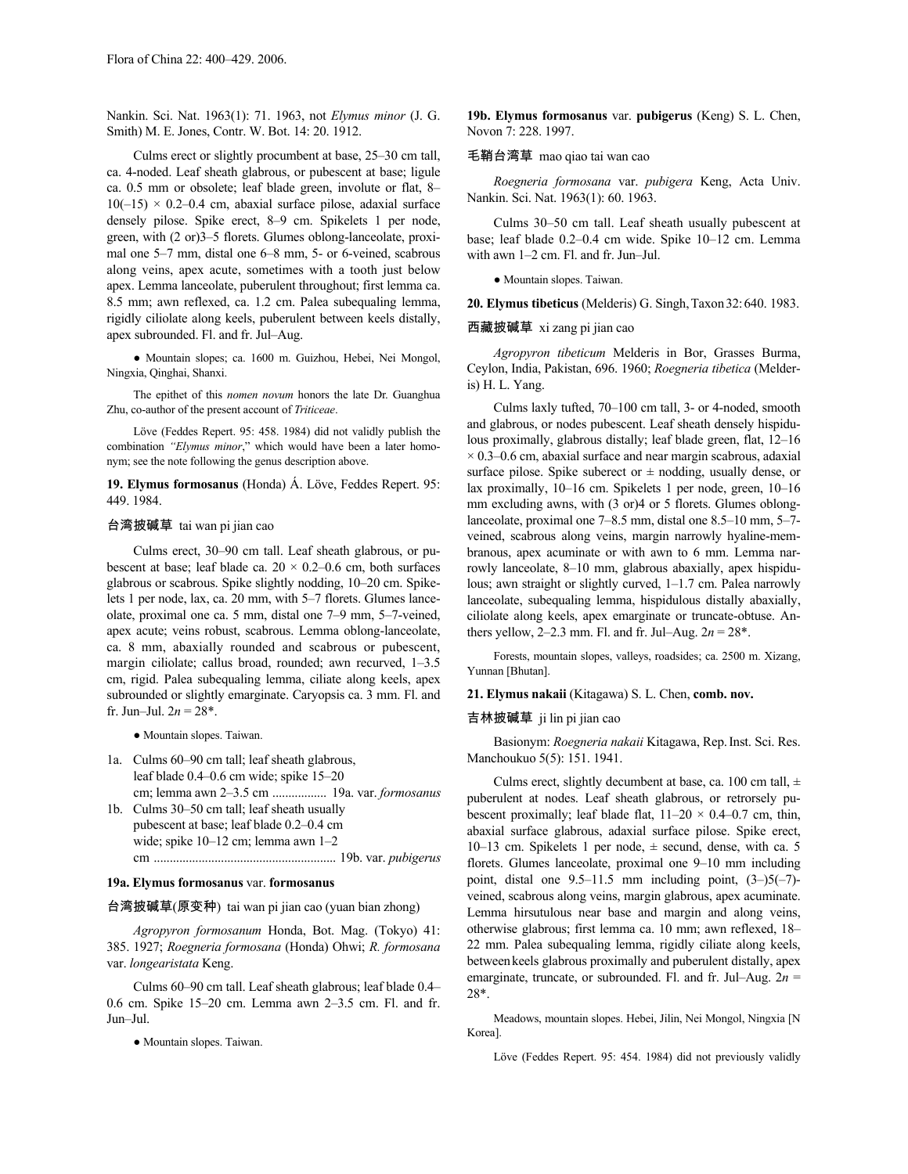Nankin. Sci. Nat. 1963(1): 71. 1963, not *Elymus minor* (J. G. Smith) M. E. Jones, Contr. W. Bot. 14: 20. 1912.

Culms erect or slightly procumbent at base, 25–30 cm tall, ca. 4-noded. Leaf sheath glabrous, or pubescent at base; ligule ca. 0.5 mm or obsolete; leaf blade green, involute or flat, 8–  $10(-15) \times 0.2-0.4$  cm, abaxial surface pilose, adaxial surface densely pilose. Spike erect, 8–9 cm. Spikelets 1 per node, green, with (2 or)3–5 florets. Glumes oblong-lanceolate, proximal one 5–7 mm, distal one 6–8 mm, 5- or 6-veined, scabrous along veins, apex acute, sometimes with a tooth just below apex. Lemma lanceolate, puberulent throughout; first lemma ca. 8.5 mm; awn reflexed, ca. 1.2 cm. Palea subequaling lemma, rigidly ciliolate along keels, puberulent between keels distally, apex subrounded. Fl. and fr. Jul–Aug.

● Mountain slopes; ca. 1600 m. Guizhou, Hebei, Nei Mongol, Ningxia, Qinghai, Shanxi.

The epithet of this *nomen novum* honors the late Dr. Guanghua Zhu, co-author of the present account of *Triticeae*.

Löve (Feddes Repert. 95: 458. 1984) did not validly publish the combination *"Elymus minor*," which would have been a later homonym; see the note following the genus description above.

**19. Elymus formosanus** (Honda) Á. Löve, Feddes Repert. 95: 449. 1984.

### 台湾披碱草 tai wan pi jian cao

Culms erect, 30–90 cm tall. Leaf sheath glabrous, or pubescent at base; leaf blade ca.  $20 \times 0.2{\text -}0.6$  cm, both surfaces glabrous or scabrous. Spike slightly nodding, 10–20 cm. Spikelets 1 per node, lax, ca. 20 mm, with 5–7 florets. Glumes lanceolate, proximal one ca. 5 mm, distal one 7–9 mm, 5–7-veined, apex acute; veins robust, scabrous. Lemma oblong-lanceolate, ca. 8 mm, abaxially rounded and scabrous or pubescent, margin ciliolate; callus broad, rounded; awn recurved, 1–3.5 cm, rigid. Palea subequaling lemma, ciliate along keels, apex subrounded or slightly emarginate. Caryopsis ca. 3 mm. Fl. and fr. Jun–Jul.  $2n = 28$ <sup>\*</sup>.

● Mountain slopes. Taiwan.

- 1a. Culms 60–90 cm tall; leaf sheath glabrous, leaf blade 0.4–0.6 cm wide; spike 15–20 cm; lemma awn 2–3.5 cm ................. 19a. var. *formosanus*
- 1b. Culms 30–50 cm tall; leaf sheath usually pubescent at base; leaf blade 0.2–0.4 cm wide; spike 10–12 cm; lemma awn 1–2 cm ......................................................... 19b. var. *pubigerus*

#### **19a. Elymus formosanus** var. **formosanus**

台湾披碱草(原变种) tai wan pi jian cao (yuan bian zhong)

*Agropyron formosanum* Honda, Bot. Mag. (Tokyo) 41: 385. 1927; *Roegneria formosana* (Honda) Ohwi; *R. formosana* var. *longearistata* Keng.

Culms 60–90 cm tall. Leaf sheath glabrous; leaf blade 0.4– 0.6 cm. Spike 15–20 cm. Lemma awn 2–3.5 cm. Fl. and fr. Jun–Jul.

● Mountain slopes. Taiwan.

**19b. Elymus formosanus** var. **pubigerus** (Keng) S. L. Chen, Novon 7: 228. 1997.

#### 毛鞘台湾草 mao qiao tai wan cao

*Roegneria formosana* var. *pubigera* Keng, Acta Univ. Nankin. Sci. Nat. 1963(1): 60. 1963.

Culms 30–50 cm tall. Leaf sheath usually pubescent at base; leaf blade 0.2–0.4 cm wide. Spike 10–12 cm. Lemma with awn 1–2 cm. Fl. and fr. Jun–Jul.

● Mountain slopes. Taiwan.

**20. Elymus tibeticus** (Melderis) G. Singh,Taxon32:640. 1983.

西藏披碱草 xi zang pi jian cao

*Agropyron tibeticum* Melderis in Bor, Grasses Burma, Ceylon, India, Pakistan, 696. 1960; *Roegneria tibetica* (Melderis) H. L. Yang.

Culms laxly tufted, 70–100 cm tall, 3- or 4-noded, smooth and glabrous, or nodes pubescent. Leaf sheath densely hispidulous proximally, glabrous distally; leaf blade green, flat, 12–16  $\times$  0.3–0.6 cm, abaxial surface and near margin scabrous, adaxial surface pilose. Spike suberect or  $\pm$  nodding, usually dense, or lax proximally, 10–16 cm. Spikelets 1 per node, green, 10–16 mm excluding awns, with (3 or)4 or 5 florets. Glumes oblonglanceolate, proximal one 7–8.5 mm, distal one 8.5–10 mm, 5–7 veined, scabrous along veins, margin narrowly hyaline-membranous, apex acuminate or with awn to 6 mm. Lemma narrowly lanceolate, 8–10 mm, glabrous abaxially, apex hispidulous; awn straight or slightly curved, 1–1.7 cm. Palea narrowly lanceolate, subequaling lemma, hispidulous distally abaxially, ciliolate along keels, apex emarginate or truncate-obtuse. Anthers yellow,  $2-2.3$  mm. Fl. and fr. Jul–Aug.  $2n = 28^*$ .

Forests, mountain slopes, valleys, roadsides; ca. 2500 m. Xizang, Yunnan [Bhutan].

**21. Elymus nakaii** (Kitagawa) S. L. Chen, **comb. nov.**

### 吉林披碱草 ji lin pi jian cao

Basionym: *Roegneria nakaii* Kitagawa, Rep.Inst. Sci. Res. Manchoukuo 5(5): 151. 1941.

Culms erect, slightly decumbent at base, ca. 100 cm tall,  $\pm$ puberulent at nodes. Leaf sheath glabrous, or retrorsely pubescent proximally; leaf blade flat,  $11-20 \times 0.4-0.7$  cm, thin, abaxial surface glabrous, adaxial surface pilose. Spike erect, 10–13 cm. Spikelets 1 per node, ± secund, dense, with ca. 5 florets. Glumes lanceolate, proximal one 9–10 mm including point, distal one  $9.5-11.5$  mm including point,  $(3-)5(-7)$ veined, scabrous along veins, margin glabrous, apex acuminate. Lemma hirsutulous near base and margin and along veins, otherwise glabrous; first lemma ca. 10 mm; awn reflexed, 18– 22 mm. Palea subequaling lemma, rigidly ciliate along keels, between keels glabrous proximally and puberulent distally, apex emarginate, truncate, or subrounded. Fl. and fr. Jul–Aug. 2*n* = 28\*.

Meadows, mountain slopes. Hebei, Jilin, Nei Mongol, Ningxia [N Korea].

Löve (Feddes Repert. 95: 454. 1984) did not previously validly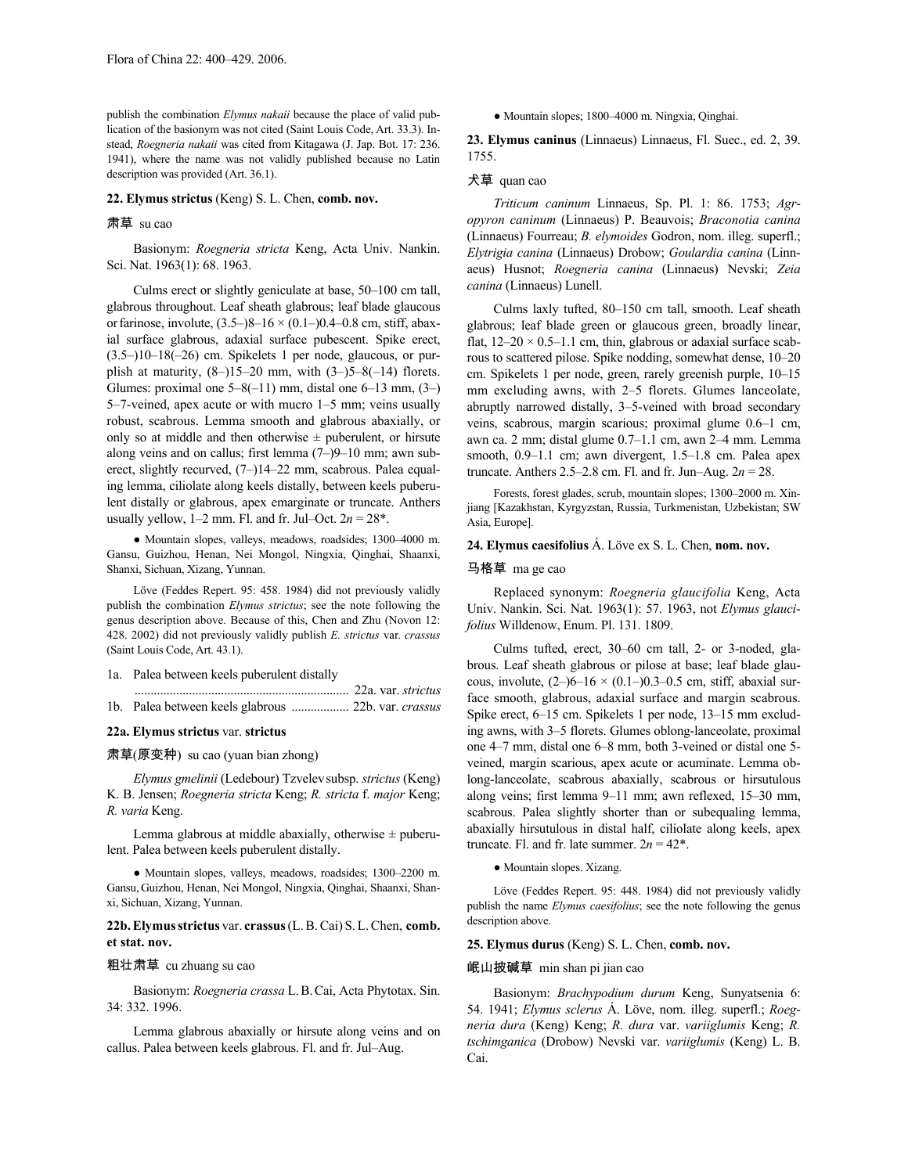publish the combination *Elymus nakaii* because the place of valid publication of the basionym was not cited (Saint Louis Code, Art. 33.3). Instead, *Roegneria nakaii* was cited from Kitagawa (J. Jap. Bot. 17: 236. 1941), where the name was not validly published because no Latin description was provided (Art. 36.1).

### **22. Elymus strictus** (Keng) S. L. Chen, **comb. nov.**

#### 肃草 su cao

Basionym: *Roegneria stricta* Keng, Acta Univ. Nankin. Sci. Nat. 1963(1): 68. 1963.

Culms erect or slightly geniculate at base, 50–100 cm tall, glabrous throughout. Leaf sheath glabrous; leaf blade glaucous or farinose, involute,  $(3.5-8-16 \times (0.1-0.4-0.8 \text{ cm}, \text{stiff}, \text{abax}$ ial surface glabrous, adaxial surface pubescent. Spike erect,  $(3.5-)10-18(-26)$  cm. Spikelets 1 per node, glaucous, or purplish at maturity,  $(8-)15-20$  mm, with  $(3-)5-8(-14)$  florets. Glumes: proximal one  $5-8(-11)$  mm, distal one  $6-13$  mm,  $(3-)$ 5–7-veined, apex acute or with mucro 1–5 mm; veins usually robust, scabrous. Lemma smooth and glabrous abaxially, or only so at middle and then otherwise  $\pm$  puberulent, or hirsute along veins and on callus; first lemma (7–)9–10 mm; awn suberect, slightly recurved, (7–)14–22 mm, scabrous. Palea equaling lemma, ciliolate along keels distally, between keels puberulent distally or glabrous, apex emarginate or truncate. Anthers usually yellow,  $1-2$  mm. Fl. and fr. Jul–Oct.  $2n = 28^*$ .

● Mountain slopes, valleys, meadows, roadsides; 1300–4000 m. Gansu, Guizhou, Henan, Nei Mongol, Ningxia, Qinghai, Shaanxi, Shanxi, Sichuan, Xizang, Yunnan.

Löve (Feddes Repert. 95: 458. 1984) did not previously validly publish the combination *Elymus strictus*; see the note following the genus description above. Because of this, Chen and Zhu (Novon 12: 428. 2002) did not previously validly publish *E. strictus* var. *crassus* (Saint Louis Code, Art. 43.1).

#### 1a. Palea between keels puberulent distally

# **22a. Elymus strictus** var. **strictus**

#### 肃草(原变种) su cao (yuan bian zhong)

*Elymus gmelinii* (Ledebour) Tzvelevsubsp. *strictus* (Keng) K. B. Jensen; *Roegneria stricta* Keng; *R. stricta* f. *major* Keng; *R. varia* Keng.

Lemma glabrous at middle abaxially, otherwise  $\pm$  puberulent. Palea between keels puberulent distally.

● Mountain slopes, valleys, meadows, roadsides; 1300–2200 m. Gansu,Guizhou, Henan, Nei Mongol, Ningxia, Qinghai, Shaanxi, Shanxi, Sichuan, Xizang, Yunnan.

**22b.Elymusstrictus** var. **crassus**(L.B.Cai) S.L.Chen, **comb. et stat. nov.**

#### 粗壮肃草 cu zhuang su cao

Basionym: *Roegneria crassa* L.B.Cai, Acta Phytotax. Sin. 34: 332. 1996.

Lemma glabrous abaxially or hirsute along veins and on callus. Palea between keels glabrous. Fl. and fr. Jul–Aug.

● Mountain slopes; 1800–4000 m. Ningxia, Qinghai.

**23. Elymus caninus** (Linnaeus) Linnaeus, Fl. Suec., ed. 2, 39. 1755.

## 犬草 quan cao

*Triticum caninum* Linnaeus, Sp. Pl. 1: 86. 1753; *Agropyron caninum* (Linnaeus) P. Beauvois; *Braconotia canina* (Linnaeus) Fourreau; *B. elymoides* Godron, nom. illeg. superfl.; *Elytrigia canina* (Linnaeus) Drobow; *Goulardia canina* (Linnaeus) Husnot; *Roegneria canina* (Linnaeus) Nevski; *Zeia canina* (Linnaeus) Lunell.

Culms laxly tufted, 80–150 cm tall, smooth. Leaf sheath glabrous; leaf blade green or glaucous green, broadly linear, flat,  $12-20 \times 0.5-1.1$  cm, thin, glabrous or adaxial surface scabrous to scattered pilose. Spike nodding, somewhat dense, 10–20 cm. Spikelets 1 per node, green, rarely greenish purple, 10–15 mm excluding awns, with 2–5 florets. Glumes lanceolate, abruptly narrowed distally, 3–5-veined with broad secondary veins, scabrous, margin scarious; proximal glume 0.6–1 cm, awn ca. 2 mm; distal glume 0.7–1.1 cm, awn 2–4 mm. Lemma smooth, 0.9–1.1 cm; awn divergent, 1.5–1.8 cm. Palea apex truncate. Anthers 2.5–2.8 cm. Fl. and fr. Jun–Aug. 2*n* = 28.

Forests, forest glades, scrub, mountain slopes; 1300–2000 m. Xinjiang [Kazakhstan, Kyrgyzstan, Russia, Turkmenistan, Uzbekistan; SW Asia, Europe].

# **24. Elymus caesifolius** Á. Löve ex S. L. Chen, **nom. nov.**

#### 马格草 ma ge cao

Replaced synonym: *Roegneria glaucifolia* Keng, Acta Univ. Nankin. Sci. Nat. 1963(1): 57. 1963, not *Elymus glaucifolius* Willdenow, Enum. Pl. 131. 1809.

Culms tufted, erect, 30–60 cm tall, 2- or 3-noded, glabrous. Leaf sheath glabrous or pilose at base; leaf blade glaucous, involute,  $(2-)6-16 \times (0.1-)0.3-0.5$  cm, stiff, abaxial surface smooth, glabrous, adaxial surface and margin scabrous. Spike erect, 6–15 cm. Spikelets 1 per node, 13–15 mm excluding awns, with 3–5 florets. Glumes oblong-lanceolate, proximal one 4–7 mm, distal one 6–8 mm, both 3-veined or distal one 5 veined, margin scarious, apex acute or acuminate. Lemma oblong-lanceolate, scabrous abaxially, scabrous or hirsutulous along veins; first lemma 9–11 mm; awn reflexed, 15–30 mm, scabrous. Palea slightly shorter than or subequaling lemma, abaxially hirsutulous in distal half, ciliolate along keels, apex truncate. Fl. and fr. late summer.  $2n = 42^*$ .

● Mountain slopes. Xizang.

Löve (Feddes Repert. 95: 448. 1984) did not previously validly publish the name *Elymus caesifolius*; see the note following the genus description above.

# **25. Elymus durus** (Keng) S. L. Chen, **comb. nov.**

#### 岷山披碱草 min shan pi jian cao

Basionym: *Brachypodium durum* Keng, Sunyatsenia 6: 54. 1941; *Elymus sclerus* Á. Löve, nom. illeg. superfl.; *Roegneria dura* (Keng) Keng; *R. dura* var. *variiglumis* Keng; *R. tschimganica* (Drobow) Nevski var. *variiglumis* (Keng) L. B. Cai.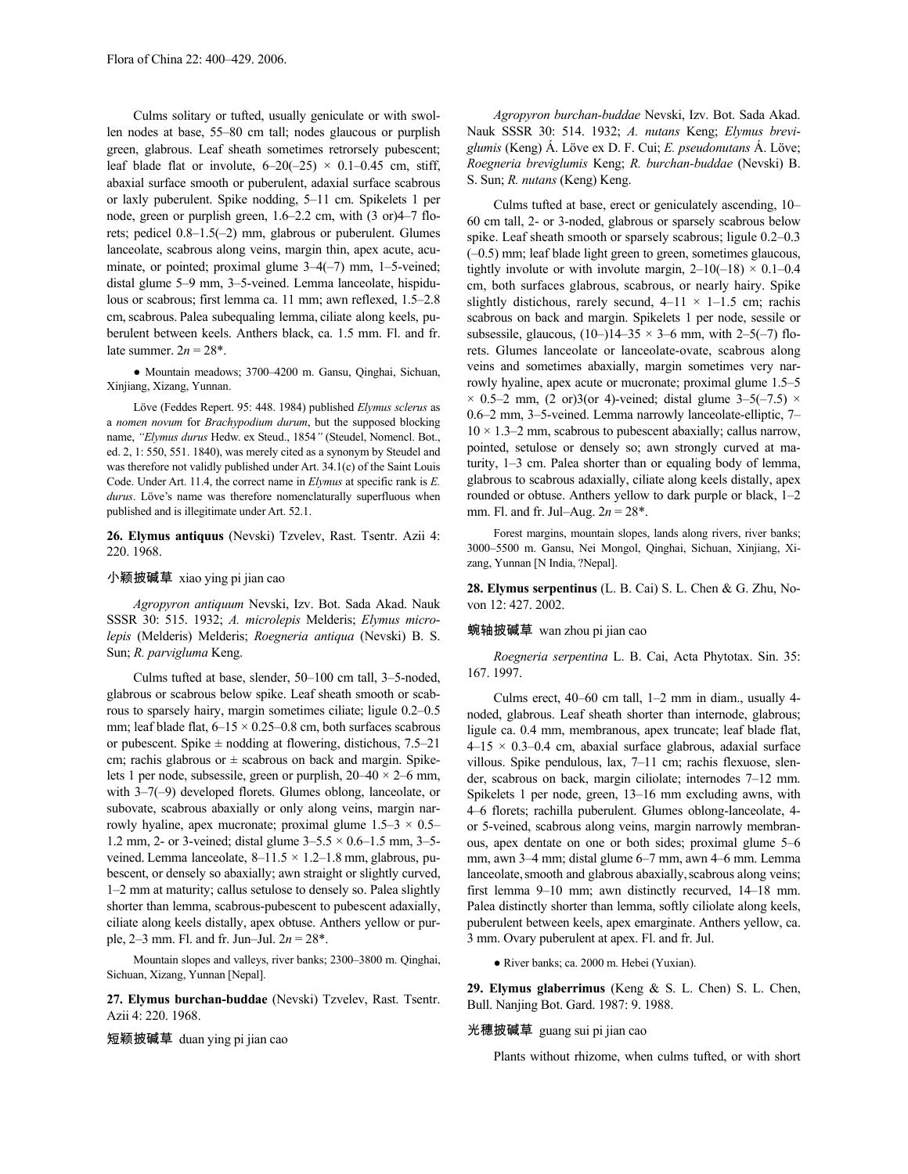Culms solitary or tufted, usually geniculate or with swollen nodes at base, 55–80 cm tall; nodes glaucous or purplish green, glabrous. Leaf sheath sometimes retrorsely pubescent; leaf blade flat or involute,  $6-20(-25) \times 0.1-0.45$  cm, stiff, abaxial surface smooth or puberulent, adaxial surface scabrous or laxly puberulent. Spike nodding, 5–11 cm. Spikelets 1 per node, green or purplish green, 1.6–2.2 cm, with (3 or)4–7 florets; pedicel 0.8–1.5(–2) mm, glabrous or puberulent. Glumes lanceolate, scabrous along veins, margin thin, apex acute, acuminate, or pointed; proximal glume  $3-4(-7)$  mm, 1-5-veined; distal glume 5–9 mm, 3–5-veined. Lemma lanceolate, hispidulous or scabrous; first lemma ca. 11 mm; awn reflexed, 1.5–2.8 cm,scabrous. Palea subequaling lemma, ciliate along keels, puberulent between keels. Anthers black, ca. 1.5 mm. Fl. and fr. late summer.  $2n = 28^*$ .

● Mountain meadows; 3700–4200 m. Gansu, Qinghai, Sichuan, Xinjiang, Xizang, Yunnan.

Löve (Feddes Repert. 95: 448. 1984) published *Elymus sclerus* as a *nomen novum* for *Brachypodium durum*, but the supposed blocking name, *"Elymus durus* Hedw. ex Steud., 1854*"* (Steudel, Nomencl. Bot., ed. 2, 1: 550, 551. 1840), was merely cited as a synonym by Steudel and was therefore not validly published under Art. 34.1(c) of the Saint Louis Code. Under Art. 11.4, the correct name in *Elymus* at specific rank is *E. durus*. Löve's name was therefore nomenclaturally superfluous when published and is illegitimate under Art. 52.1.

**26. Elymus antiquus** (Nevski) Tzvelev, Rast. Tsentr. Azii 4: 220. 1968.

# 小颖披碱草 xiao ying pi jian cao

*Agropyron antiquum* Nevski, Izv. Bot. Sada Akad. Nauk SSSR 30: 515. 1932; *A. microlepis* Melderis; *Elymus microlepis* (Melderis) Melderis; *Roegneria antiqua* (Nevski) B. S. Sun; *R. parvigluma* Keng.

Culms tufted at base, slender, 50–100 cm tall, 3–5-noded, glabrous or scabrous below spike. Leaf sheath smooth or scabrous to sparsely hairy, margin sometimes ciliate; ligule 0.2–0.5 mm; leaf blade flat,  $6-15 \times 0.25-0.8$  cm, both surfaces scabrous or pubescent. Spike  $\pm$  nodding at flowering, distichous, 7.5–21 cm; rachis glabrous or  $\pm$  scabrous on back and margin. Spikelets 1 per node, subsessile, green or purplish, 20–40 × 2–6 mm, with 3–7(–9) developed florets. Glumes oblong, lanceolate, or subovate, scabrous abaxially or only along veins, margin narrowly hyaline, apex mucronate; proximal glume  $1.5-3 \times 0.5-$ 1.2 mm, 2- or 3-veined; distal glume  $3-5.5 \times 0.6-1.5$  mm,  $3-5$ veined. Lemma lanceolate, 8–11.5 × 1.2–1.8 mm, glabrous, pubescent, or densely so abaxially; awn straight or slightly curved, 1–2 mm at maturity; callus setulose to densely so. Palea slightly shorter than lemma, scabrous-pubescent to pubescent adaxially, ciliate along keels distally, apex obtuse. Anthers yellow or purple, 2–3 mm. Fl. and fr. Jun–Jul. 2*n* = 28\*.

Mountain slopes and valleys, river banks; 2300–3800 m. Qinghai, Sichuan, Xizang, Yunnan [Nepal].

**27. Elymus burchan-buddae** (Nevski) Tzvelev, Rast. Tsentr. Azii 4: 220. 1968.

短颖披碱草 duan ying pi jian cao

*Agropyron burchan-buddae* Nevski, Izv. Bot. Sada Akad. Nauk SSSR 30: 514. 1932; *A. nutans* Keng; *Elymus breviglumis* (Keng) Á. Löve ex D. F. Cui; *E. pseudonutans* Á. Löve; *Roegneria breviglumis* Keng; *R. burchan-buddae* (Nevski) B. S. Sun; *R. nutans* (Keng) Keng.

Culms tufted at base, erect or geniculately ascending, 10– 60 cm tall, 2- or 3-noded, glabrous or sparsely scabrous below spike. Leaf sheath smooth or sparsely scabrous; ligule 0.2–0.3 (–0.5) mm; leaf blade light green to green, sometimes glaucous, tightly involute or with involute margin,  $2-10(-18) \times 0.1-0.4$ cm, both surfaces glabrous, scabrous, or nearly hairy. Spike slightly distichous, rarely secund,  $4-11 \times 1-1.5$  cm; rachis scabrous on back and margin. Spikelets 1 per node, sessile or subsessile, glaucous,  $(10-)$ 14–35  $\times$  3–6 mm, with 2–5(–7) florets. Glumes lanceolate or lanceolate-ovate, scabrous along veins and sometimes abaxially, margin sometimes very narrowly hyaline, apex acute or mucronate; proximal glume 1.5–5  $\times$  0.5–2 mm, (2 or)3(or 4)-veined; distal glume 3–5(–7.5)  $\times$ 0.6–2 mm, 3–5-veined. Lemma narrowly lanceolate-elliptic, 7–  $10 \times 1.3 - 2$  mm, scabrous to pubescent abaxially; callus narrow, pointed, setulose or densely so; awn strongly curved at maturity, 1–3 cm. Palea shorter than or equaling body of lemma, glabrous to scabrous adaxially, ciliate along keels distally, apex rounded or obtuse. Anthers yellow to dark purple or black, 1–2 mm. Fl. and fr. Jul–Aug. 2*n* = 28\*.

Forest margins, mountain slopes, lands along rivers, river banks; 3000–5500 m. Gansu, Nei Mongol, Qinghai, Sichuan, Xinjiang, Xizang, Yunnan [N India, ?Nepal].

**28. Elymus serpentinus** (L. B. Cai) S. L. Chen & G. Zhu, Novon 12: 427. 2002.

#### 蜿轴披碱草 wan zhou pi jian cao

*Roegneria serpentina* L. B. Cai, Acta Phytotax. Sin. 35: 167. 1997.

Culms erect, 40–60 cm tall, 1–2 mm in diam., usually 4 noded, glabrous. Leaf sheath shorter than internode, glabrous; ligule ca. 0.4 mm, membranous, apex truncate; leaf blade flat,  $4-15 \times 0.3-0.4$  cm, abaxial surface glabrous, adaxial surface villous. Spike pendulous, lax, 7–11 cm; rachis flexuose, slender, scabrous on back, margin ciliolate; internodes 7–12 mm. Spikelets 1 per node, green, 13–16 mm excluding awns, with 4–6 florets; rachilla puberulent. Glumes oblong-lanceolate, 4 or 5-veined, scabrous along veins, margin narrowly membranous, apex dentate on one or both sides; proximal glume 5–6 mm, awn 3–4 mm; distal glume 6–7 mm, awn 4–6 mm. Lemma lanceolate, smooth and glabrous abaxially, scabrous along veins; first lemma 9–10 mm; awn distinctly recurved, 14–18 mm. Palea distinctly shorter than lemma, softly ciliolate along keels, puberulent between keels, apex emarginate. Anthers yellow, ca. 3 mm. Ovary puberulent at apex. Fl. and fr. Jul.

● River banks; ca. 2000 m. Hebei (Yuxian).

**29. Elymus glaberrimus** (Keng & S. L. Chen) S. L. Chen, Bull. Nanjing Bot. Gard. 1987: 9. 1988.

### 光穗披碱草 guang sui pi jian cao

Plants without rhizome, when culms tufted, or with short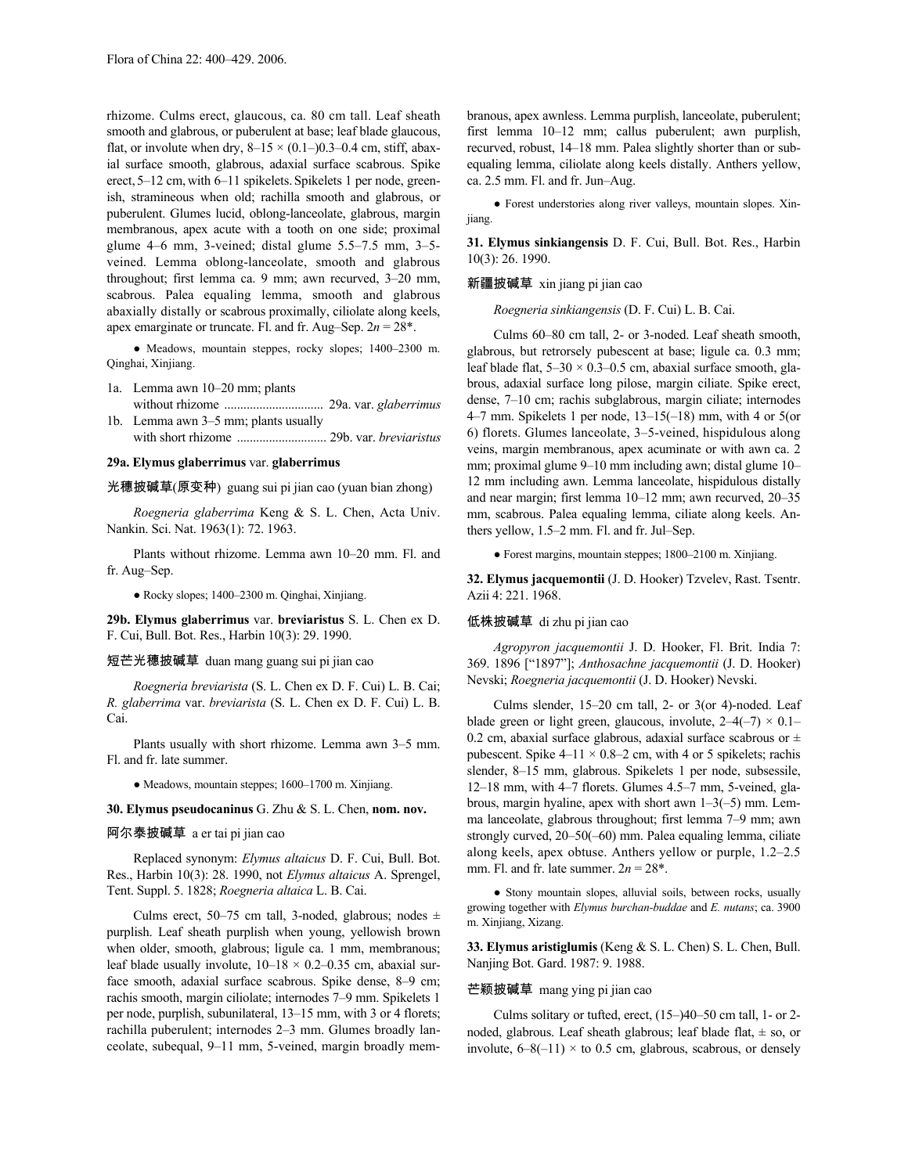rhizome. Culms erect, glaucous, ca. 80 cm tall. Leaf sheath smooth and glabrous, or puberulent at base; leaf blade glaucous, flat, or involute when dry,  $8-15 \times (0.1-)0.3-0.4$  cm, stiff, abaxial surface smooth, glabrous, adaxial surface scabrous. Spike erect, 5–12 cm, with 6–11 spikelets. Spikelets 1 per node, greenish, stramineous when old; rachilla smooth and glabrous, or puberulent. Glumes lucid, oblong-lanceolate, glabrous, margin membranous, apex acute with a tooth on one side; proximal glume 4–6 mm, 3-veined; distal glume 5.5–7.5 mm, 3–5 veined. Lemma oblong-lanceolate, smooth and glabrous throughout; first lemma ca. 9 mm; awn recurved, 3–20 mm, scabrous. Palea equaling lemma, smooth and glabrous abaxially distally or scabrous proximally, ciliolate along keels, apex emarginate or truncate. Fl. and fr. Aug–Sep. 2*n* = 28\*.

● Meadows, mountain steppes, rocky slopes; 1400–2300 m. Qinghai, Xinjiang.

- 1a. Lemma awn 10–20 mm; plants without rhizome ............................... 29a. var. *glaberrimus*
- 1b. Lemma awn 3–5 mm; plants usually with short rhizome ............................ 29b. var. *breviaristus*

# **29a. Elymus glaberrimus** var. **glaberrimus**

光穗披碱草(原变种) guang sui pi jian cao (yuan bian zhong)

*Roegneria glaberrima* Keng & S. L. Chen, Acta Univ. Nankin. Sci. Nat. 1963(1): 72. 1963.

Plants without rhizome. Lemma awn 10–20 mm. Fl. and fr. Aug–Sep.

● Rocky slopes; 1400–2300 m. Qinghai, Xinjiang.

**29b. Elymus glaberrimus** var. **breviaristus** S. L. Chen ex D. F. Cui, Bull. Bot. Res., Harbin 10(3): 29. 1990.

### 短芒光穗披碱草 duan mang guang sui pi jian cao

*Roegneria breviarista* (S. L. Chen ex D. F. Cui) L. B. Cai; *R. glaberrima* var. *breviarista* (S. L. Chen ex D. F. Cui) L. B. Cai.

Plants usually with short rhizome. Lemma awn 3–5 mm. Fl. and fr. late summer.

● Meadows, mountain steppes; 1600–1700 m. Xinjiang.

#### **30. Elymus pseudocaninus** G. Zhu & S. L. Chen, **nom. nov.**

# 阿尔泰披碱草 a er tai pi jian cao

Replaced synonym: *Elymus altaicus* D. F. Cui, Bull. Bot. Res., Harbin 10(3): 28. 1990, not *Elymus altaicus* A. Sprengel, Tent. Suppl. 5. 1828; *Roegneria altaica* L. B. Cai.

Culms erect, 50–75 cm tall, 3-noded, glabrous; nodes  $\pm$ purplish. Leaf sheath purplish when young, yellowish brown when older, smooth, glabrous; ligule ca. 1 mm, membranous; leaf blade usually involute,  $10-18 \times 0.2-0.35$  cm, abaxial surface smooth, adaxial surface scabrous. Spike dense, 8–9 cm; rachis smooth, margin ciliolate; internodes 7–9 mm. Spikelets 1 per node, purplish, subunilateral, 13–15 mm, with 3 or 4 florets; rachilla puberulent; internodes 2–3 mm. Glumes broadly lanceolate, subequal, 9–11 mm, 5-veined, margin broadly membranous, apex awnless. Lemma purplish, lanceolate, puberulent; first lemma 10–12 mm; callus puberulent; awn purplish, recurved, robust, 14–18 mm. Palea slightly shorter than or subequaling lemma, ciliolate along keels distally. Anthers yellow, ca. 2.5 mm. Fl. and fr. Jun–Aug.

● Forest understories along river valleys, mountain slopes. Xinjiang.

**31. Elymus sinkiangensis** D. F. Cui, Bull. Bot. Res., Harbin 10(3): 26. 1990.

## 新疆披碱草 xin jiang pi jian cao

*Roegneria sinkiangensis* (D. F. Cui) L. B. Cai.

Culms 60–80 cm tall, 2- or 3-noded. Leaf sheath smooth, glabrous, but retrorsely pubescent at base; ligule ca. 0.3 mm; leaf blade flat,  $5-30 \times 0.3-0.5$  cm, abaxial surface smooth, glabrous, adaxial surface long pilose, margin ciliate. Spike erect, dense, 7–10 cm; rachis subglabrous, margin ciliate; internodes 4–7 mm. Spikelets 1 per node, 13–15(–18) mm, with 4 or 5(or 6) florets. Glumes lanceolate, 3–5-veined, hispidulous along veins, margin membranous, apex acuminate or with awn ca. 2 mm; proximal glume 9–10 mm including awn; distal glume 10– 12 mm including awn. Lemma lanceolate, hispidulous distally and near margin; first lemma 10–12 mm; awn recurved, 20–35 mm, scabrous. Palea equaling lemma, ciliate along keels. Anthers yellow, 1.5–2 mm. Fl. and fr. Jul–Sep.

● Forest margins, mountain steppes; 1800–2100 m. Xinjiang.

**32. Elymus jacquemontii** (J. D. Hooker) Tzvelev, Rast. Tsentr. Azii 4: 221. 1968.

#### 低株披碱草 di zhu pi jian cao

*Agropyron jacquemontii* J. D. Hooker, Fl. Brit. India 7: 369. 1896 ["1897"]; *Anthosachne jacquemontii* (J. D. Hooker) Nevski; *Roegneria jacquemontii* (J. D. Hooker) Nevski.

Culms slender, 15–20 cm tall, 2- or 3(or 4)-noded. Leaf blade green or light green, glaucous, involute,  $2-4(-7) \times 0.1-$ 0.2 cm, abaxial surface glabrous, adaxial surface scabrous or  $\pm$ pubescent. Spike  $4-11 \times 0.8-2$  cm, with 4 or 5 spikelets; rachis slender, 8–15 mm, glabrous. Spikelets 1 per node, subsessile, 12–18 mm, with 4–7 florets. Glumes 4.5–7 mm, 5-veined, glabrous, margin hyaline, apex with short awn 1–3(–5) mm. Lemma lanceolate, glabrous throughout; first lemma 7–9 mm; awn strongly curved, 20–50(–60) mm. Palea equaling lemma, ciliate along keels, apex obtuse. Anthers yellow or purple, 1.2–2.5 mm. Fl. and fr. late summer.  $2n = 28^*$ .

● Stony mountain slopes, alluvial soils, between rocks, usually growing together with *Elymus burchan-buddae* and *E. nutans*; ca. 3900 m. Xinjiang, Xizang.

**33. Elymus aristiglumis** (Keng & S. L. Chen) S. L. Chen, Bull. Nanjing Bot. Gard. 1987: 9. 1988.

# 芒颖披碱草 mang ying pi jian cao

Culms solitary or tufted, erect, (15–)40–50 cm tall, 1- or 2 noded, glabrous. Leaf sheath glabrous; leaf blade flat,  $\pm$  so, or involute,  $6-8(-11) \times$  to 0.5 cm, glabrous, scabrous, or densely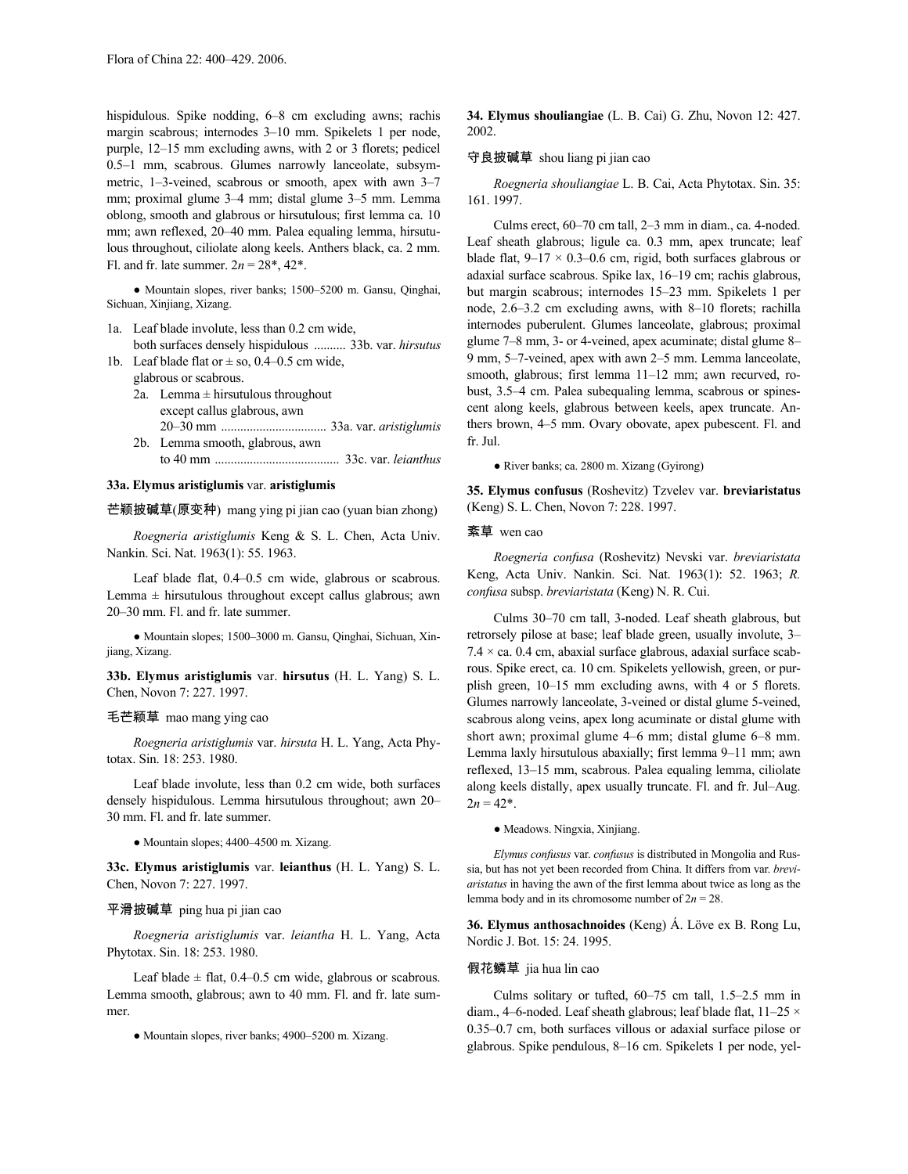hispidulous. Spike nodding, 6–8 cm excluding awns; rachis margin scabrous; internodes 3–10 mm. Spikelets 1 per node, purple, 12–15 mm excluding awns, with 2 or 3 florets; pedicel 0.5–1 mm, scabrous. Glumes narrowly lanceolate, subsymmetric, 1–3-veined, scabrous or smooth, apex with awn 3–7 mm; proximal glume 3–4 mm; distal glume 3–5 mm. Lemma oblong, smooth and glabrous or hirsutulous; first lemma ca. 10 mm; awn reflexed, 20–40 mm. Palea equaling lemma, hirsutulous throughout, ciliolate along keels. Anthers black, ca. 2 mm. Fl. and fr. late summer.  $2n = 28^*$ ,  $42^*$ .

● Mountain slopes, river banks; 1500–5200 m. Gansu, Qinghai, Sichuan, Xinjiang, Xizang.

1a. Leaf blade involute, less than 0.2 cm wide, both surfaces densely hispidulous .......... 33b. var. *hirsutus*

- 1b. Leaf blade flat or  $\pm$  so, 0.4–0.5 cm wide, glabrous or scabrous.
	- 2a. Lemma  $\pm$  hirsutulous throughout except callus glabrous, awn 20–30 mm ................................. 33a. var. *aristiglumis*
	- 2b. Lemma smooth, glabrous, awn to 40 mm ....................................... 33c. var. *leianthus*

# **33a. Elymus aristiglumis** var. **aristiglumis**

# 芒颖披碱草(原变种) mang ying pi jian cao (yuan bian zhong)

*Roegneria aristiglumis* Keng & S. L. Chen, Acta Univ. Nankin. Sci. Nat. 1963(1): 55. 1963.

Leaf blade flat, 0.4–0.5 cm wide, glabrous or scabrous. Lemma  $\pm$  hirsutulous throughout except callus glabrous; awn 20–30 mm. Fl. and fr. late summer.

● Mountain slopes; 1500–3000 m. Gansu, Qinghai, Sichuan, Xinjiang, Xizang.

**33b. Elymus aristiglumis** var. **hirsutus** (H. L. Yang) S. L. Chen, Novon 7: 227. 1997.

### 毛芒颖草 mao mang ying cao

*Roegneria aristiglumis* var. *hirsuta* H. L. Yang, Acta Phytotax. Sin. 18: 253. 1980.

Leaf blade involute, less than 0.2 cm wide, both surfaces densely hispidulous. Lemma hirsutulous throughout; awn 20– 30 mm. Fl. and fr. late summer.

● Mountain slopes; 4400–4500 m. Xizang.

**33c. Elymus aristiglumis** var. **leianthus** (H. L. Yang) S. L. Chen, Novon 7: 227. 1997.

#### 平滑披碱草 ping hua pi jian cao

*Roegneria aristiglumis* var. *leiantha* H. L. Yang, Acta Phytotax. Sin. 18: 253. 1980.

Leaf blade  $\pm$  flat, 0.4–0.5 cm wide, glabrous or scabrous. Lemma smooth, glabrous; awn to 40 mm. Fl. and fr. late summer.

● Mountain slopes, river banks; 4900–5200 m. Xizang.

**34. Elymus shouliangiae** (L. B. Cai) G. Zhu, Novon 12: 427. 2002.

### 守良披碱草 shou liang pi jian cao

*Roegneria shouliangiae* L. B. Cai, Acta Phytotax. Sin. 35: 161. 1997.

Culms erect, 60–70 cm tall, 2–3 mm in diam., ca. 4-noded. Leaf sheath glabrous; ligule ca. 0.3 mm, apex truncate; leaf blade flat,  $9-17 \times 0.3-0.6$  cm, rigid, both surfaces glabrous or adaxial surface scabrous. Spike lax, 16–19 cm; rachis glabrous, but margin scabrous; internodes 15–23 mm. Spikelets 1 per node, 2.6–3.2 cm excluding awns, with 8–10 florets; rachilla internodes puberulent. Glumes lanceolate, glabrous; proximal glume 7–8 mm, 3- or 4-veined, apex acuminate; distal glume 8– 9 mm, 5–7-veined, apex with awn 2–5 mm. Lemma lanceolate, smooth, glabrous; first lemma 11-12 mm; awn recurved, robust, 3.5–4 cm. Palea subequaling lemma, scabrous or spinescent along keels, glabrous between keels, apex truncate. Anthers brown, 4–5 mm. Ovary obovate, apex pubescent. Fl. and fr. Jul.

● River banks; ca. 2800 m. Xizang (Gyirong)

**35. Elymus confusus** (Roshevitz) Tzvelev var. **breviaristatus** (Keng) S. L. Chen, Novon 7: 228. 1997.

### 紊草 wen cao

*Roegneria confusa* (Roshevitz) Nevski var. *breviaristata* Keng, Acta Univ. Nankin. Sci. Nat. 1963(1): 52. 1963; *R. confusa* subsp. *breviaristata* (Keng) N. R. Cui.

Culms 30–70 cm tall, 3-noded. Leaf sheath glabrous, but retrorsely pilose at base; leaf blade green, usually involute, 3–  $7.4 \times$  ca. 0.4 cm, abaxial surface glabrous, adaxial surface scabrous. Spike erect, ca. 10 cm. Spikelets yellowish, green, or purplish green, 10–15 mm excluding awns, with 4 or 5 florets. Glumes narrowly lanceolate, 3-veined or distal glume 5-veined, scabrous along veins, apex long acuminate or distal glume with short awn; proximal glume 4–6 mm; distal glume 6–8 mm. Lemma laxly hirsutulous abaxially; first lemma 9–11 mm; awn reflexed, 13–15 mm, scabrous. Palea equaling lemma, ciliolate along keels distally, apex usually truncate. Fl. and fr. Jul–Aug.  $2n = 42^*$ .

● Meadows. Ningxia, Xinjiang.

*Elymus confusus* var. *confusus* is distributed in Mongolia and Russia, but has not yet been recorded from China. It differs from var. *breviaristatus* in having the awn of the first lemma about twice as long as the lemma body and in its chromosome number of  $2n = 28$ .

**36. Elymus anthosachnoides** (Keng) Á. Löve ex B. Rong Lu, Nordic J. Bot. 15: 24. 1995.

# 假花鳞草 jia hua lin cao

Culms solitary or tufted, 60–75 cm tall, 1.5–2.5 mm in diam., 4–6-noded. Leaf sheath glabrous; leaf blade flat, 11–25 × 0.35–0.7 cm, both surfaces villous or adaxial surface pilose or glabrous. Spike pendulous, 8–16 cm. Spikelets 1 per node, yel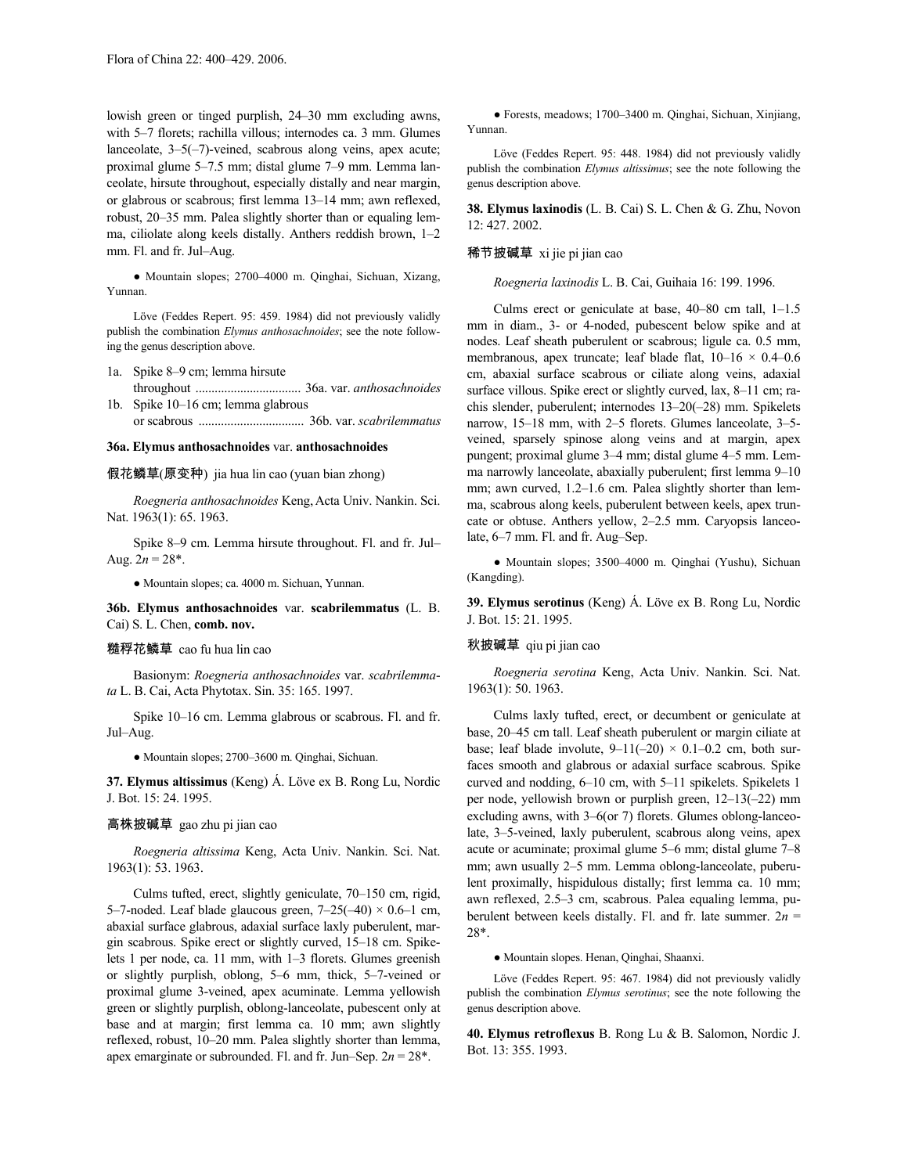lowish green or tinged purplish, 24–30 mm excluding awns, with 5–7 florets; rachilla villous; internodes ca. 3 mm. Glumes lanceolate,  $3-5(-7)$ -veined, scabrous along veins, apex acute; proximal glume 5–7.5 mm; distal glume 7–9 mm. Lemma lanceolate, hirsute throughout, especially distally and near margin, or glabrous or scabrous; first lemma 13–14 mm; awn reflexed, robust, 20–35 mm. Palea slightly shorter than or equaling lemma, ciliolate along keels distally. Anthers reddish brown, 1–2 mm. Fl. and fr. Jul–Aug.

● Mountain slopes; 2700–4000 m. Qinghai, Sichuan, Xizang, Yunnan.

Löve (Feddes Repert. 95: 459. 1984) did not previously validly publish the combination *Elymus anthosachnoides*; see the note following the genus description above.

1a. Spike 8–9 cm; lemma hirsute

- throughout ................................. 36a. var. *anthosachnoides* 1b. Spike 10–16 cm; lemma glabrous
- or scabrous ................................. 36b. var. *scabrilemmatus*

# **36a. Elymus anthosachnoides** var. **anthosachnoides**

假花鳞草(原变种) jia hua lin cao (yuan bian zhong)

*Roegneria anthosachnoides* Keng,Acta Univ. Nankin. Sci. Nat. 1963(1): 65, 1963.

Spike 8–9 cm. Lemma hirsute throughout. Fl. and fr. Jul– Aug.  $2n = 28^*$ .

● Mountain slopes; ca. 4000 m. Sichuan, Yunnan.

**36b. Elymus anthosachnoides** var. **scabrilemmatus** (L. B. Cai) S. L. Chen, **comb. nov.**

#### 糙稃花鳞草 cao fu hua lin cao

Basionym: *Roegneria anthosachnoides* var. *scabrilemmata* L. B. Cai, Acta Phytotax. Sin. 35: 165. 1997.

Spike 10–16 cm. Lemma glabrous or scabrous. Fl. and fr. Jul–Aug.

● Mountain slopes; 2700–3600 m. Qinghai, Sichuan.

**37. Elymus altissimus** (Keng) Á. Löve ex B. Rong Lu, Nordic J. Bot. 15: 24. 1995.

#### 高株披碱草 gao zhu pi jian cao

*Roegneria altissima* Keng, Acta Univ. Nankin. Sci. Nat. 1963(1): 53. 1963.

Culms tufted, erect, slightly geniculate, 70–150 cm, rigid, 5–7-noded. Leaf blade glaucous green,  $7-25(-40) \times 0.6-1$  cm, abaxial surface glabrous, adaxial surface laxly puberulent, margin scabrous. Spike erect or slightly curved, 15–18 cm. Spikelets 1 per node, ca. 11 mm, with 1–3 florets. Glumes greenish or slightly purplish, oblong, 5–6 mm, thick, 5–7-veined or proximal glume 3-veined, apex acuminate. Lemma yellowish green or slightly purplish, oblong-lanceolate, pubescent only at base and at margin; first lemma ca. 10 mm; awn slightly reflexed, robust, 10–20 mm. Palea slightly shorter than lemma, apex emarginate or subrounded. Fl. and fr. Jun–Sep. 2*n* = 28\*.

● Forests, meadows; 1700–3400 m. Qinghai, Sichuan, Xinjiang, Yunnan.

Löve (Feddes Repert. 95: 448. 1984) did not previously validly publish the combination *Elymus altissimus*; see the note following the genus description above.

**38. Elymus laxinodis** (L. B. Cai) S. L. Chen & G. Zhu, Novon 12: 427. 2002.

#### 稀节披碱草 xi jie pi jian cao

*Roegneria laxinodis* L. B. Cai, Guihaia 16: 199. 1996.

Culms erect or geniculate at base, 40–80 cm tall, 1–1.5 mm in diam., 3- or 4-noded, pubescent below spike and at nodes. Leaf sheath puberulent or scabrous; ligule ca. 0.5 mm, membranous, apex truncate; leaf blade flat, 10–16 × 0.4–0.6 cm, abaxial surface scabrous or ciliate along veins, adaxial surface villous. Spike erect or slightly curved, lax, 8–11 cm; rachis slender, puberulent; internodes 13–20(–28) mm. Spikelets narrow, 15–18 mm, with 2–5 florets. Glumes lanceolate, 3–5 veined, sparsely spinose along veins and at margin, apex pungent; proximal glume 3–4 mm; distal glume 4–5 mm. Lemma narrowly lanceolate, abaxially puberulent; first lemma 9–10 mm; awn curved, 1.2–1.6 cm. Palea slightly shorter than lemma, scabrous along keels, puberulent between keels, apex truncate or obtuse. Anthers yellow, 2–2.5 mm. Caryopsis lanceolate, 6–7 mm. Fl. and fr. Aug–Sep.

● Mountain slopes; 3500–4000 m. Qinghai (Yushu), Sichuan (Kangding).

**39. Elymus serotinus** (Keng) Á. Löve ex B. Rong Lu, Nordic J. Bot. 15: 21. 1995.

# 秋披碱草 qiu pi jian cao

*Roegneria serotina* Keng, Acta Univ. Nankin. Sci. Nat. 1963(1): 50. 1963.

Culms laxly tufted, erect, or decumbent or geniculate at base, 20–45 cm tall. Leaf sheath puberulent or margin ciliate at base; leaf blade involute,  $9-11(-20) \times 0.1-0.2$  cm, both surfaces smooth and glabrous or adaxial surface scabrous. Spike curved and nodding, 6–10 cm, with 5–11 spikelets. Spikelets 1 per node, yellowish brown or purplish green, 12–13(–22) mm excluding awns, with 3–6(or 7) florets. Glumes oblong-lanceolate, 3–5-veined, laxly puberulent, scabrous along veins, apex acute or acuminate; proximal glume 5–6 mm; distal glume 7–8 mm; awn usually 2–5 mm. Lemma oblong-lanceolate, puberulent proximally, hispidulous distally; first lemma ca. 10 mm; awn reflexed, 2.5–3 cm, scabrous. Palea equaling lemma, puberulent between keels distally. Fl. and fr. late summer.  $2n =$ 28\*.

● Mountain slopes. Henan, Qinghai, Shaanxi.

Löve (Feddes Repert. 95: 467. 1984) did not previously validly publish the combination *Elymus serotinus*; see the note following the genus description above.

**40. Elymus retroflexus** B. Rong Lu & B. Salomon, Nordic J. Bot. 13: 355. 1993.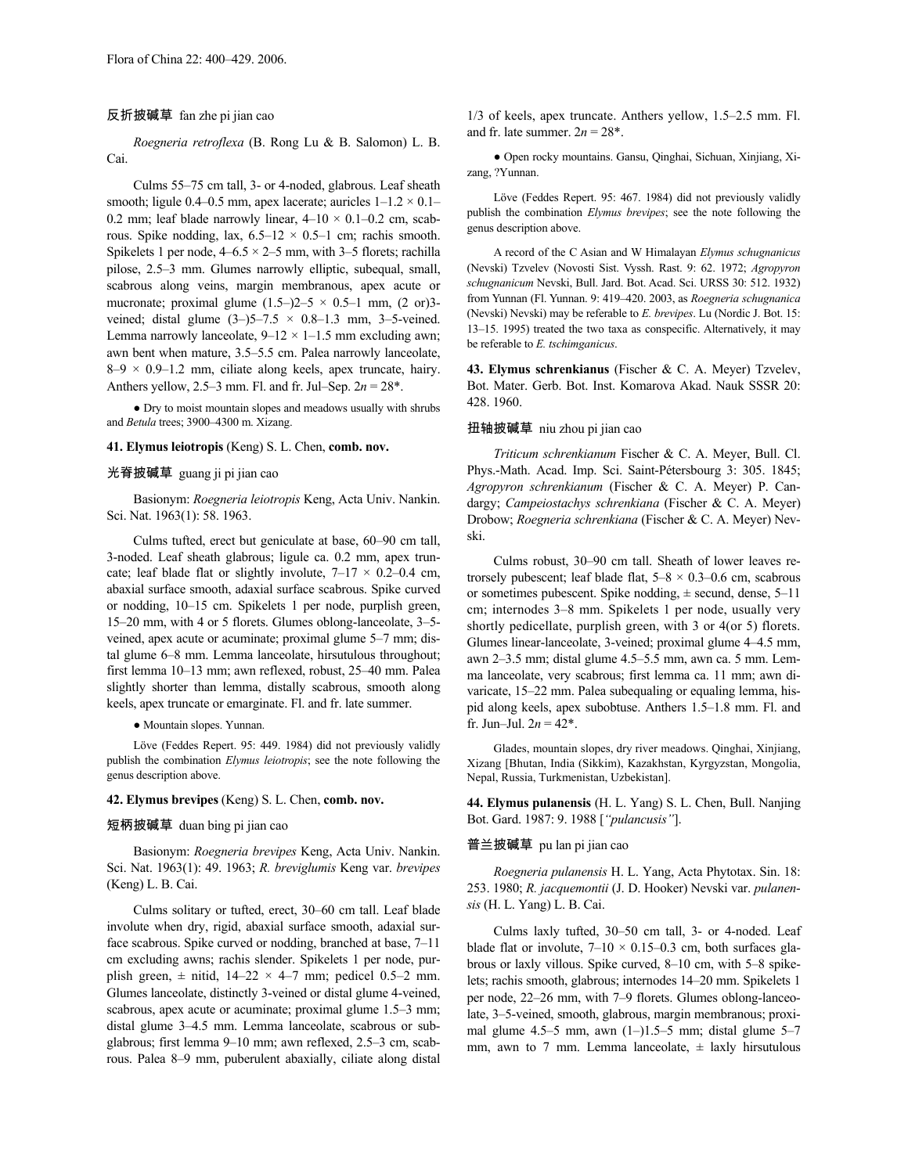### 反折披碱草 fan zhe pi jian cao

*Roegneria retroflexa* (B. Rong Lu & B. Salomon) L. B. Cai.

Culms 55–75 cm tall, 3- or 4-noded, glabrous. Leaf sheath smooth; ligule 0.4–0.5 mm, apex lacerate; auricles  $1-1.2 \times 0.1-$ 0.2 mm; leaf blade narrowly linear,  $4-10 \times 0.1-0.2$  cm, scabrous. Spike nodding, lax,  $6.5-12 \times 0.5-1$  cm; rachis smooth. Spikelets 1 per node,  $4-6.5 \times 2-5$  mm, with 3-5 florets; rachilla pilose, 2.5–3 mm. Glumes narrowly elliptic, subequal, small, scabrous along veins, margin membranous, apex acute or mucronate; proximal glume  $(1.5-2)2-5 \times 0.5-1$  mm,  $(2 \text{ or } 3-1)$ veined; distal glume  $(3-)$ 5-7.5  $\times$  0.8-1.3 mm, 3-5-veined. Lemma narrowly lanceolate,  $9-12 \times 1-1.5$  mm excluding awn; awn bent when mature, 3.5–5.5 cm. Palea narrowly lanceolate,  $8-9 \times 0.9-1.2$  mm, ciliate along keels, apex truncate, hairy. Anthers yellow, 2.5–3 mm. Fl. and fr. Jul–Sep. 2*n* = 28\*.

● Dry to moist mountain slopes and meadows usually with shrubs and *Betula* trees; 3900–4300 m. Xizang.

# **41. Elymus leiotropis** (Keng) S. L. Chen, **comb. nov.**

#### 光脊披碱草 guang ji pi jian cao

Basionym: *Roegneria leiotropis* Keng, Acta Univ. Nankin. Sci. Nat. 1963(1): 58. 1963.

Culms tufted, erect but geniculate at base, 60–90 cm tall, 3-noded. Leaf sheath glabrous; ligule ca. 0.2 mm, apex truncate; leaf blade flat or slightly involute,  $7-17 \times 0.2-0.4$  cm, abaxial surface smooth, adaxial surface scabrous. Spike curved or nodding, 10–15 cm. Spikelets 1 per node, purplish green, 15–20 mm, with 4 or 5 florets. Glumes oblong-lanceolate, 3–5 veined, apex acute or acuminate; proximal glume 5–7 mm; distal glume 6–8 mm. Lemma lanceolate, hirsutulous throughout; first lemma 10–13 mm; awn reflexed, robust, 25–40 mm. Palea slightly shorter than lemma, distally scabrous, smooth along keels, apex truncate or emarginate. Fl. and fr. late summer.

● Mountain slopes. Yunnan.

Löve (Feddes Repert. 95: 449. 1984) did not previously validly publish the combination *Elymus leiotropis*; see the note following the genus description above.

#### **42. Elymus brevipes** (Keng) S. L. Chen, **comb. nov.**

# 短柄披碱草 duan bing pi jian cao

Basionym: *Roegneria brevipes* Keng, Acta Univ. Nankin. Sci. Nat. 1963(1): 49. 1963; *R. breviglumis* Keng var. *brevipes* (Keng) L. B. Cai.

Culms solitary or tufted, erect, 30–60 cm tall. Leaf blade involute when dry, rigid, abaxial surface smooth, adaxial surface scabrous. Spike curved or nodding, branched at base, 7–11 cm excluding awns; rachis slender. Spikelets 1 per node, purplish green,  $\pm$  nitid, 14–22  $\times$  4–7 mm; pedicel 0.5–2 mm. Glumes lanceolate, distinctly 3-veined or distal glume 4-veined, scabrous, apex acute or acuminate; proximal glume 1.5–3 mm; distal glume 3–4.5 mm. Lemma lanceolate, scabrous or subglabrous; first lemma 9–10 mm; awn reflexed, 2.5–3 cm, scabrous. Palea 8–9 mm, puberulent abaxially, ciliate along distal 1/3 of keels, apex truncate. Anthers yellow, 1.5–2.5 mm. Fl. and fr. late summer.  $2n = 28^*$ .

● Open rocky mountains. Gansu, Qinghai, Sichuan, Xinjiang, Xizang, ?Yunnan.

Löve (Feddes Repert. 95: 467. 1984) did not previously validly publish the combination *Elymus brevipes*; see the note following the genus description above.

A record of the C Asian and W Himalayan *Elymus schugnanicus* (Nevski) Tzvelev (Novosti Sist. Vyssh. Rast. 9: 62. 1972; *Agropyron schugnanicum* Nevski, Bull. Jard. Bot. Acad. Sci. URSS 30: 512. 1932) from Yunnan (Fl. Yunnan. 9: 419–420. 2003, as *Roegneria schugnanica* (Nevski) Nevski) may be referable to *E. brevipes*. Lu (Nordic J. Bot. 15: 13–15. 1995) treated the two taxa as conspecific. Alternatively, it may be referable to *E. tschimganicus*.

**43. Elymus schrenkianus** (Fischer & C. A. Meyer) Tzvelev, Bot. Mater. Gerb. Bot. Inst. Komarova Akad. Nauk SSSR 20: 428. 1960.

# 扭轴披碱草 niu zhou pi jian cao

*Triticum schrenkianum* Fischer & C. A. Meyer, Bull. Cl. Phys.-Math. Acad. Imp. Sci. Saint-Pétersbourg 3: 305. 1845; *Agropyron schrenkianum* (Fischer & C. A. Meyer) P. Candargy; *Campeiostachys schrenkiana* (Fischer & C. A. Meyer) Drobow; *Roegneria schrenkiana* (Fischer & C. A. Meyer) Nevski.

Culms robust, 30–90 cm tall. Sheath of lower leaves retrorsely pubescent; leaf blade flat,  $5-8 \times 0.3-0.6$  cm, scabrous or sometimes pubescent. Spike nodding,  $\pm$  secund, dense, 5–11 cm; internodes 3–8 mm. Spikelets 1 per node, usually very shortly pedicellate, purplish green, with 3 or 4(or 5) florets. Glumes linear-lanceolate, 3-veined; proximal glume 4–4.5 mm, awn 2–3.5 mm; distal glume 4.5–5.5 mm, awn ca. 5 mm. Lemma lanceolate, very scabrous; first lemma ca. 11 mm; awn divaricate, 15–22 mm. Palea subequaling or equaling lemma, hispid along keels, apex subobtuse. Anthers 1.5–1.8 mm. Fl. and fr. Jun–Jul.  $2n = 42^*$ .

Glades, mountain slopes, dry river meadows. Qinghai, Xinjiang, Xizang [Bhutan, India (Sikkim), Kazakhstan, Kyrgyzstan, Mongolia, Nepal, Russia, Turkmenistan, Uzbekistan].

**44. Elymus pulanensis** (H. L. Yang) S. L. Chen, Bull. Nanjing Bot. Gard. 1987: 9. 1988 [*"pulancusis"*].

#### 普兰披碱草 pu lan pi jian cao

*Roegneria pulanensis* H. L. Yang, Acta Phytotax. Sin. 18: 253. 1980; *R. jacquemontii* (J. D. Hooker) Nevski var. *pulanensis* (H. L. Yang) L. B. Cai.

Culms laxly tufted, 30–50 cm tall, 3- or 4-noded. Leaf blade flat or involute,  $7-10 \times 0.15-0.3$  cm, both surfaces glabrous or laxly villous. Spike curved, 8–10 cm, with 5–8 spikelets; rachis smooth, glabrous; internodes 14–20 mm. Spikelets 1 per node, 22–26 mm, with 7–9 florets. Glumes oblong-lanceolate, 3–5-veined, smooth, glabrous, margin membranous; proximal glume  $4.5-5$  mm, awn  $(1-)1.5-5$  mm; distal glume  $5-7$ mm, awn to 7 mm. Lemma lanceolate,  $\pm$  laxly hirsutulous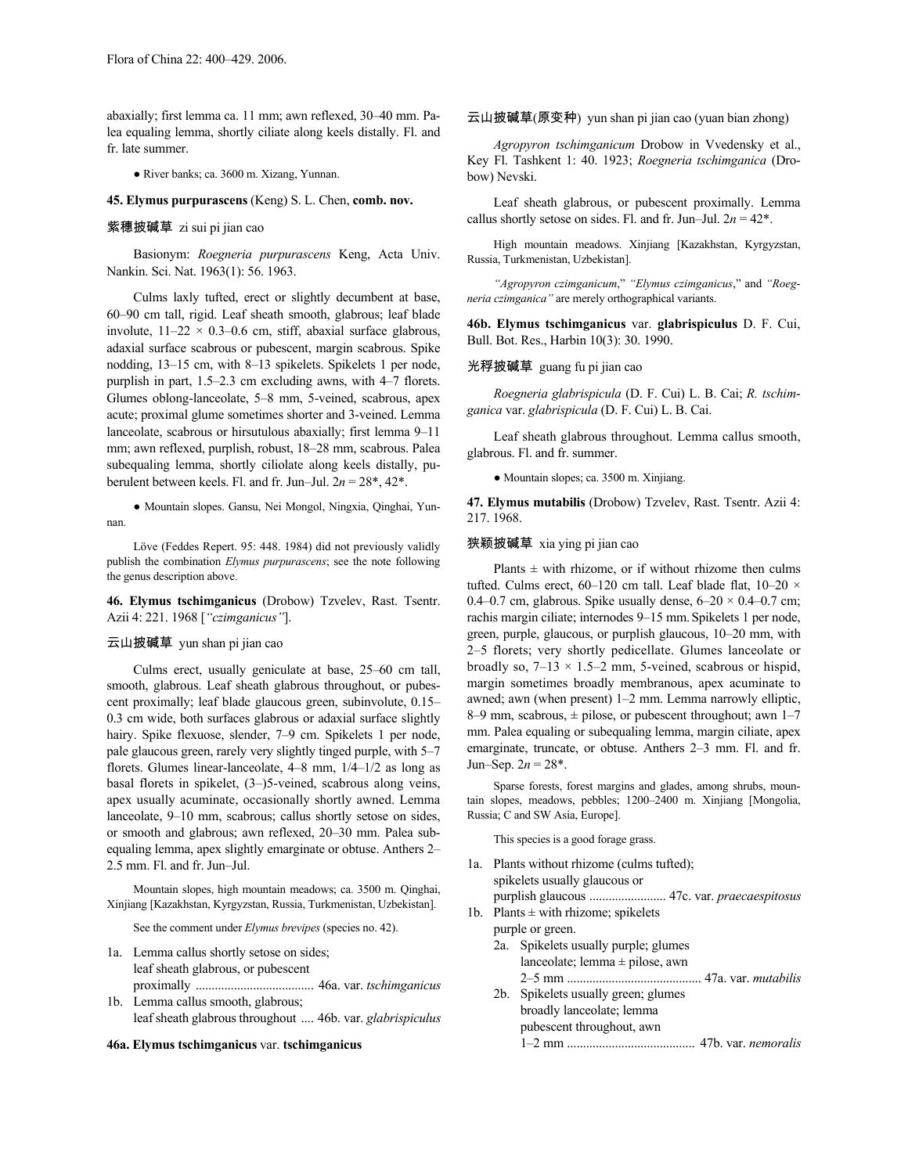abaxially; first lemma ca. 11 mm; awn reflexed, 30–40 mm. Palea equaling lemma, shortly ciliate along keels distally. Fl. and fr. late summer.

● River banks; ca. 3600 m. Xizang, Yunnan.

**45. Elymus purpurascens** (Keng) S. L. Chen, **comb. nov.**

# 紫穗披碱草 zi sui pi jian cao

Basionym: *Roegneria purpurascens* Keng, Acta Univ. Nankin. Sci. Nat. 1963(1): 56. 1963.

Culms laxly tufted, erect or slightly decumbent at base, 60–90 cm tall, rigid. Leaf sheath smooth, glabrous; leaf blade involute,  $11-22 \times 0.3-0.6$  cm, stiff, abaxial surface glabrous, adaxial surface scabrous or pubescent, margin scabrous. Spike nodding, 13–15 cm, with 8–13 spikelets. Spikelets 1 per node, purplish in part, 1.5–2.3 cm excluding awns, with 4–7 florets. Glumes oblong-lanceolate, 5–8 mm, 5-veined, scabrous, apex acute; proximal glume sometimes shorter and 3-veined. Lemma lanceolate, scabrous or hirsutulous abaxially; first lemma 9–11 mm; awn reflexed, purplish, robust, 18–28 mm, scabrous. Palea subequaling lemma, shortly ciliolate along keels distally, puberulent between keels. Fl. and fr. Jun–Jul.  $2n = 28^*$ ,  $42^*$ .

● Mountain slopes. Gansu, Nei Mongol, Ningxia, Qinghai, Yunnan.

Löve (Feddes Repert. 95: 448. 1984) did not previously validly publish the combination *Elymus purpurascens*; see the note following the genus description above.

**46. Elymus tschimganicus** (Drobow) Tzvelev, Rast. Tsentr. Azii 4: 221. 1968 [*"czimganicus"*].

### 云山披碱草 yun shan pi jian cao

Culms erect, usually geniculate at base, 25–60 cm tall, smooth, glabrous. Leaf sheath glabrous throughout, or pubescent proximally; leaf blade glaucous green, subinvolute, 0.15– 0.3 cm wide, both surfaces glabrous or adaxial surface slightly hairy. Spike flexuose, slender, 7-9 cm. Spikelets 1 per node, pale glaucous green, rarely very slightly tinged purple, with 5–7 florets. Glumes linear-lanceolate, 4–8 mm, 1/4–1/2 as long as basal florets in spikelet, (3–)5-veined, scabrous along veins, apex usually acuminate, occasionally shortly awned. Lemma lanceolate, 9–10 mm, scabrous; callus shortly setose on sides, or smooth and glabrous; awn reflexed, 20–30 mm. Palea subequaling lemma, apex slightly emarginate or obtuse. Anthers 2– 2.5 mm. Fl. and fr. Jun–Jul.

Mountain slopes, high mountain meadows; ca. 3500 m. Qinghai, Xinjiang [Kazakhstan, Kyrgyzstan, Russia, Turkmenistan, Uzbekistan].

See the comment under *Elymus brevipes* (species no. 42).

- 1a. Lemma callus shortly setose on sides; leaf sheath glabrous, or pubescent proximally ..................................... 46a. var. *tschimganicus*
- 1b. Lemma callus smooth, glabrous; leafsheath glabrous throughout .... 46b. var. *glabrispiculus*

#### **46a. Elymus tschimganicus** var. **tschimganicus**

云山披碱草(原变种) yun shan pi jian cao (yuan bian zhong)

*Agropyron tschimganicum* Drobow in Vvedensky et al., Key Fl. Tashkent 1: 40. 1923; *Roegneria tschimganica* (Drobow) Nevski.

Leaf sheath glabrous, or pubescent proximally. Lemma callus shortly setose on sides. Fl. and fr. Jun–Jul.  $2n = 42^*$ .

High mountain meadows. Xinjiang [Kazakhstan, Kyrgyzstan, Russia, Turkmenistan, Uzbekistan].

*"Agropyron czimganicum*," *"Elymus czimganicus*," and *"Roegneria czimganica"* are merely orthographical variants.

**46b. Elymus tschimganicus** var. **glabrispiculus** D. F. Cui, Bull. Bot. Res., Harbin 10(3): 30. 1990.

# 光稃披碱草 guang fu pi jian cao

*Roegneria glabrispicula* (D. F. Cui) L. B. Cai; *R. tschimganica* var. *glabrispicula* (D. F. Cui) L. B. Cai.

Leaf sheath glabrous throughout. Lemma callus smooth, glabrous. Fl. and fr. summer.

● Mountain slopes; ca. 3500 m. Xinjiang.

**47. Elymus mutabilis** (Drobow) Tzvelev, Rast. Tsentr. Azii 4: 217. 1968.

#### 狭颖披碱草 xia ying pi jian cao

Plants  $\pm$  with rhizome, or if without rhizome then culms tufted. Culms erect, 60-120 cm tall. Leaf blade flat, 10-20  $\times$ 0.4–0.7 cm, glabrous. Spike usually dense,  $6-20 \times 0.4$ –0.7 cm; rachis margin ciliate; internodes 9–15 mm.Spikelets 1 per node, green, purple, glaucous, or purplish glaucous, 10–20 mm, with 2–5 florets; very shortly pedicellate. Glumes lanceolate or broadly so,  $7-13 \times 1.5-2$  mm, 5-veined, scabrous or hispid, margin sometimes broadly membranous, apex acuminate to awned; awn (when present) 1–2 mm. Lemma narrowly elliptic, 8–9 mm, scabrous,  $\pm$  pilose, or pubescent throughout; awn 1–7 mm. Palea equaling or subequaling lemma, margin ciliate, apex emarginate, truncate, or obtuse. Anthers 2–3 mm. Fl. and fr. Jun–Sep.  $2n = 28$ <sup>\*</sup>.

Sparse forests, forest margins and glades, among shrubs, mountain slopes, meadows, pebbles; 1200–2400 m. Xinjiang [Mongolia, Russia; C and SW Asia, Europe].

This species is a good forage grass.

- 1a. Plants without rhizome (culms tufted); spikelets usually glaucous or purplish glaucous ........................ 47c. var. *praecaespitosus* 1b. Plants  $\pm$  with rhizome; spikelets purple or green. 2a. Spikelets usually purple; glumes
	- lanceolate; lemma ± pilose, awn 2–5 mm .......................................... 47a. var. *mutabilis* 2b. Spikelets usually green; glumes broadly lanceolate; lemma pubescent throughout, awn 1–2 mm ........................................ 47b. var. *nemoralis*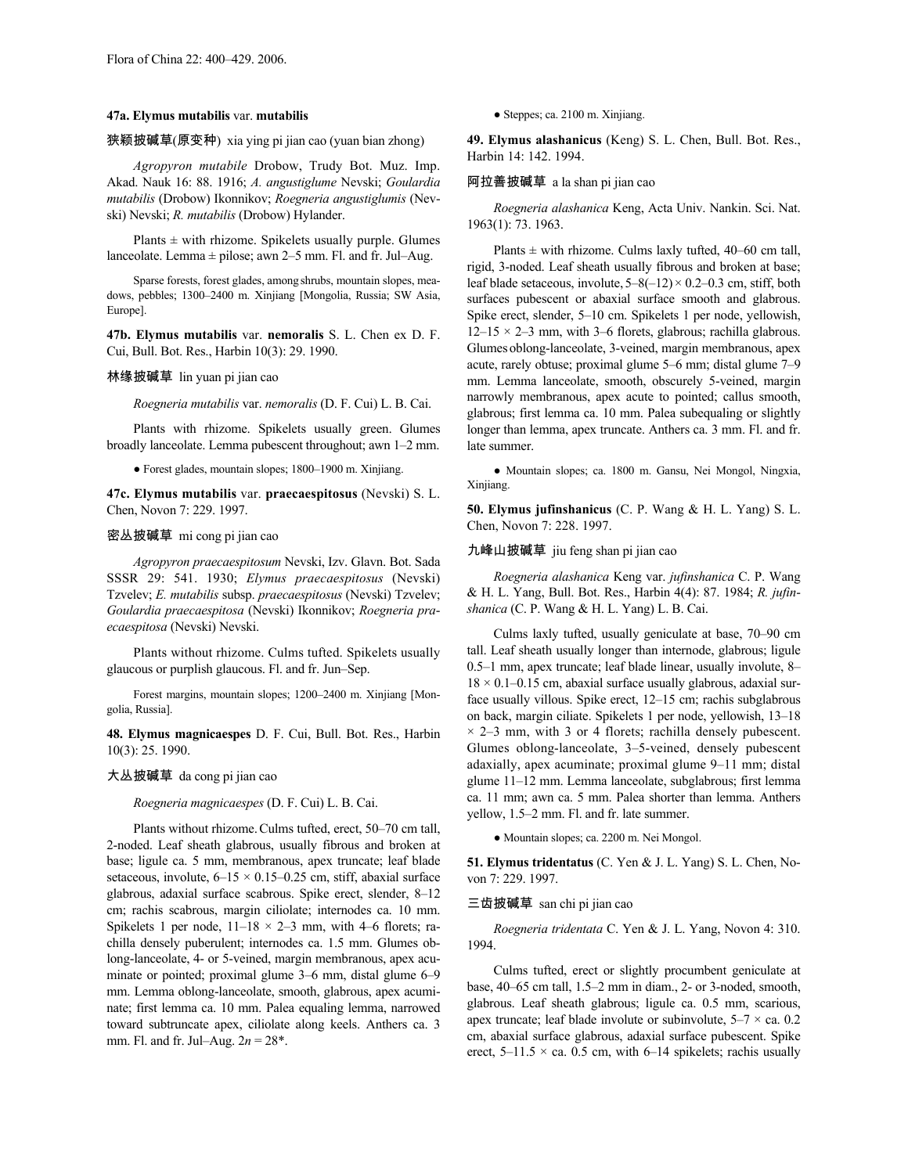#### **47a. Elymus mutabilis** var. **mutabilis**

# 狭颖披碱草(原变种) xia ying pi jian cao (yuan bian zhong)

*Agropyron mutabile* Drobow, Trudy Bot. Muz. Imp. Akad. Nauk 16: 88. 1916; *A. angustiglume* Nevski; *Goulardia mutabilis* (Drobow) Ikonnikov; *Roegneria angustiglumis* (Nevski) Nevski; *R. mutabilis* (Drobow) Hylander.

Plants  $\pm$  with rhizome. Spikelets usually purple. Glumes lanceolate. Lemma ± pilose; awn 2–5 mm. Fl. and fr. Jul–Aug.

Sparse forests, forest glades, among shrubs, mountain slopes, meadows, pebbles; 1300–2400 m. Xinjiang [Mongolia, Russia; SW Asia, Europe].

**47b. Elymus mutabilis** var. **nemoralis** S. L. Chen ex D. F. Cui, Bull. Bot. Res., Harbin 10(3): 29. 1990.

#### 林缘披碱草 lin yuan pi jian cao

*Roegneria mutabilis* var. *nemoralis* (D. F. Cui) L. B. Cai.

Plants with rhizome. Spikelets usually green. Glumes broadly lanceolate. Lemma pubescent throughout; awn 1–2 mm.

● Forest glades, mountain slopes; 1800–1900 m. Xinjiang.

**47c. Elymus mutabilis** var. **praecaespitosus** (Nevski) S. L. Chen, Novon 7: 229. 1997.

#### 密丛披碱草 mi cong pi jian cao

*Agropyron praecaespitosum* Nevski, Izv. Glavn. Bot. Sada SSSR 29: 541. 1930; *Elymus praecaespitosus* (Nevski) Tzvelev; *E. mutabilis* subsp. *praecaespitosus* (Nevski) Tzvelev; *Goulardia praecaespitosa* (Nevski) Ikonnikov; *Roegneria praecaespitosa* (Nevski) Nevski.

Plants without rhizome. Culms tufted. Spikelets usually glaucous or purplish glaucous. Fl. and fr. Jun–Sep.

Forest margins, mountain slopes; 1200–2400 m. Xinjiang [Mongolia, Russia].

**48. Elymus magnicaespes** D. F. Cui, Bull. Bot. Res., Harbin 10(3): 25. 1990.

## 大丛披碱草 da cong pi jian cao

#### *Roegneria magnicaespes* (D. F. Cui) L. B. Cai.

Plants without rhizome.Culms tufted, erect, 50–70 cm tall, 2-noded. Leaf sheath glabrous, usually fibrous and broken at base; ligule ca. 5 mm, membranous, apex truncate; leaf blade setaceous, involute,  $6-15 \times 0.15-0.25$  cm, stiff, abaxial surface glabrous, adaxial surface scabrous. Spike erect, slender, 8–12 cm; rachis scabrous, margin ciliolate; internodes ca. 10 mm. Spikelets 1 per node,  $11-18 \times 2-3$  mm, with 4–6 florets; rachilla densely puberulent; internodes ca. 1.5 mm. Glumes oblong-lanceolate, 4- or 5-veined, margin membranous, apex acuminate or pointed; proximal glume 3–6 mm, distal glume 6–9 mm. Lemma oblong-lanceolate, smooth, glabrous, apex acuminate; first lemma ca. 10 mm. Palea equaling lemma, narrowed toward subtruncate apex, ciliolate along keels. Anthers ca. 3 mm. Fl. and fr. Jul–Aug. 2*n* = 28\*.

● Steppes; ca. 2100 m. Xinjiang.

**49. Elymus alashanicus** (Keng) S. L. Chen, Bull. Bot. Res., Harbin 14: 142. 1994.

#### 阿拉善披碱草 a la shan pi jian cao

*Roegneria alashanica* Keng, Acta Univ. Nankin. Sci. Nat. 1963(1): 73. 1963.

Plants  $\pm$  with rhizome. Culms laxly tufted, 40–60 cm tall, rigid, 3-noded. Leaf sheath usually fibrous and broken at base; leaf blade setaceous, involute,  $5-8(-12) \times 0.2-0.3$  cm, stiff, both surfaces pubescent or abaxial surface smooth and glabrous. Spike erect, slender, 5–10 cm. Spikelets 1 per node, yellowish,  $12-15 \times 2-3$  mm, with 3-6 florets, glabrous; rachilla glabrous. Glumes oblong-lanceolate, 3-veined, margin membranous, apex acute, rarely obtuse; proximal glume 5–6 mm; distal glume 7–9 mm. Lemma lanceolate, smooth, obscurely 5-veined, margin narrowly membranous, apex acute to pointed; callus smooth, glabrous; first lemma ca. 10 mm. Palea subequaling or slightly longer than lemma, apex truncate. Anthers ca. 3 mm. Fl. and fr. late summer.

● Mountain slopes; ca. 1800 m. Gansu, Nei Mongol, Ningxia, Xinjiang.

**50. Elymus jufinshanicus** (C. P. Wang & H. L. Yang) S. L. Chen, Novon 7: 228. 1997.

# 九峰山披碱草 jiu feng shan pi jian cao

*Roegneria alashanica* Keng var. *jufinshanica* C. P. Wang & H. L. Yang, Bull. Bot. Res., Harbin 4(4): 87. 1984; *R. jufinshanica* (C. P. Wang & H. L. Yang) L. B. Cai.

Culms laxly tufted, usually geniculate at base, 70–90 cm tall. Leaf sheath usually longer than internode, glabrous; ligule 0.5–1 mm, apex truncate; leaf blade linear, usually involute, 8–  $18 \times 0.1 - 0.15$  cm, abaxial surface usually glabrous, adaxial surface usually villous. Spike erect, 12–15 cm; rachis subglabrous on back, margin ciliate. Spikelets 1 per node, yellowish, 13–18  $\times$  2–3 mm, with 3 or 4 florets; rachilla densely pubescent. Glumes oblong-lanceolate, 3–5-veined, densely pubescent adaxially, apex acuminate; proximal glume 9–11 mm; distal glume 11–12 mm. Lemma lanceolate, subglabrous; first lemma ca. 11 mm; awn ca. 5 mm. Palea shorter than lemma. Anthers yellow, 1.5–2 mm. Fl. and fr. late summer.

● Mountain slopes; ca. 2200 m. Nei Mongol.

**51. Elymus tridentatus** (C. Yen & J. L. Yang) S. L. Chen, Novon 7: 229. 1997.

#### 三齿披碱草 san chi pi jian cao

*Roegneria tridentata* C. Yen & J. L. Yang, Novon 4: 310. 1994.

Culms tufted, erect or slightly procumbent geniculate at base, 40–65 cm tall, 1.5–2 mm in diam., 2- or 3-noded, smooth, glabrous. Leaf sheath glabrous; ligule ca. 0.5 mm, scarious, apex truncate; leaf blade involute or subinvolute,  $5-7 \times$  ca. 0.2 cm, abaxial surface glabrous, adaxial surface pubescent. Spike erect,  $5-11.5 \times$  ca. 0.5 cm, with 6–14 spikelets; rachis usually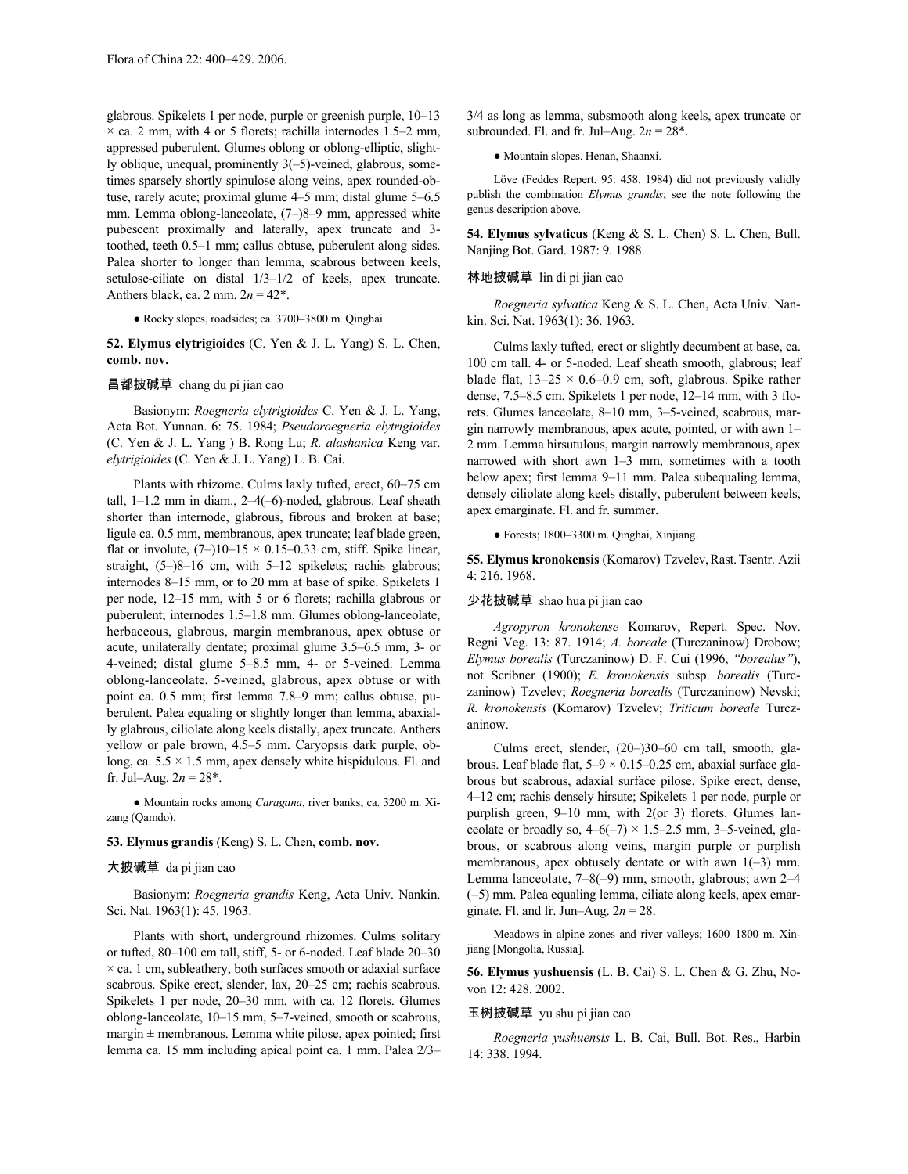glabrous. Spikelets 1 per node, purple or greenish purple, 10–13  $\times$  ca. 2 mm, with 4 or 5 florets; rachilla internodes 1.5–2 mm, appressed puberulent. Glumes oblong or oblong-elliptic, slightly oblique, unequal, prominently 3(–5)-veined, glabrous, sometimes sparsely shortly spinulose along veins, apex rounded-obtuse, rarely acute; proximal glume 4–5 mm; distal glume 5–6.5 mm. Lemma oblong-lanceolate, (7–)8–9 mm, appressed white pubescent proximally and laterally, apex truncate and 3 toothed, teeth 0.5–1 mm; callus obtuse, puberulent along sides. Palea shorter to longer than lemma, scabrous between keels, setulose-ciliate on distal 1/3–1/2 of keels, apex truncate. Anthers black, ca. 2 mm.  $2n = 42^*$ .

● Rocky slopes, roadsides; ca. 3700–3800 m. Qinghai.

**52. Elymus elytrigioides** (C. Yen & J. L. Yang) S. L. Chen, **comb. nov.**

#### 昌都披碱草 chang du pi jian cao

Basionym: *Roegneria elytrigioides* C. Yen & J. L. Yang, Acta Bot. Yunnan. 6: 75. 1984; *Pseudoroegneria elytrigioides* (C. Yen & J. L. Yang ) B. Rong Lu; *R. alashanica* Keng var. *elytrigioides* (C. Yen & J. L. Yang) L. B. Cai.

Plants with rhizome. Culms laxly tufted, erect, 60–75 cm tall, 1–1.2 mm in diam., 2–4(–6)-noded, glabrous. Leaf sheath shorter than internode, glabrous, fibrous and broken at base; ligule ca. 0.5 mm, membranous, apex truncate; leaf blade green, flat or involute,  $(7-)10-15 \times 0.15-0.33$  cm, stiff. Spike linear, straight, (5–)8–16 cm, with 5–12 spikelets; rachis glabrous; internodes 8–15 mm, or to 20 mm at base of spike. Spikelets 1 per node, 12–15 mm, with 5 or 6 florets; rachilla glabrous or puberulent; internodes 1.5–1.8 mm. Glumes oblong-lanceolate, herbaceous, glabrous, margin membranous, apex obtuse or acute, unilaterally dentate; proximal glume 3.5–6.5 mm, 3- or 4-veined; distal glume 5–8.5 mm, 4- or 5-veined. Lemma oblong-lanceolate, 5-veined, glabrous, apex obtuse or with point ca. 0.5 mm; first lemma 7.8–9 mm; callus obtuse, puberulent. Palea equaling or slightly longer than lemma, abaxially glabrous, ciliolate along keels distally, apex truncate. Anthers yellow or pale brown, 4.5–5 mm. Caryopsis dark purple, oblong, ca.  $5.5 \times 1.5$  mm, apex densely white hispidulous. Fl. and fr. Jul–Aug.  $2n = 28^*$ .

● Mountain rocks among *Caragana*, river banks; ca. 3200 m. Xizang (Qamdo).

### **53. Elymus grandis** (Keng) S. L. Chen, **comb. nov.**

#### 大披碱草 da pi jian cao

Basionym: *Roegneria grandis* Keng, Acta Univ. Nankin. Sci. Nat. 1963(1): 45. 1963.

Plants with short, underground rhizomes. Culms solitary or tufted, 80–100 cm tall, stiff, 5- or 6-noded. Leaf blade 20–30  $\times$  ca. 1 cm, subleathery, both surfaces smooth or adaxial surface scabrous. Spike erect, slender, lax, 20–25 cm; rachis scabrous. Spikelets 1 per node, 20–30 mm, with ca. 12 florets. Glumes oblong-lanceolate, 10–15 mm, 5–7-veined, smooth or scabrous, margin  $\pm$  membranous. Lemma white pilose, apex pointed; first lemma ca. 15 mm including apical point ca. 1 mm. Palea 2/3–

3/4 as long as lemma, subsmooth along keels, apex truncate or subrounded. Fl. and fr. Jul–Aug.  $2n = 28$ <sup>\*</sup>.

● Mountain slopes. Henan, Shaanxi.

Löve (Feddes Repert. 95: 458. 1984) did not previously validly publish the combination *Elymus grandis*; see the note following the genus description above.

**54. Elymus sylvaticus** (Keng & S. L. Chen) S. L. Chen, Bull. Nanjing Bot. Gard. 1987: 9. 1988.

#### 林地披碱草 lin di pi jian cao

*Roegneria sylvatica* Keng & S. L. Chen, Acta Univ. Nankin. Sci. Nat. 1963(1): 36. 1963.

Culms laxly tufted, erect or slightly decumbent at base, ca. 100 cm tall. 4- or 5-noded. Leaf sheath smooth, glabrous; leaf blade flat,  $13-25 \times 0.6-0.9$  cm, soft, glabrous. Spike rather dense, 7.5–8.5 cm. Spikelets 1 per node, 12–14 mm, with 3 florets. Glumes lanceolate, 8–10 mm, 3–5-veined, scabrous, margin narrowly membranous, apex acute, pointed, or with awn 1– 2 mm. Lemma hirsutulous, margin narrowly membranous, apex narrowed with short awn 1–3 mm, sometimes with a tooth below apex; first lemma 9–11 mm. Palea subequaling lemma, densely ciliolate along keels distally, puberulent between keels, apex emarginate. Fl. and fr. summer.

● Forests; 1800–3300 m. Qinghai, Xinjiang.

55. Elymus kronokensis (Komarov) Tzvelev, Rast. Tsentr. Azii 4: 216. 1968.

#### 少花披碱草 shao hua pi jian cao

*Agropyron kronokense* Komarov, Repert. Spec. Nov. Regni Veg. 13: 87. 1914; *A. boreale* (Turczaninow) Drobow; *Elymus borealis* (Turczaninow) D. F. Cui (1996, *"borealus"*), not Scribner (1900); *E. kronokensis* subsp. *borealis* (Turczaninow) Tzvelev; *Roegneria borealis* (Turczaninow) Nevski; *R. kronokensis* (Komarov) Tzvelev; *Triticum boreale* Turczaninow.

Culms erect, slender, (20–)30–60 cm tall, smooth, glabrous. Leaf blade flat, 5–9 × 0.15–0.25 cm, abaxial surface glabrous but scabrous, adaxial surface pilose. Spike erect, dense, 4–12 cm; rachis densely hirsute; Spikelets 1 per node, purple or purplish green, 9–10 mm, with 2(or 3) florets. Glumes lanceolate or broadly so,  $4-6(-7) \times 1.5-2.5$  mm, 3-5-veined, glabrous, or scabrous along veins, margin purple or purplish membranous, apex obtusely dentate or with awn  $1(-3)$  mm. Lemma lanceolate, 7–8(–9) mm, smooth, glabrous; awn 2–4 (–5) mm. Palea equaling lemma, ciliate along keels, apex emarginate. Fl. and fr. Jun–Aug. 2*n* = 28.

Meadows in alpine zones and river valleys; 1600–1800 m. Xinjiang [Mongolia, Russia].

**56. Elymus yushuensis** (L. B. Cai) S. L. Chen & G. Zhu, Novon 12: 428. 2002.

#### 玉树披碱草 yu shu pi jian cao

*Roegneria yushuensis* L. B. Cai, Bull. Bot. Res., Harbin 14: 338. 1994.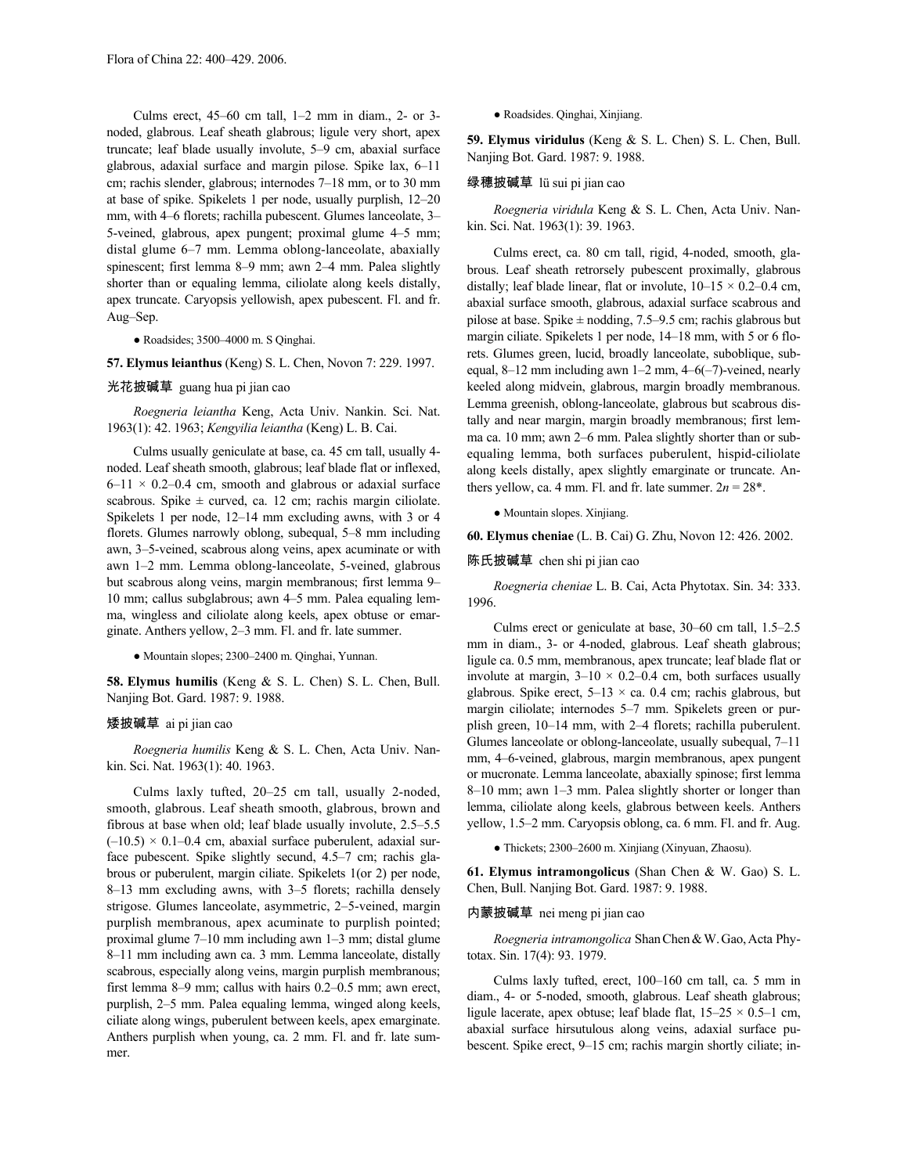Culms erect, 45–60 cm tall, 1–2 mm in diam., 2- or 3 noded, glabrous. Leaf sheath glabrous; ligule very short, apex truncate; leaf blade usually involute, 5–9 cm, abaxial surface glabrous, adaxial surface and margin pilose. Spike lax, 6–11 cm; rachis slender, glabrous; internodes 7–18 mm, or to 30 mm at base of spike. Spikelets 1 per node, usually purplish, 12–20 mm, with 4–6 florets; rachilla pubescent. Glumes lanceolate, 3– 5-veined, glabrous, apex pungent; proximal glume 4–5 mm; distal glume 6–7 mm. Lemma oblong-lanceolate, abaxially spinescent; first lemma 8–9 mm; awn 2–4 mm. Palea slightly shorter than or equaling lemma, ciliolate along keels distally, apex truncate. Caryopsis yellowish, apex pubescent. Fl. and fr. Aug–Sep.

#### ● Roadsides; 3500–4000 m. S Qinghai.

**57. Elymus leianthus** (Keng) S. L. Chen, Novon 7: 229. 1997.

#### 光花披碱草 guang hua pi jian cao

*Roegneria leiantha* Keng, Acta Univ. Nankin. Sci. Nat. 1963(1): 42. 1963; *Kengyilia leiantha* (Keng) L. B. Cai.

Culms usually geniculate at base, ca. 45 cm tall, usually 4 noded. Leaf sheath smooth, glabrous; leaf blade flat or inflexed,  $6-11 \times 0.2-0.4$  cm, smooth and glabrous or adaxial surface scabrous. Spike  $\pm$  curved, ca. 12 cm; rachis margin ciliolate. Spikelets 1 per node, 12–14 mm excluding awns, with 3 or 4 florets. Glumes narrowly oblong, subequal, 5–8 mm including awn, 3–5-veined, scabrous along veins, apex acuminate or with awn 1–2 mm. Lemma oblong-lanceolate, 5-veined, glabrous but scabrous along veins, margin membranous; first lemma 9– 10 mm; callus subglabrous; awn 4–5 mm. Palea equaling lemma, wingless and ciliolate along keels, apex obtuse or emarginate. Anthers yellow, 2–3 mm. Fl. and fr. late summer.

● Mountain slopes; 2300–2400 m. Qinghai, Yunnan.

**58. Elymus humilis** (Keng & S. L. Chen) S. L. Chen, Bull. Nanjing Bot. Gard. 1987: 9. 1988.

#### 矮披碱草 ai pi jian cao

*Roegneria humilis* Keng & S. L. Chen, Acta Univ. Nankin. Sci. Nat. 1963(1): 40. 1963.

Culms laxly tufted, 20–25 cm tall, usually 2-noded, smooth, glabrous. Leaf sheath smooth, glabrous, brown and fibrous at base when old; leaf blade usually involute, 2.5–5.5  $(-10.5)$  × 0.1–0.4 cm, abaxial surface puberulent, adaxial surface pubescent. Spike slightly secund, 4.5–7 cm; rachis glabrous or puberulent, margin ciliate. Spikelets 1(or 2) per node, 8–13 mm excluding awns, with 3–5 florets; rachilla densely strigose. Glumes lanceolate, asymmetric, 2–5-veined, margin purplish membranous, apex acuminate to purplish pointed; proximal glume 7–10 mm including awn 1–3 mm; distal glume 8–11 mm including awn ca. 3 mm. Lemma lanceolate, distally scabrous, especially along veins, margin purplish membranous; first lemma 8–9 mm; callus with hairs 0.2–0.5 mm; awn erect, purplish, 2–5 mm. Palea equaling lemma, winged along keels, ciliate along wings, puberulent between keels, apex emarginate. Anthers purplish when young, ca. 2 mm. Fl. and fr. late summer.

● Roadsides. Qinghai, Xinjiang.

**59. Elymus viridulus** (Keng & S. L. Chen) S. L. Chen, Bull. Nanjing Bot. Gard. 1987: 9. 1988.

#### 绿穗披碱草 lü sui pi jian cao

*Roegneria viridula* Keng & S. L. Chen, Acta Univ. Nankin. Sci. Nat. 1963(1): 39. 1963.

Culms erect, ca. 80 cm tall, rigid, 4-noded, smooth, glabrous. Leaf sheath retrorsely pubescent proximally, glabrous distally; leaf blade linear, flat or involute,  $10-15 \times 0.2-0.4$  cm, abaxial surface smooth, glabrous, adaxial surface scabrous and pilose at base. Spike  $\pm$  nodding, 7.5–9.5 cm; rachis glabrous but margin ciliate. Spikelets 1 per node, 14–18 mm, with 5 or 6 florets. Glumes green, lucid, broadly lanceolate, suboblique, subequal, 8–12 mm including awn 1–2 mm, 4–6(–7)-veined, nearly keeled along midvein, glabrous, margin broadly membranous. Lemma greenish, oblong-lanceolate, glabrous but scabrous distally and near margin, margin broadly membranous; first lemma ca. 10 mm; awn 2–6 mm. Palea slightly shorter than or subequaling lemma, both surfaces puberulent, hispid-ciliolate along keels distally, apex slightly emarginate or truncate. Anthers yellow, ca. 4 mm. Fl. and fr. late summer.  $2n = 28^*$ .

● Mountain slopes. Xinjiang.

**60. Elymus cheniae** (L. B. Cai) G. Zhu, Novon 12: 426. 2002.

陈氏披碱草 chen shi pi jian cao

*Roegneria cheniae* L. B. Cai, Acta Phytotax. Sin. 34: 333. 1996.

Culms erect or geniculate at base, 30–60 cm tall, 1.5–2.5 mm in diam., 3- or 4-noded, glabrous. Leaf sheath glabrous; ligule ca. 0.5 mm, membranous, apex truncate; leaf blade flat or involute at margin,  $3-10 \times 0.2-0.4$  cm, both surfaces usually glabrous. Spike erect,  $5-13 \times$  ca. 0.4 cm; rachis glabrous, but margin ciliolate; internodes 5–7 mm. Spikelets green or purplish green, 10–14 mm, with 2–4 florets; rachilla puberulent. Glumes lanceolate or oblong-lanceolate, usually subequal, 7–11 mm, 4–6-veined, glabrous, margin membranous, apex pungent or mucronate. Lemma lanceolate, abaxially spinose; first lemma 8–10 mm; awn 1–3 mm. Palea slightly shorter or longer than lemma, ciliolate along keels, glabrous between keels. Anthers yellow, 1.5–2 mm. Caryopsis oblong, ca. 6 mm. Fl. and fr. Aug.

● Thickets; 2300–2600 m. Xinjiang (Xinyuan, Zhaosu).

**61. Elymus intramongolicus** (Shan Chen & W. Gao) S. L. Chen, Bull. Nanjing Bot. Gard. 1987: 9. 1988.

#### 内蒙披碱草 nei meng pi jian cao

*Roegneria intramongolica* ShanChen&W.Gao,Acta Phytotax. Sin. 17(4): 93. 1979.

Culms laxly tufted, erect, 100–160 cm tall, ca. 5 mm in diam., 4- or 5-noded, smooth, glabrous. Leaf sheath glabrous; ligule lacerate, apex obtuse; leaf blade flat,  $15-25 \times 0.5-1$  cm, abaxial surface hirsutulous along veins, adaxial surface pubescent. Spike erect, 9–15 cm; rachis margin shortly ciliate; in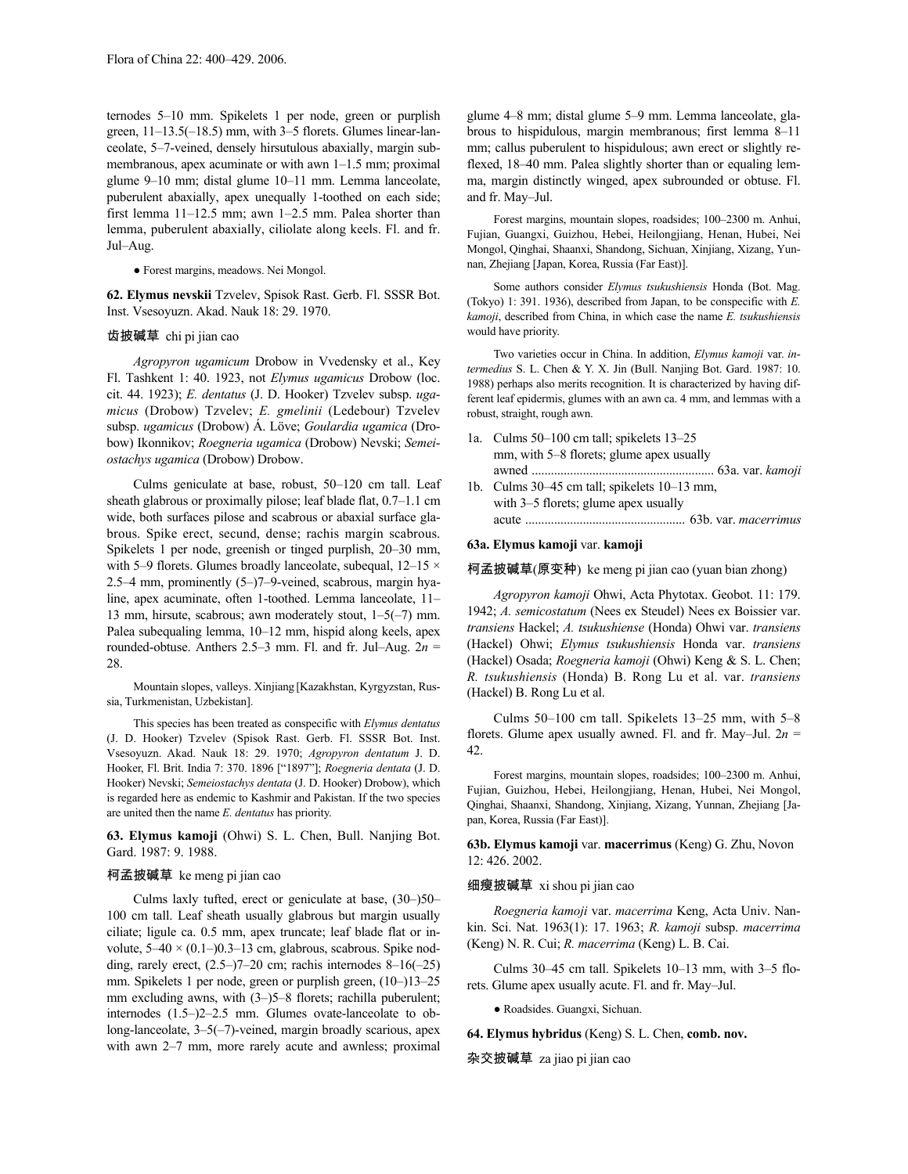ternodes 5–10 mm. Spikelets 1 per node, green or purplish green, 11–13.5(–18.5) mm, with 3–5 florets. Glumes linear-lanceolate, 5–7-veined, densely hirsutulous abaxially, margin submembranous, apex acuminate or with awn 1–1.5 mm; proximal glume 9–10 mm; distal glume 10–11 mm. Lemma lanceolate, puberulent abaxially, apex unequally 1-toothed on each side; first lemma 11–12.5 mm; awn 1–2.5 mm. Palea shorter than lemma, puberulent abaxially, ciliolate along keels. Fl. and fr. Jul–Aug.

#### ● Forest margins, meadows. Nei Mongol.

**62. Elymus nevskii** Tzvelev, Spisok Rast. Gerb. Fl. SSSR Bot. Inst. Vsesoyuzn. Akad. Nauk 18: 29. 1970.

#### 齿披碱草 chi pi jian cao

*Agropyron ugamicum* Drobow in Vvedensky et al., Key Fl. Tashkent 1: 40. 1923, not *Elymus ugamicus* Drobow (loc. cit. 44. 1923); *E. dentatus* (J. D. Hooker) Tzvelev subsp. *ugamicus* (Drobow) Tzvelev; *E. gmelinii* (Ledebour) Tzvelev subsp. *ugamicus* (Drobow) Á. Löve; *Goulardia ugamica* (Drobow) Ikonnikov; *Roegneria ugamica* (Drobow) Nevski; *Semeiostachys ugamica* (Drobow) Drobow.

Culms geniculate at base, robust, 50–120 cm tall. Leaf sheath glabrous or proximally pilose; leaf blade flat, 0.7–1.1 cm wide, both surfaces pilose and scabrous or abaxial surface glabrous. Spike erect, secund, dense; rachis margin scabrous. Spikelets 1 per node, greenish or tinged purplish, 20–30 mm, with 5–9 florets. Glumes broadly lanceolate, subequal,  $12-15 \times$ 2.5–4 mm, prominently (5–)7–9-veined, scabrous, margin hyaline, apex acuminate, often 1-toothed. Lemma lanceolate, 11– 13 mm, hirsute, scabrous; awn moderately stout, 1–5(–7) mm. Palea subequaling lemma, 10–12 mm, hispid along keels, apex rounded-obtuse. Anthers  $2.5-3$  mm. Fl. and fr. Jul–Aug.  $2n =$ 28.

Mountain slopes, valleys. Xinjiang [Kazakhstan, Kyrgyzstan, Russia, Turkmenistan, Uzbekistan].

This species has been treated as conspecific with *Elymus dentatus* (J. D. Hooker) Tzvelev (Spisok Rast. Gerb. Fl. SSSR Bot. Inst. Vsesoyuzn. Akad. Nauk 18: 29. 1970; *Agropyron dentatum* J. D. Hooker, Fl. Brit. India 7: 370. 1896 ["1897"]; *Roegneria dentata* (J. D. Hooker) Nevski; *Semeiostachys dentata* (J. D. Hooker) Drobow), which is regarded here as endemic to Kashmir and Pakistan. If the two species are united then the name *E. dentatus* has priority.

**63. Elymus kamoji** (Ohwi) S. L. Chen, Bull. Nanjing Bot. Gard. 1987: 9. 1988.

#### 柯孟披碱草 ke meng pi jian cao

Culms laxly tufted, erect or geniculate at base, (30–)50– 100 cm tall. Leaf sheath usually glabrous but margin usually ciliate; ligule ca. 0.5 mm, apex truncate; leaf blade flat or involute,  $5-40 \times (0.1-)0.3-13$  cm, glabrous, scabrous. Spike nodding, rarely erect,  $(2.5-7-20$  cm; rachis internodes  $8-16(-25)$ mm. Spikelets 1 per node, green or purplish green, (10–)13–25 mm excluding awns, with  $(3-)$ 5–8 florets; rachilla puberulent; internodes (1.5–)2–2.5 mm. Glumes ovate-lanceolate to oblong-lanceolate, 3–5(–7)-veined, margin broadly scarious, apex with awn 2–7 mm, more rarely acute and awnless; proximal

glume 4–8 mm; distal glume 5–9 mm. Lemma lanceolate, glabrous to hispidulous, margin membranous; first lemma 8–11 mm; callus puberulent to hispidulous; awn erect or slightly reflexed, 18–40 mm. Palea slightly shorter than or equaling lemma, margin distinctly winged, apex subrounded or obtuse. Fl. and fr. May–Jul.

Forest margins, mountain slopes, roadsides; 100–2300 m. Anhui, Fujian, Guangxi, Guizhou, Hebei, Heilongjiang, Henan, Hubei, Nei Mongol, Qinghai, Shaanxi, Shandong, Sichuan, Xinjiang, Xizang, Yunnan, Zhejiang [Japan, Korea, Russia (Far East)].

Some authors consider *Elymus tsukushiensis* Honda (Bot. Mag. (Tokyo) 1: 391. 1936), described from Japan, to be conspecific with *E. kamoji*, described from China, in which case the name *E. tsukushiensis* would have priority.

Two varieties occur in China. In addition, *Elymus kamoji* var. *intermedius* S. L. Chen & Y. X. Jin (Bull. Nanjing Bot. Gard. 1987: 10. 1988) perhaps also merits recognition. It is characterized by having different leaf epidermis, glumes with an awn ca. 4 mm, and lemmas with a robust, straight, rough awn.

- 1a. Culms 50–100 cm tall; spikelets 13–25 mm, with 5–8 florets; glume apex usually awned ......................................................... 63a. var. *kamoji*
- 1b. Culms 30–45 cm tall; spikelets 10–13 mm, with 3–5 florets; glume apex usually acute .................................................. 63b. var. *macerrimus*

# **63a. Elymus kamoji** var. **kamoji**

柯孟披碱草(原变种) ke meng pi jian cao (yuan bian zhong)

*Agropyron kamoji* Ohwi, Acta Phytotax. Geobot. 11: 179. 1942; *A. semicostatum* (Nees ex Steudel) Nees ex Boissier var. *transiens* Hackel; *A. tsukushiense* (Honda) Ohwi var. *transiens* (Hackel) Ohwi; *Elymus tsukushiensis* Honda var. *transiens* (Hackel) Osada; *Roegneria kamoji* (Ohwi) Keng & S. L. Chen; *R. tsukushiensis* (Honda) B. Rong Lu et al. var. *transiens* (Hackel) B. Rong Lu et al.

Culms 50–100 cm tall. Spikelets 13–25 mm, with 5–8 florets. Glume apex usually awned. Fl. and fr. May–Jul. 2*n* = 42.

Forest margins, mountain slopes, roadsides; 100–2300 m. Anhui, Fujian, Guizhou, Hebei, Heilongjiang, Henan, Hubei, Nei Mongol, Qinghai, Shaanxi, Shandong, Xinjiang, Xizang, Yunnan, Zhejiang [Japan, Korea, Russia (Far East)].

**63b. Elymus kamoji** var. **macerrimus** (Keng) G. Zhu, Novon 12: 426. 2002.

#### 细瘦披碱草 xi shou pi jian cao

*Roegneria kamoji* var. *macerrima* Keng, Acta Univ. Nankin. Sci. Nat. 1963(1): 17. 1963; *R. kamoji* subsp. *macerrima* (Keng) N. R. Cui; *R. macerrima* (Keng) L. B. Cai.

Culms 30–45 cm tall. Spikelets 10–13 mm, with 3–5 florets. Glume apex usually acute. Fl. and fr. May–Jul.

● Roadsides. Guangxi, Sichuan.

**64. Elymus hybridus** (Keng) S. L. Chen, **comb. nov.**

杂交披碱草 za jiao pi jian cao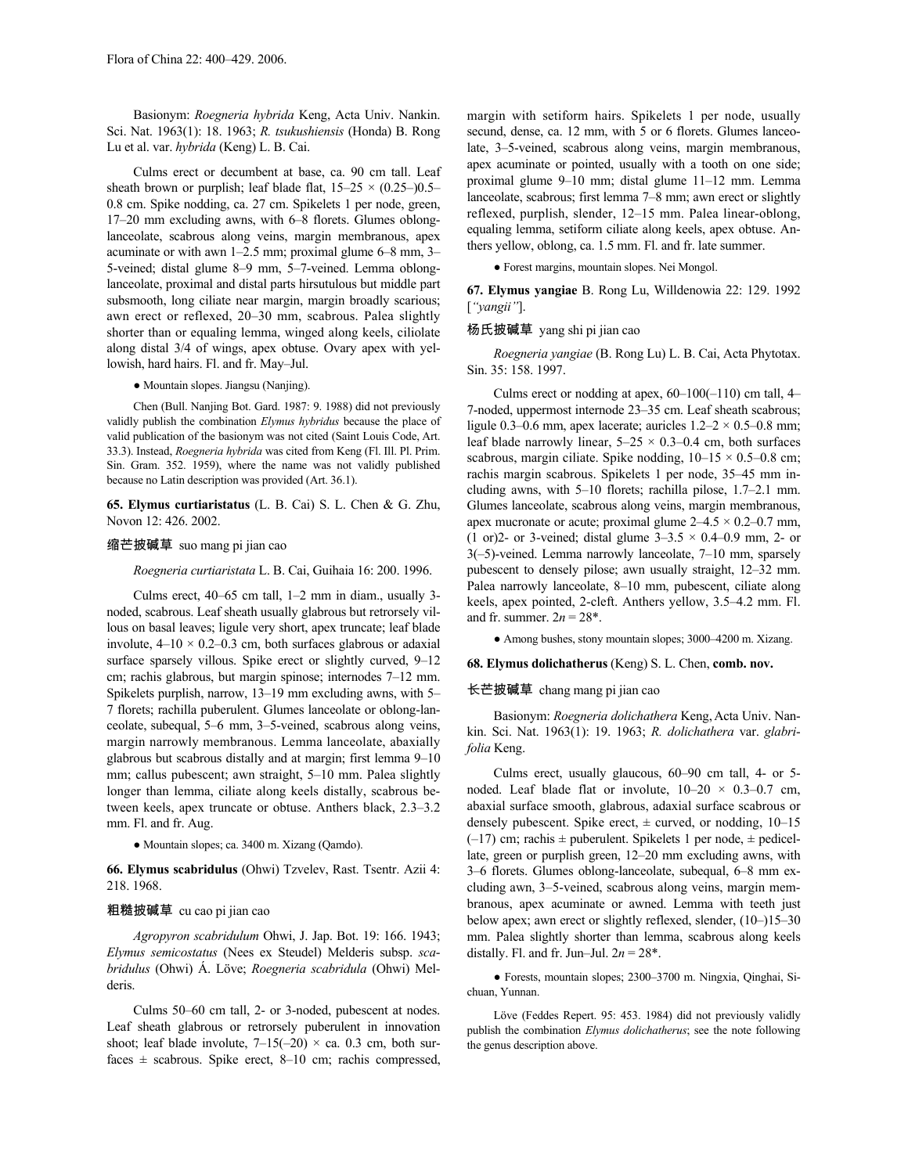Basionym: *Roegneria hybrida* Keng, Acta Univ. Nankin. Sci. Nat. 1963(1): 18. 1963; *R. tsukushiensis* (Honda) B. Rong Lu et al. var. *hybrida* (Keng) L. B. Cai.

Culms erect or decumbent at base, ca. 90 cm tall. Leaf sheath brown or purplish; leaf blade flat,  $15-25 \times (0.25-)0.5-$ 0.8 cm. Spike nodding, ca. 27 cm. Spikelets 1 per node, green, 17–20 mm excluding awns, with 6–8 florets. Glumes oblonglanceolate, scabrous along veins, margin membranous, apex acuminate or with awn 1–2.5 mm; proximal glume 6–8 mm, 3– 5-veined; distal glume 8–9 mm, 5–7-veined. Lemma oblonglanceolate, proximal and distal parts hirsutulous but middle part subsmooth, long ciliate near margin, margin broadly scarious; awn erect or reflexed, 20–30 mm, scabrous. Palea slightly shorter than or equaling lemma, winged along keels, ciliolate along distal 3/4 of wings, apex obtuse. Ovary apex with yellowish, hard hairs. Fl. and fr. May–Jul.

● Mountain slopes. Jiangsu (Nanjing).

Chen (Bull. Nanjing Bot. Gard. 1987: 9. 1988) did not previously validly publish the combination *Elymus hybridus* because the place of valid publication of the basionym was not cited (Saint Louis Code, Art. 33.3). Instead, *Roegneria hybrida* was cited from Keng (Fl. Ill. Pl. Prim. Sin. Gram. 352. 1959), where the name was not validly published because no Latin description was provided (Art. 36.1).

**65. Elymus curtiaristatus** (L. B. Cai) S. L. Chen & G. Zhu, Novon 12: 426. 2002.

# 缩芒披碱草 suo mang pi jian cao

*Roegneria curtiaristata* L. B. Cai, Guihaia 16: 200. 1996.

Culms erect, 40–65 cm tall, 1–2 mm in diam., usually 3 noded, scabrous. Leaf sheath usually glabrous but retrorsely villous on basal leaves; ligule very short, apex truncate; leaf blade involute,  $4-10 \times 0.2-0.3$  cm, both surfaces glabrous or adaxial surface sparsely villous. Spike erect or slightly curved, 9–12 cm; rachis glabrous, but margin spinose; internodes 7–12 mm. Spikelets purplish, narrow, 13–19 mm excluding awns, with 5– 7 florets; rachilla puberulent. Glumes lanceolate or oblong-lanceolate, subequal, 5–6 mm, 3–5-veined, scabrous along veins, margin narrowly membranous. Lemma lanceolate, abaxially glabrous but scabrous distally and at margin; first lemma 9–10 mm; callus pubescent; awn straight, 5–10 mm. Palea slightly longer than lemma, ciliate along keels distally, scabrous between keels, apex truncate or obtuse. Anthers black, 2.3–3.2 mm. Fl. and fr. Aug.

● Mountain slopes; ca. 3400 m. Xizang (Qamdo).

**66. Elymus scabridulus** (Ohwi) Tzvelev, Rast. Tsentr. Azii 4: 218. 1968.

#### 粗糙披碱草 cu cao pi jian cao

*Agropyron scabridulum* Ohwi, J. Jap. Bot. 19: 166. 1943; *Elymus semicostatus* (Nees ex Steudel) Melderis subsp. *scabridulus* (Ohwi) Á. Löve; *Roegneria scabridula* (Ohwi) Melderis.

Culms 50–60 cm tall, 2- or 3-noded, pubescent at nodes. Leaf sheath glabrous or retrorsely puberulent in innovation shoot; leaf blade involute,  $7-15(-20) \times$  ca. 0.3 cm, both surfaces  $\pm$  scabrous. Spike erect, 8–10 cm; rachis compressed, margin with setiform hairs. Spikelets 1 per node, usually secund, dense, ca. 12 mm, with 5 or 6 florets. Glumes lanceolate, 3–5-veined, scabrous along veins, margin membranous, apex acuminate or pointed, usually with a tooth on one side; proximal glume 9–10 mm; distal glume 11–12 mm. Lemma lanceolate, scabrous; first lemma 7–8 mm; awn erect or slightly reflexed, purplish, slender, 12–15 mm. Palea linear-oblong, equaling lemma, setiform ciliate along keels, apex obtuse. Anthers yellow, oblong, ca. 1.5 mm. Fl. and fr. late summer.

● Forest margins, mountain slopes. Nei Mongol.

**67. Elymus yangiae** B. Rong Lu, Willdenowia 22: 129. 1992 [*"yangii"*].

#### 杨氏披碱草 yang shi pi jian cao

*Roegneria yangiae* (B. Rong Lu) L. B. Cai, Acta Phytotax. Sin. 35: 158. 1997.

Culms erect or nodding at apex,  $60-100(-110)$  cm tall,  $4-$ 7-noded, uppermost internode 23–35 cm. Leaf sheath scabrous; ligule 0.3–0.6 mm, apex lacerate; auricles  $1.2-2 \times 0.5-0.8$  mm; leaf blade narrowly linear,  $5-25 \times 0.3-0.4$  cm, both surfaces scabrous, margin ciliate. Spike nodding,  $10-15 \times 0.5-0.8$  cm; rachis margin scabrous. Spikelets 1 per node, 35–45 mm including awns, with 5–10 florets; rachilla pilose, 1.7–2.1 mm. Glumes lanceolate, scabrous along veins, margin membranous, apex mucronate or acute; proximal glume  $2-4.5 \times 0.2-0.7$  mm, (1 or)2- or 3-veined; distal glume  $3-3.5 \times 0.4-0.9$  mm, 2- or 3(–5)-veined. Lemma narrowly lanceolate, 7–10 mm, sparsely pubescent to densely pilose; awn usually straight, 12–32 mm. Palea narrowly lanceolate, 8–10 mm, pubescent, ciliate along keels, apex pointed, 2-cleft. Anthers yellow, 3.5–4.2 mm. Fl. and fr. summer.  $2n = 28$ <sup>\*</sup>.

● Among bushes, stony mountain slopes; 3000–4200 m. Xizang.

#### **68. Elymus dolichatherus** (Keng) S. L. Chen, **comb. nov.**

#### 长芒披碱草 chang mang pi jian cao

Basionym: *Roegneria dolichathera* Keng, Acta Univ. Nankin. Sci. Nat. 1963(1): 19. 1963; *R. dolichathera* var. *glabrifolia* Keng.

Culms erect, usually glaucous, 60–90 cm tall, 4- or 5 noded. Leaf blade flat or involute,  $10-20 \times 0.3-0.7$  cm, abaxial surface smooth, glabrous, adaxial surface scabrous or densely pubescent. Spike erect,  $\pm$  curved, or nodding, 10–15  $(-17)$  cm; rachis  $\pm$  puberulent. Spikelets 1 per node,  $\pm$  pedicellate, green or purplish green, 12–20 mm excluding awns, with 3–6 florets. Glumes oblong-lanceolate, subequal, 6–8 mm excluding awn, 3–5-veined, scabrous along veins, margin membranous, apex acuminate or awned. Lemma with teeth just below apex; awn erect or slightly reflexed, slender, (10–)15–30 mm. Palea slightly shorter than lemma, scabrous along keels distally. Fl. and fr. Jun–Jul.  $2n = 28$ <sup>\*</sup>.

● Forests, mountain slopes; 2300–3700 m. Ningxia, Qinghai, Sichuan, Yunnan.

Löve (Feddes Repert. 95: 453. 1984) did not previously validly publish the combination *Elymus dolichatherus*; see the note following the genus description above.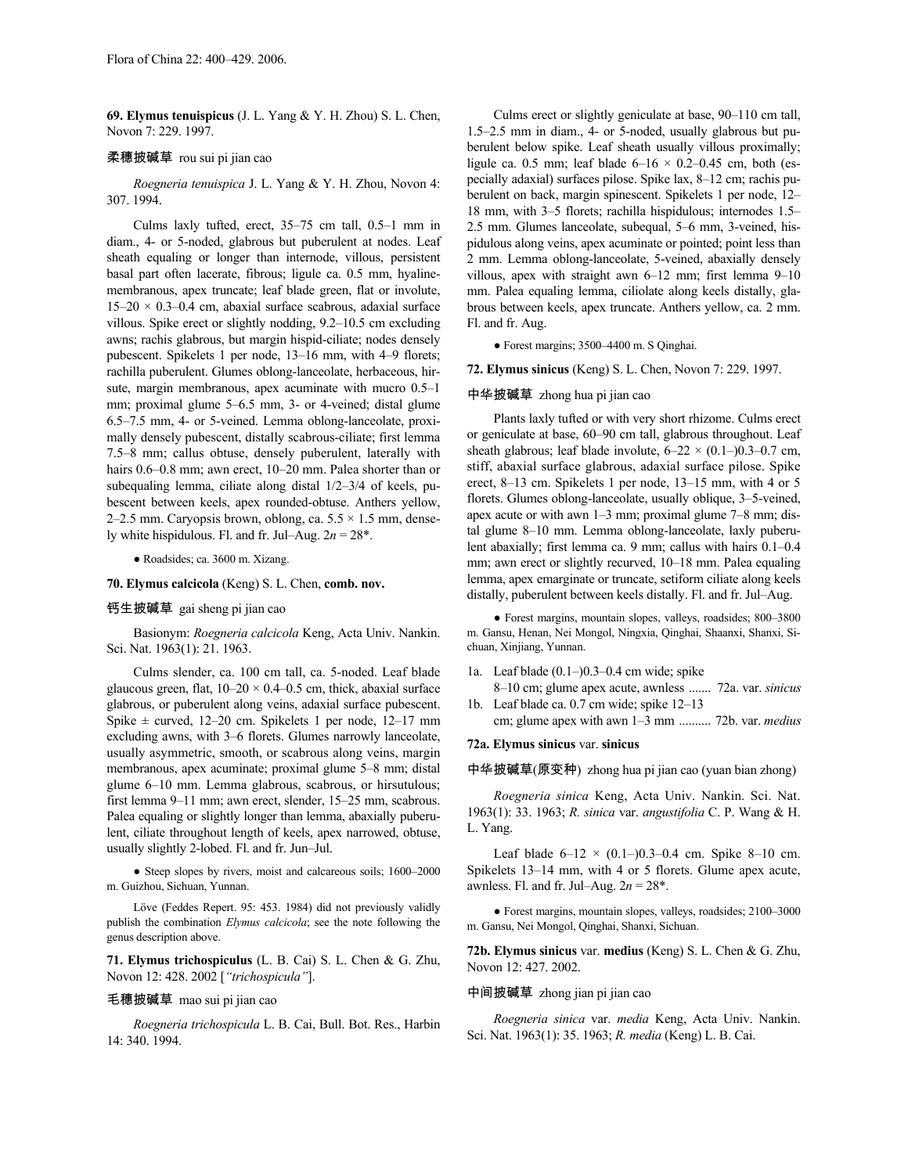**69. Elymus tenuispicus** (J. L. Yang & Y. H. Zhou) S. L. Chen, Novon 7: 229. 1997.

## 柔穗披碱草 rou sui pi jian cao

*Roegneria tenuispica* J. L. Yang & Y. H. Zhou, Novon 4: 307. 1994.

Culms laxly tufted, erect, 35–75 cm tall, 0.5–1 mm in diam., 4- or 5-noded, glabrous but puberulent at nodes. Leaf sheath equaling or longer than internode, villous, persistent basal part often lacerate, fibrous; ligule ca. 0.5 mm, hyalinemembranous, apex truncate; leaf blade green, flat or involute,  $15-20 \times 0.3-0.4$  cm, abaxial surface scabrous, adaxial surface villous. Spike erect or slightly nodding, 9.2–10.5 cm excluding awns; rachis glabrous, but margin hispid-ciliate; nodes densely pubescent. Spikelets 1 per node, 13–16 mm, with 4–9 florets; rachilla puberulent. Glumes oblong-lanceolate, herbaceous, hirsute, margin membranous, apex acuminate with mucro 0.5–1 mm; proximal glume 5–6.5 mm, 3- or 4-veined; distal glume 6.5–7.5 mm, 4- or 5-veined. Lemma oblong-lanceolate, proximally densely pubescent, distally scabrous-ciliate; first lemma 7.5–8 mm; callus obtuse, densely puberulent, laterally with hairs 0.6–0.8 mm; awn erect, 10–20 mm. Palea shorter than or subequaling lemma, ciliate along distal 1/2–3/4 of keels, pubescent between keels, apex rounded-obtuse. Anthers yellow, 2–2.5 mm. Caryopsis brown, oblong, ca.  $5.5 \times 1.5$  mm, densely white hispidulous. Fl. and fr. Jul–Aug.  $2n = 28$ <sup>\*</sup>.

● Roadsides; ca. 3600 m. Xizang.

**70. Elymus calcicola** (Keng) S. L. Chen, **comb. nov.**

# 钙生披碱草 gai sheng pi jian cao

Basionym: *Roegneria calcicola* Keng, Acta Univ. Nankin. Sci. Nat. 1963(1): 21. 1963.

Culms slender, ca. 100 cm tall, ca. 5-noded. Leaf blade glaucous green, flat,  $10-20 \times 0.4-0.5$  cm, thick, abaxial surface glabrous, or puberulent along veins, adaxial surface pubescent. Spike  $\pm$  curved, 12–20 cm. Spikelets 1 per node, 12–17 mm excluding awns, with 3–6 florets. Glumes narrowly lanceolate, usually asymmetric, smooth, or scabrous along veins, margin membranous, apex acuminate; proximal glume 5–8 mm; distal glume 6–10 mm. Lemma glabrous, scabrous, or hirsutulous; first lemma 9–11 mm; awn erect, slender, 15–25 mm, scabrous. Palea equaling or slightly longer than lemma, abaxially puberulent, ciliate throughout length of keels, apex narrowed, obtuse, usually slightly 2-lobed. Fl. and fr. Jun–Jul.

● Steep slopes by rivers, moist and calcareous soils; 1600–2000 m. Guizhou, Sichuan, Yunnan.

Löve (Feddes Repert. 95: 453. 1984) did not previously validly publish the combination *Elymus calcicola*; see the note following the genus description above.

**71. Elymus trichospiculus** (L. B. Cai) S. L. Chen & G. Zhu, Novon 12: 428. 2002 [*"trichospicula"*].

#### 毛穗披碱草 mao sui pi jian cao

*Roegneria trichospicula* L. B. Cai, Bull. Bot. Res., Harbin 14: 340. 1994.

Culms erect or slightly geniculate at base, 90–110 cm tall, 1.5–2.5 mm in diam., 4- or 5-noded, usually glabrous but puberulent below spike. Leaf sheath usually villous proximally; ligule ca. 0.5 mm; leaf blade  $6-16 \times 0.2-0.45$  cm, both (especially adaxial) surfaces pilose. Spike lax, 8–12 cm; rachis puberulent on back, margin spinescent. Spikelets 1 per node, 12– 18 mm, with 3–5 florets; rachilla hispidulous; internodes 1.5– 2.5 mm. Glumes lanceolate, subequal, 5–6 mm, 3-veined, hispidulous along veins, apex acuminate or pointed; point less than 2 mm. Lemma oblong-lanceolate, 5-veined, abaxially densely villous, apex with straight awn 6–12 mm; first lemma 9–10 mm. Palea equaling lemma, ciliolate along keels distally, glabrous between keels, apex truncate. Anthers yellow, ca. 2 mm. Fl. and fr. Aug.

● Forest margins; 3500–4400 m. S Qinghai.

**72. Elymus sinicus** (Keng) S. L. Chen, Novon 7: 229. 1997.

#### 中华披碱草 zhong hua pi jian cao

Plants laxly tufted or with very short rhizome. Culms erect or geniculate at base, 60–90 cm tall, glabrous throughout. Leaf sheath glabrous; leaf blade involute,  $6-22 \times (0.1-)0.3-0.7$  cm, stiff, abaxial surface glabrous, adaxial surface pilose. Spike erect, 8–13 cm. Spikelets 1 per node, 13–15 mm, with 4 or 5 florets. Glumes oblong-lanceolate, usually oblique, 3–5-veined, apex acute or with awn 1–3 mm; proximal glume 7–8 mm; distal glume 8–10 mm. Lemma oblong-lanceolate, laxly puberulent abaxially; first lemma ca. 9 mm; callus with hairs 0.1–0.4 mm; awn erect or slightly recurved, 10–18 mm. Palea equaling lemma, apex emarginate or truncate, setiform ciliate along keels distally, puberulent between keels distally. Fl. and fr. Jul–Aug.

● Forest margins, mountain slopes, valleys, roadsides; 800–3800 m. Gansu, Henan, Nei Mongol, Ningxia, Qinghai, Shaanxi, Shanxi, Sichuan, Xinjiang, Yunnan.

1a. Leaf blade (0.1–)0.3–0.4 cm wide; spike

8–10 cm; glume apex acute, awnless ....... 72a. var. *sinicus* 1b. Leaf blade ca. 0.7 cm wide; spike 12–13

cm; glume apex with awn 1–3 mm .......... 72b. var. *medius*

# **72a. Elymus sinicus** var. **sinicus**

中华披碱草(原变种) zhong hua pi jian cao (yuan bian zhong)

*Roegneria sinica* Keng, Acta Univ. Nankin. Sci. Nat. 1963(1): 33. 1963; *R. sinica* var. *angustifolia* C. P. Wang & H. L. Yang.

Leaf blade  $6-12 \times (0.1-)0.3-0.4$  cm. Spike 8-10 cm. Spikelets 13–14 mm, with 4 or 5 florets. Glume apex acute, awnless. Fl. and fr. Jul–Aug. 2*n* = 28\*.

● Forest margins, mountain slopes, valleys, roadsides; 2100–3000 m. Gansu, Nei Mongol, Qinghai, Shanxi, Sichuan.

**72b. Elymus sinicus** var. **medius** (Keng) S. L. Chen & G. Zhu, Novon 12: 427. 2002.

#### 中间披碱草 zhong jian pi jian cao

*Roegneria sinica* var. *media* Keng, Acta Univ. Nankin. Sci. Nat. 1963(1): 35. 1963; *R. media* (Keng) L. B. Cai.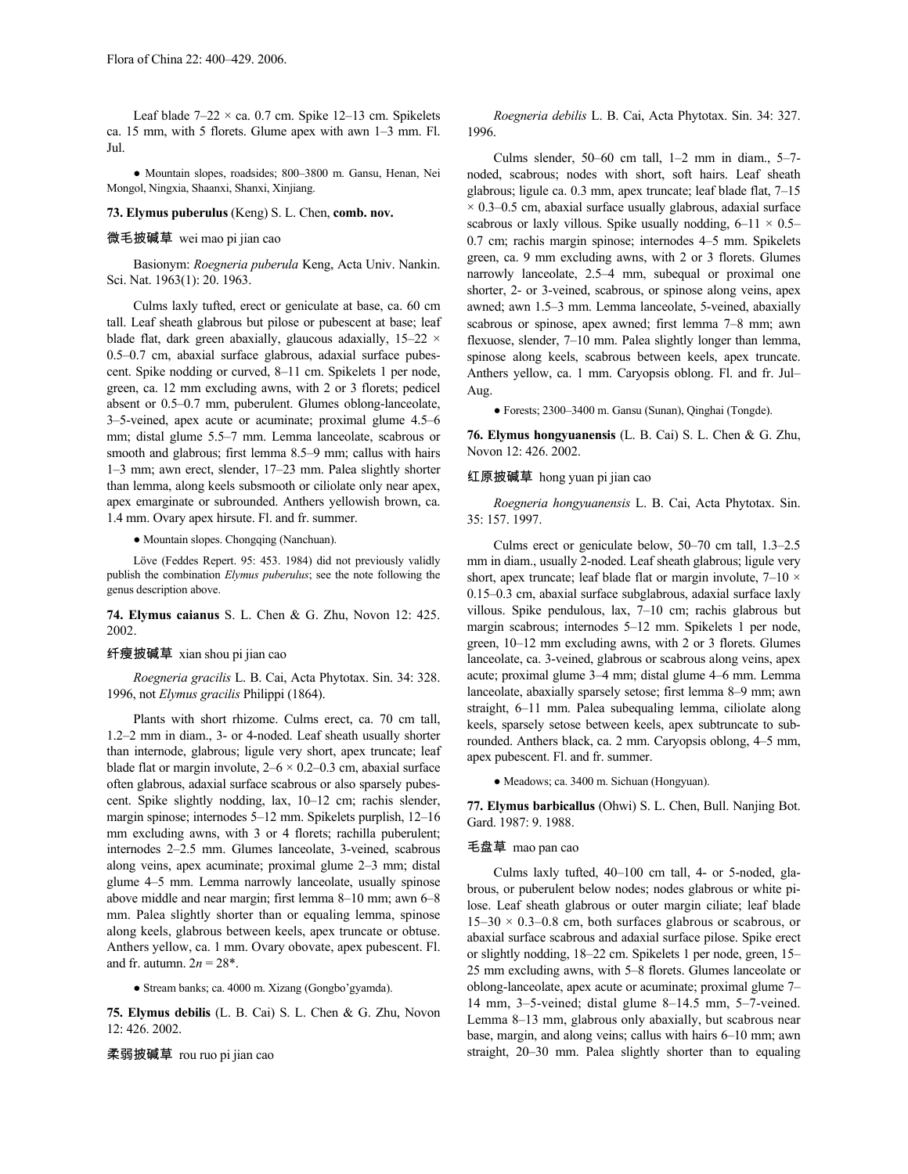Leaf blade  $7-22 \times$  ca. 0.7 cm. Spike 12-13 cm. Spikelets ca. 15 mm, with 5 florets. Glume apex with awn 1–3 mm. Fl. Jul.

● Mountain slopes, roadsides; 800–3800 m. Gansu, Henan, Nei Mongol, Ningxia, Shaanxi, Shanxi, Xinjiang.

#### **73. Elymus puberulus** (Keng) S. L. Chen, **comb. nov.**

# 微毛披碱草 wei mao pi jian cao

Basionym: *Roegneria puberula* Keng, Acta Univ. Nankin. Sci. Nat. 1963(1): 20. 1963.

Culms laxly tufted, erect or geniculate at base, ca. 60 cm tall. Leaf sheath glabrous but pilose or pubescent at base; leaf blade flat, dark green abaxially, glaucous adaxially, 15–22 × 0.5–0.7 cm, abaxial surface glabrous, adaxial surface pubescent. Spike nodding or curved, 8–11 cm. Spikelets 1 per node, green, ca. 12 mm excluding awns, with 2 or 3 florets; pedicel absent or 0.5–0.7 mm, puberulent. Glumes oblong-lanceolate, 3–5-veined, apex acute or acuminate; proximal glume 4.5–6 mm; distal glume 5.5–7 mm. Lemma lanceolate, scabrous or smooth and glabrous; first lemma 8.5–9 mm; callus with hairs 1–3 mm; awn erect, slender, 17–23 mm. Palea slightly shorter than lemma, along keels subsmooth or ciliolate only near apex, apex emarginate or subrounded. Anthers yellowish brown, ca. 1.4 mm. Ovary apex hirsute. Fl. and fr. summer.

● Mountain slopes. Chongqing (Nanchuan).

Löve (Feddes Repert. 95: 453. 1984) did not previously validly publish the combination *Elymus puberulus*; see the note following the genus description above.

**74. Elymus caianus** S. L. Chen & G. Zhu, Novon 12: 425. 2002.

# 纤瘦披碱草 xian shou pi jian cao

*Roegneria gracilis* L. B. Cai, Acta Phytotax. Sin. 34: 328. 1996, not *Elymus gracilis* Philippi (1864).

Plants with short rhizome. Culms erect, ca. 70 cm tall, 1.2–2 mm in diam., 3- or 4-noded. Leaf sheath usually shorter than internode, glabrous; ligule very short, apex truncate; leaf blade flat or margin involute,  $2-6 \times 0.2-0.3$  cm, abaxial surface often glabrous, adaxial surface scabrous or also sparsely pubescent. Spike slightly nodding, lax, 10–12 cm; rachis slender, margin spinose; internodes 5–12 mm. Spikelets purplish, 12–16 mm excluding awns, with 3 or 4 florets; rachilla puberulent; internodes 2–2.5 mm. Glumes lanceolate, 3-veined, scabrous along veins, apex acuminate; proximal glume 2–3 mm; distal glume 4–5 mm. Lemma narrowly lanceolate, usually spinose above middle and near margin; first lemma 8–10 mm; awn 6–8 mm. Palea slightly shorter than or equaling lemma, spinose along keels, glabrous between keels, apex truncate or obtuse. Anthers yellow, ca. 1 mm. Ovary obovate, apex pubescent. Fl. and fr. autumn.  $2n = 28$ <sup>\*</sup>.

● Stream banks; ca. 4000 m. Xizang (Gongbo'gyamda).

**75. Elymus debilis** (L. B. Cai) S. L. Chen & G. Zhu, Novon 12: 426. 2002.

柔弱披碱草 rou ruo pi jian cao

*Roegneria debilis* L. B. Cai, Acta Phytotax. Sin. 34: 327. 1996.

Culms slender, 50–60 cm tall, 1–2 mm in diam., 5–7 noded, scabrous; nodes with short, soft hairs. Leaf sheath glabrous; ligule ca. 0.3 mm, apex truncate; leaf blade flat, 7–15  $\times$  0.3–0.5 cm, abaxial surface usually glabrous, adaxial surface scabrous or laxly villous. Spike usually nodding,  $6-11 \times 0.5-$ 0.7 cm; rachis margin spinose; internodes 4–5 mm. Spikelets green, ca. 9 mm excluding awns, with 2 or 3 florets. Glumes narrowly lanceolate, 2.5–4 mm, subequal or proximal one shorter, 2- or 3-veined, scabrous, or spinose along veins, apex awned; awn 1.5–3 mm. Lemma lanceolate, 5-veined, abaxially scabrous or spinose, apex awned; first lemma 7–8 mm; awn flexuose, slender, 7–10 mm. Palea slightly longer than lemma, spinose along keels, scabrous between keels, apex truncate. Anthers yellow, ca. 1 mm. Caryopsis oblong. Fl. and fr. Jul– Aug.

● Forests; 2300–3400 m. Gansu (Sunan), Qinghai (Tongde).

**76. Elymus hongyuanensis** (L. B. Cai) S. L. Chen & G. Zhu, Novon 12: 426. 2002.

#### 红原披碱草 hong yuan pi jian cao

*Roegneria hongyuanensis* L. B. Cai, Acta Phytotax. Sin. 35: 157. 1997.

Culms erect or geniculate below, 50–70 cm tall, 1.3–2.5 mm in diam., usually 2-noded. Leaf sheath glabrous; ligule very short, apex truncate; leaf blade flat or margin involute,  $7-10 \times$ 0.15–0.3 cm, abaxial surface subglabrous, adaxial surface laxly villous. Spike pendulous, lax, 7–10 cm; rachis glabrous but margin scabrous; internodes 5–12 mm. Spikelets 1 per node, green, 10–12 mm excluding awns, with 2 or 3 florets. Glumes lanceolate, ca. 3-veined, glabrous or scabrous along veins, apex acute; proximal glume 3–4 mm; distal glume 4–6 mm. Lemma lanceolate, abaxially sparsely setose; first lemma 8–9 mm; awn straight, 6–11 mm. Palea subequaling lemma, ciliolate along keels, sparsely setose between keels, apex subtruncate to subrounded. Anthers black, ca. 2 mm. Caryopsis oblong, 4–5 mm, apex pubescent. Fl. and fr. summer.

● Meadows; ca. 3400 m. Sichuan (Hongyuan).

**77. Elymus barbicallus** (Ohwi) S. L. Chen, Bull. Nanjing Bot. Gard. 1987: 9. 1988.

# 毛盘草 mao pan cao

Culms laxly tufted, 40–100 cm tall, 4- or 5-noded, glabrous, or puberulent below nodes; nodes glabrous or white pilose. Leaf sheath glabrous or outer margin ciliate; leaf blade  $15-30 \times 0.3-0.8$  cm, both surfaces glabrous or scabrous, or abaxial surface scabrous and adaxial surface pilose. Spike erect or slightly nodding, 18–22 cm. Spikelets 1 per node, green, 15– 25 mm excluding awns, with 5–8 florets. Glumes lanceolate or oblong-lanceolate, apex acute or acuminate; proximal glume 7– 14 mm, 3–5-veined; distal glume 8–14.5 mm, 5–7-veined. Lemma 8–13 mm, glabrous only abaxially, but scabrous near base, margin, and along veins; callus with hairs 6–10 mm; awn straight, 20–30 mm. Palea slightly shorter than to equaling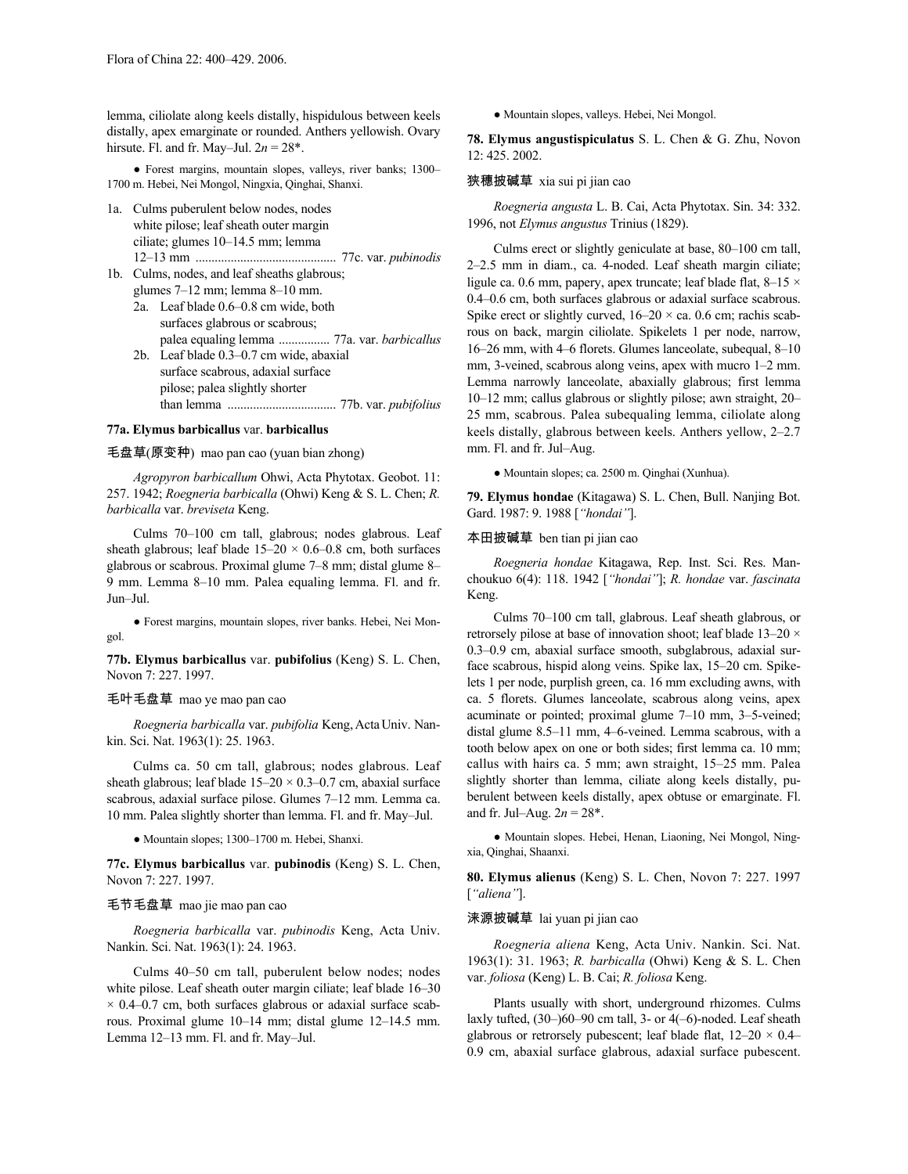lemma, ciliolate along keels distally, hispidulous between keels distally, apex emarginate or rounded. Anthers yellowish. Ovary hirsute. Fl. and fr. May–Jul.  $2n = 28^*$ .

● Forest margins, mountain slopes, valleys, river banks; 1300– 1700 m. Hebei, Nei Mongol, Ningxia, Qinghai, Shanxi.

1a. Culms puberulent below nodes, nodes white pilose; leaf sheath outer margin ciliate; glumes 10–14.5 mm; lemma 12–13 mm ............................................ 77c. var. *pubinodis*

1b. Culms, nodes, and leaf sheaths glabrous; glumes 7–12 mm; lemma 8–10 mm.

2a. Leaf blade 0.6–0.8 cm wide, both surfaces glabrous or scabrous; palea equaling lemma ................ 77a. var. *barbicallus* 2b. Leaf blade 0.3–0.7 cm wide, abaxial surface scabrous, adaxial surface

pilose; palea slightly shorter than lemma .................................. 77b. var. *pubifolius*

#### **77a. Elymus barbicallus** var. **barbicallus**

毛盘草(原变种) mao pan cao (yuan bian zhong)

*Agropyron barbicallum* Ohwi, Acta Phytotax. Geobot. 11: 257. 1942; *Roegneria barbicalla* (Ohwi) Keng & S. L. Chen; *R. barbicalla* var. *breviseta* Keng.

Culms 70–100 cm tall, glabrous; nodes glabrous. Leaf sheath glabrous; leaf blade  $15-20 \times 0.6-0.8$  cm, both surfaces glabrous or scabrous. Proximal glume 7–8 mm; distal glume 8– 9 mm. Lemma 8–10 mm. Palea equaling lemma. Fl. and fr. Jun–Jul.

● Forest margins, mountain slopes, river banks. Hebei, Nei Mongol.

**77b. Elymus barbicallus** var. **pubifolius** (Keng) S. L. Chen, Novon 7: 227. 1997.

### 毛叶毛盘草 mao ye mao pan cao

*Roegneria barbicalla* var. *pubifolia* Keng,ActaUniv. Nankin. Sci. Nat. 1963(1): 25. 1963.

Culms ca. 50 cm tall, glabrous; nodes glabrous. Leaf sheath glabrous; leaf blade  $15-20 \times 0.3-0.7$  cm, abaxial surface scabrous, adaxial surface pilose. Glumes 7–12 mm. Lemma ca. 10 mm. Palea slightly shorter than lemma. Fl. and fr. May–Jul.

● Mountain slopes; 1300–1700 m. Hebei, Shanxi.

**77c. Elymus barbicallus** var. **pubinodis** (Keng) S. L. Chen, Novon 7: 227. 1997.

## 毛节毛盘草 mao jie mao pan cao

*Roegneria barbicalla* var. *pubinodis* Keng, Acta Univ. Nankin. Sci. Nat. 1963(1): 24. 1963.

Culms 40–50 cm tall, puberulent below nodes; nodes white pilose. Leaf sheath outer margin ciliate; leaf blade 16–30  $\times$  0.4–0.7 cm, both surfaces glabrous or adaxial surface scabrous. Proximal glume 10–14 mm; distal glume 12–14.5 mm. Lemma 12–13 mm. Fl. and fr. May–Jul.

● Mountain slopes, valleys. Hebei, Nei Mongol.

**78. Elymus angustispiculatus** S. L. Chen & G. Zhu, Novon 12: 425. 2002.

### 狭穗披碱草 xia sui pi jian cao

*Roegneria angusta* L. B. Cai, Acta Phytotax. Sin. 34: 332. 1996, not *Elymus angustus* Trinius (1829).

Culms erect or slightly geniculate at base, 80–100 cm tall, 2–2.5 mm in diam., ca. 4-noded. Leaf sheath margin ciliate; ligule ca. 0.6 mm, papery, apex truncate; leaf blade flat,  $8-15 \times$ 0.4–0.6 cm, both surfaces glabrous or adaxial surface scabrous. Spike erect or slightly curved,  $16-20 \times$  ca. 0.6 cm; rachis scabrous on back, margin ciliolate. Spikelets 1 per node, narrow, 16–26 mm, with 4–6 florets. Glumes lanceolate, subequal, 8–10 mm, 3-veined, scabrous along veins, apex with mucro 1–2 mm. Lemma narrowly lanceolate, abaxially glabrous; first lemma 10–12 mm; callus glabrous or slightly pilose; awn straight, 20– 25 mm, scabrous. Palea subequaling lemma, ciliolate along keels distally, glabrous between keels. Anthers yellow, 2–2.7 mm. Fl. and fr. Jul–Aug.

● Mountain slopes; ca. 2500 m. Qinghai (Xunhua).

**79. Elymus hondae** (Kitagawa) S. L. Chen, Bull. Nanjing Bot. Gard. 1987: 9. 1988 [*"hondai"*].

## 本田披碱草 ben tian pi jian cao

*Roegneria hondae* Kitagawa, Rep. Inst. Sci. Res. Manchoukuo 6(4): 118. 1942 [*"hondai"*]; *R. hondae* var. *fascinata* Keng.

Culms 70–100 cm tall, glabrous. Leaf sheath glabrous, or retrorsely pilose at base of innovation shoot; leaf blade 13–20 × 0.3–0.9 cm, abaxial surface smooth, subglabrous, adaxial surface scabrous, hispid along veins. Spike lax, 15–20 cm. Spikelets 1 per node, purplish green, ca. 16 mm excluding awns, with ca. 5 florets. Glumes lanceolate, scabrous along veins, apex acuminate or pointed; proximal glume 7–10 mm, 3–5-veined; distal glume 8.5–11 mm, 4–6-veined. Lemma scabrous, with a tooth below apex on one or both sides; first lemma ca. 10 mm; callus with hairs ca. 5 mm; awn straight, 15–25 mm. Palea slightly shorter than lemma, ciliate along keels distally, puberulent between keels distally, apex obtuse or emarginate. Fl. and fr. Jul–Aug.  $2n = 28$ <sup>\*</sup>.

● Mountain slopes. Hebei, Henan, Liaoning, Nei Mongol, Ningxia, Qinghai, Shaanxi.

**80. Elymus alienus** (Keng) S. L. Chen, Novon 7: 227. 1997 [*"aliena"*].

### 涞源披碱草 lai yuan pi jian cao

*Roegneria aliena* Keng, Acta Univ. Nankin. Sci. Nat. 1963(1): 31. 1963; *R. barbicalla* (Ohwi) Keng & S. L. Chen var. *foliosa* (Keng) L. B. Cai; *R. foliosa* Keng.

Plants usually with short, underground rhizomes. Culms laxly tufted, (30–)60–90 cm tall, 3- or 4(–6)-noded. Leaf sheath glabrous or retrorsely pubescent; leaf blade flat,  $12-20 \times 0.4-$ 0.9 cm, abaxial surface glabrous, adaxial surface pubescent.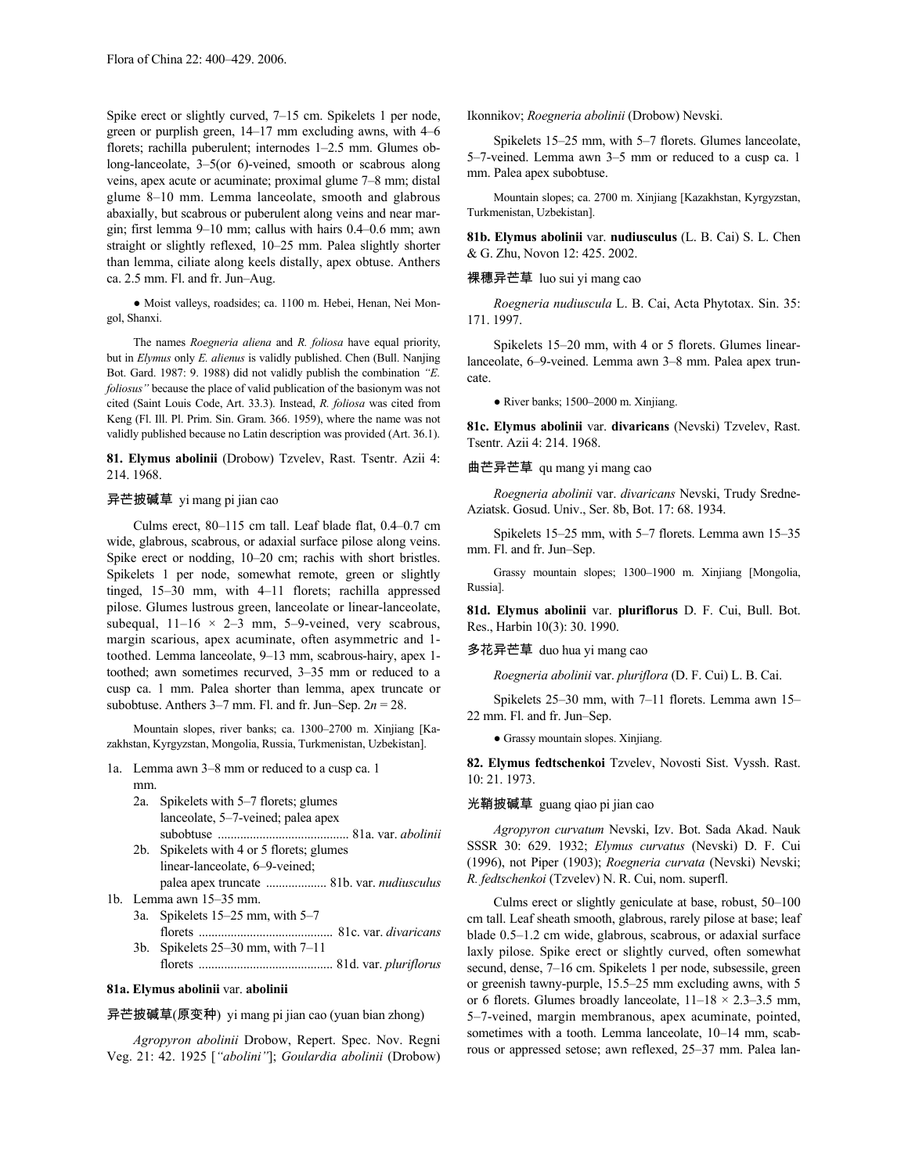Spike erect or slightly curved, 7–15 cm. Spikelets 1 per node, green or purplish green, 14–17 mm excluding awns, with 4–6 florets; rachilla puberulent; internodes 1–2.5 mm. Glumes oblong-lanceolate, 3–5(or 6)-veined, smooth or scabrous along veins, apex acute or acuminate; proximal glume 7–8 mm; distal glume 8–10 mm. Lemma lanceolate, smooth and glabrous abaxially, but scabrous or puberulent along veins and near margin; first lemma 9–10 mm; callus with hairs 0.4–0.6 mm; awn straight or slightly reflexed, 10–25 mm. Palea slightly shorter than lemma, ciliate along keels distally, apex obtuse. Anthers ca. 2.5 mm. Fl. and fr. Jun–Aug.

● Moist valleys, roadsides; ca. 1100 m. Hebei, Henan, Nei Mongol, Shanxi.

The names *Roegneria aliena* and *R. foliosa* have equal priority, but in *Elymus* only *E. alienus* is validly published. Chen (Bull. Nanjing Bot. Gard. 1987: 9. 1988) did not validly publish the combination *"E. foliosus"* because the place of valid publication of the basionym was not cited (Saint Louis Code, Art. 33.3). Instead, *R. foliosa* was cited from Keng (Fl. Ill. Pl. Prim. Sin. Gram. 366. 1959), where the name was not validly published because no Latin description was provided (Art. 36.1).

**81. Elymus abolinii** (Drobow) Tzvelev, Rast. Tsentr. Azii 4: 214. 1968.

## 异芒披碱草 yi mang pi jian cao

Culms erect, 80–115 cm tall. Leaf blade flat, 0.4–0.7 cm wide, glabrous, scabrous, or adaxial surface pilose along veins. Spike erect or nodding, 10–20 cm; rachis with short bristles. Spikelets 1 per node, somewhat remote, green or slightly tinged, 15–30 mm, with 4–11 florets; rachilla appressed pilose. Glumes lustrous green, lanceolate or linear-lanceolate, subequal,  $11-16 \times 2-3$  mm, 5-9-veined, very scabrous, margin scarious, apex acuminate, often asymmetric and 1 toothed. Lemma lanceolate, 9–13 mm, scabrous-hairy, apex 1 toothed; awn sometimes recurved, 3–35 mm or reduced to a cusp ca. 1 mm. Palea shorter than lemma, apex truncate or subobtuse. Anthers  $3-7$  mm. Fl. and fr. Jun–Sep.  $2n = 28$ .

Mountain slopes, river banks; ca. 1300–2700 m. Xinjiang [Kazakhstan, Kyrgyzstan, Mongolia, Russia, Turkmenistan, Uzbekistan].

- 1a. Lemma awn 3–8 mm or reduced to a cusp ca. 1 mm.
	- 2a. Spikelets with 5–7 florets; glumes lanceolate, 5–7-veined; palea apex subobtuse ......................................... 81a. var. *abolinii*
	- 2b. Spikelets with 4 or 5 florets; glumes linear-lanceolate, 6–9-veined; palea apex truncate ................... 81b. var. *nudiusculus*
- 1b. Lemma awn 15–35 mm.
	- 3a. Spikelets 15–25 mm, with 5–7
	- florets .......................................... 81c. var. *divaricans* 3b. Spikelets 25–30 mm, with 7–11
		- florets .......................................... 81d. var. *pluriflorus*

### **81a. Elymus abolinii** var. **abolinii**

# 异芒披碱草(原变种) yi mang pi jian cao (yuan bian zhong)

*Agropyron abolinii* Drobow, Repert. Spec. Nov. Regni Veg. 21: 42. 1925 [*"abolini"*]; *Goulardia abolinii* (Drobow) Ikonnikov; *Roegneria abolinii* (Drobow) Nevski.

Spikelets 15–25 mm, with 5–7 florets. Glumes lanceolate, 5–7-veined. Lemma awn 3–5 mm or reduced to a cusp ca. 1 mm. Palea apex subobtuse.

Mountain slopes; ca. 2700 m. Xinjiang [Kazakhstan, Kyrgyzstan, Turkmenistan, Uzbekistan].

**81b. Elymus abolinii** var. **nudiusculus** (L. B. Cai) S. L. Chen & G. Zhu, Novon 12: 425. 2002.

### 裸穗异芒草 luo sui yi mang cao

*Roegneria nudiuscula* L. B. Cai, Acta Phytotax. Sin. 35: 171. 1997.

Spikelets 15–20 mm, with 4 or 5 florets. Glumes linearlanceolate, 6–9-veined. Lemma awn 3–8 mm. Palea apex truncate.

● River banks; 1500–2000 m. Xinjiang.

**81c. Elymus abolinii** var. **divaricans** (Nevski) Tzvelev, Rast. Tsentr. Azii 4: 214. 1968.

### 曲芒异芒草 qu mang yi mang cao

*Roegneria abolinii* var. *divaricans* Nevski, Trudy Sredne-Aziatsk. Gosud. Univ., Ser. 8b, Bot. 17: 68. 1934.

Spikelets 15–25 mm, with 5–7 florets. Lemma awn 15–35 mm. Fl. and fr. Jun–Sep.

Grassy mountain slopes; 1300–1900 m. Xinjiang [Mongolia, Russia].

**81d. Elymus abolinii** var. **pluriflorus** D. F. Cui, Bull. Bot. Res., Harbin 10(3): 30. 1990.

# 多花异芒草 duo hua yi mang cao

*Roegneria abolinii* var. *pluriflora* (D. F. Cui) L. B. Cai.

Spikelets 25–30 mm, with 7–11 florets. Lemma awn 15– 22 mm. Fl. and fr. Jun–Sep.

● Grassy mountain slopes. Xinjiang.

**82. Elymus fedtschenkoi** Tzvelev, Novosti Sist. Vyssh. Rast. 10: 21. 1973.

### 光鞘披碱草 guang qiao pi jian cao

*Agropyron curvatum* Nevski, Izv. Bot. Sada Akad. Nauk SSSR 30: 629. 1932; *Elymus curvatus* (Nevski) D. F. Cui (1996), not Piper (1903); *Roegneria curvata* (Nevski) Nevski; *R. fedtschenkoi* (Tzvelev) N. R. Cui, nom. superfl.

Culms erect or slightly geniculate at base, robust, 50–100 cm tall. Leaf sheath smooth, glabrous, rarely pilose at base; leaf blade 0.5–1.2 cm wide, glabrous, scabrous, or adaxial surface laxly pilose. Spike erect or slightly curved, often somewhat secund, dense, 7–16 cm. Spikelets 1 per node, subsessile, green or greenish tawny-purple, 15.5–25 mm excluding awns, with 5 or 6 florets. Glumes broadly lanceolate,  $11-18 \times 2.3-3.5$  mm, 5–7-veined, margin membranous, apex acuminate, pointed, sometimes with a tooth. Lemma lanceolate, 10–14 mm, scabrous or appressed setose; awn reflexed, 25–37 mm. Palea lan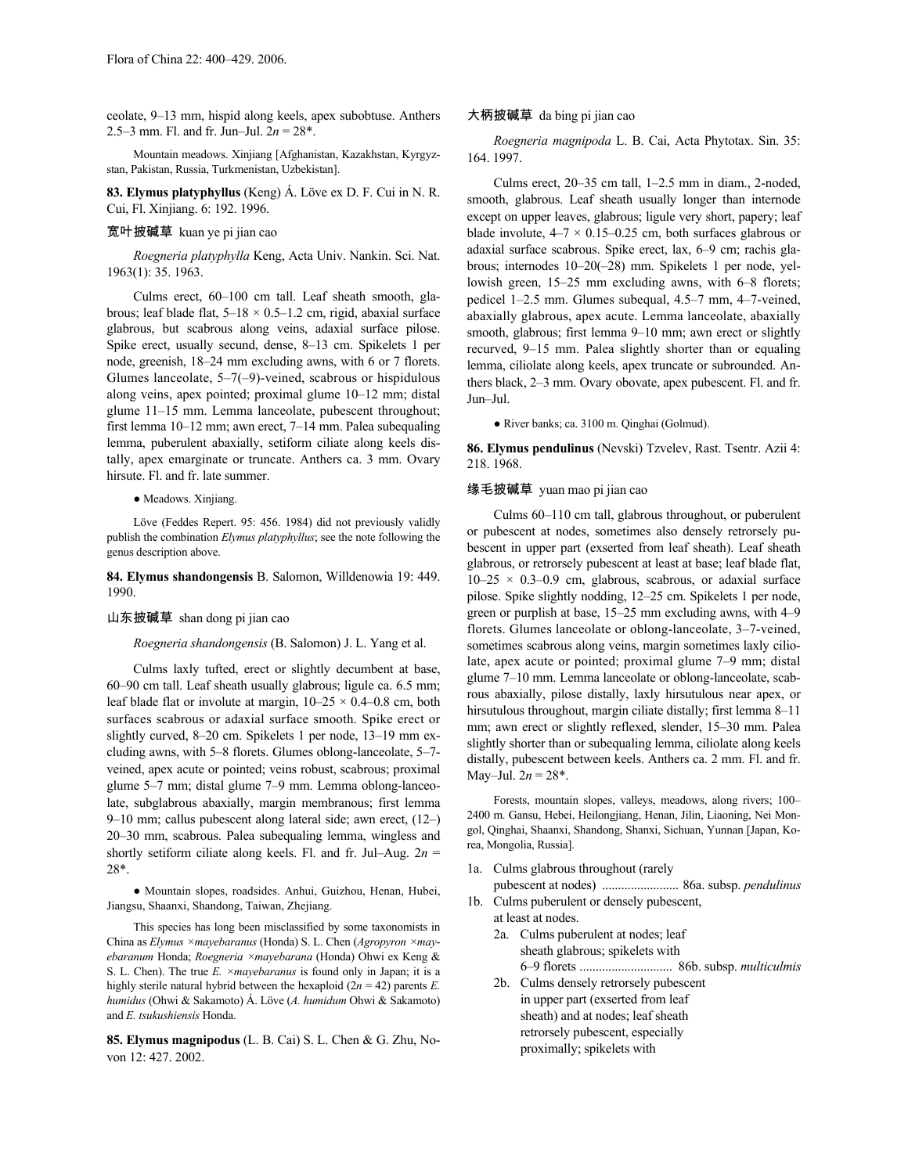ceolate, 9–13 mm, hispid along keels, apex subobtuse. Anthers 2.5–3 mm. Fl. and fr. Jun–Jul. 2*n* = 28\*.

Mountain meadows. Xinjiang [Afghanistan, Kazakhstan, Kyrgyzstan, Pakistan, Russia, Turkmenistan, Uzbekistan].

**83. Elymus platyphyllus** (Keng) Á. Löve ex D. F. Cui in N. R. Cui, Fl. Xinjiang. 6: 192. 1996.

# 宽叶披碱草 kuan ye pi jian cao

*Roegneria platyphylla* Keng, Acta Univ. Nankin. Sci. Nat. 1963(1): 35. 1963.

Culms erect, 60–100 cm tall. Leaf sheath smooth, glabrous; leaf blade flat,  $5-18 \times 0.5-1.2$  cm, rigid, abaxial surface glabrous, but scabrous along veins, adaxial surface pilose. Spike erect, usually secund, dense, 8–13 cm. Spikelets 1 per node, greenish, 18–24 mm excluding awns, with 6 or 7 florets. Glumes lanceolate, 5–7(–9)-veined, scabrous or hispidulous along veins, apex pointed; proximal glume 10–12 mm; distal glume 11–15 mm. Lemma lanceolate, pubescent throughout; first lemma 10–12 mm; awn erect, 7–14 mm. Palea subequaling lemma, puberulent abaxially, setiform ciliate along keels distally, apex emarginate or truncate. Anthers ca. 3 mm. Ovary hirsute. Fl. and fr. late summer.

● Meadows. Xinjiang.

Löve (Feddes Repert. 95: 456. 1984) did not previously validly publish the combination *Elymus platyphyllus*; see the note following the genus description above.

**84. Elymus shandongensis** B. Salomon, Willdenowia 19: 449. 1990.

#### 山东披碱草 shan dong pi jian cao

*Roegneria shandongensis* (B. Salomon) J. L. Yang et al.

Culms laxly tufted, erect or slightly decumbent at base, 60–90 cm tall. Leaf sheath usually glabrous; ligule ca. 6.5 mm; leaf blade flat or involute at margin,  $10-25 \times 0.4-0.8$  cm, both surfaces scabrous or adaxial surface smooth. Spike erect or slightly curved, 8–20 cm. Spikelets 1 per node, 13–19 mm excluding awns, with 5–8 florets. Glumes oblong-lanceolate, 5–7 veined, apex acute or pointed; veins robust, scabrous; proximal glume 5–7 mm; distal glume 7–9 mm. Lemma oblong-lanceolate, subglabrous abaxially, margin membranous; first lemma 9–10 mm; callus pubescent along lateral side; awn erect, (12–) 20–30 mm, scabrous. Palea subequaling lemma, wingless and shortly setiform ciliate along keels. Fl. and fr. Jul–Aug.  $2n =$ 28\*.

● Mountain slopes, roadsides. Anhui, Guizhou, Henan, Hubei, Jiangsu, Shaanxi, Shandong, Taiwan, Zhejiang.

This species has long been misclassified by some taxonomists in China as *Elymus ×mayebaranus* (Honda) S. L. Chen (*Agropyron ×mayebaranum* Honda; *Roegneria ×mayebarana* (Honda) Ohwi ex Keng & S. L. Chen). The true *E. ×mayebaranus* is found only in Japan; it is a highly sterile natural hybrid between the hexaploid  $(2n = 42)$  parents *E*. *humidus* (Ohwi & Sakamoto) Á. Löve (*A. humidum* Ohwi & Sakamoto) and *E. tsukushiensis* Honda.

**85. Elymus magnipodus** (L. B. Cai) S. L. Chen & G. Zhu, Novon 12: 427. 2002.

#### 大柄披碱草 da bing pi jian cao

*Roegneria magnipoda* L. B. Cai, Acta Phytotax. Sin. 35: 164. 1997.

Culms erect, 20–35 cm tall, 1–2.5 mm in diam., 2-noded, smooth, glabrous. Leaf sheath usually longer than internode except on upper leaves, glabrous; ligule very short, papery; leaf blade involute,  $4-7 \times 0.15-0.25$  cm, both surfaces glabrous or adaxial surface scabrous. Spike erect, lax, 6–9 cm; rachis glabrous; internodes 10–20(–28) mm. Spikelets 1 per node, yellowish green, 15–25 mm excluding awns, with 6–8 florets; pedicel 1–2.5 mm. Glumes subequal, 4.5–7 mm, 4–7-veined, abaxially glabrous, apex acute. Lemma lanceolate, abaxially smooth, glabrous; first lemma 9–10 mm; awn erect or slightly recurved, 9–15 mm. Palea slightly shorter than or equaling lemma, ciliolate along keels, apex truncate or subrounded. Anthers black, 2–3 mm. Ovary obovate, apex pubescent. Fl. and fr. Jun–Jul.

● River banks; ca. 3100 m. Qinghai (Golmud).

**86. Elymus pendulinus** (Nevski) Tzvelev, Rast. Tsentr. Azii 4: 218. 1968.

#### 缘毛披碱草 yuan mao pi jian cao

Culms 60–110 cm tall, glabrous throughout, or puberulent or pubescent at nodes, sometimes also densely retrorsely pubescent in upper part (exserted from leaf sheath). Leaf sheath glabrous, or retrorsely pubescent at least at base; leaf blade flat,  $10-25 \times 0.3-0.9$  cm, glabrous, scabrous, or adaxial surface pilose. Spike slightly nodding, 12–25 cm. Spikelets 1 per node, green or purplish at base, 15–25 mm excluding awns, with 4–9 florets. Glumes lanceolate or oblong-lanceolate, 3–7-veined, sometimes scabrous along veins, margin sometimes laxly ciliolate, apex acute or pointed; proximal glume 7–9 mm; distal glume 7–10 mm. Lemma lanceolate or oblong-lanceolate, scabrous abaxially, pilose distally, laxly hirsutulous near apex, or hirsutulous throughout, margin ciliate distally; first lemma 8-11 mm; awn erect or slightly reflexed, slender, 15–30 mm. Palea slightly shorter than or subequaling lemma, ciliolate along keels distally, pubescent between keels. Anthers ca. 2 mm. Fl. and fr. May–Jul.  $2n = 28$ <sup>\*</sup>.

Forests, mountain slopes, valleys, meadows, along rivers; 100– 2400 m. Gansu, Hebei, Heilongjiang, Henan, Jilin, Liaoning, Nei Mongol, Qinghai, Shaanxi, Shandong, Shanxi, Sichuan, Yunnan [Japan, Korea, Mongolia, Russia].

- 1a. Culms glabrous throughout (rarely pubescent at nodes) ........................ 86a. subsp. *pendulinus*
- 1b. Culms puberulent or densely pubescent, at least at nodes. 2a. Culms puberulent at nodes; leaf
	- sheath glabrous; spikelets with 6–9 florets ............................. 86b. subsp. *multiculmis*
	- 2b. Culms densely retrorsely pubescent in upper part (exserted from leaf sheath) and at nodes; leaf sheath retrorsely pubescent, especially proximally; spikelets with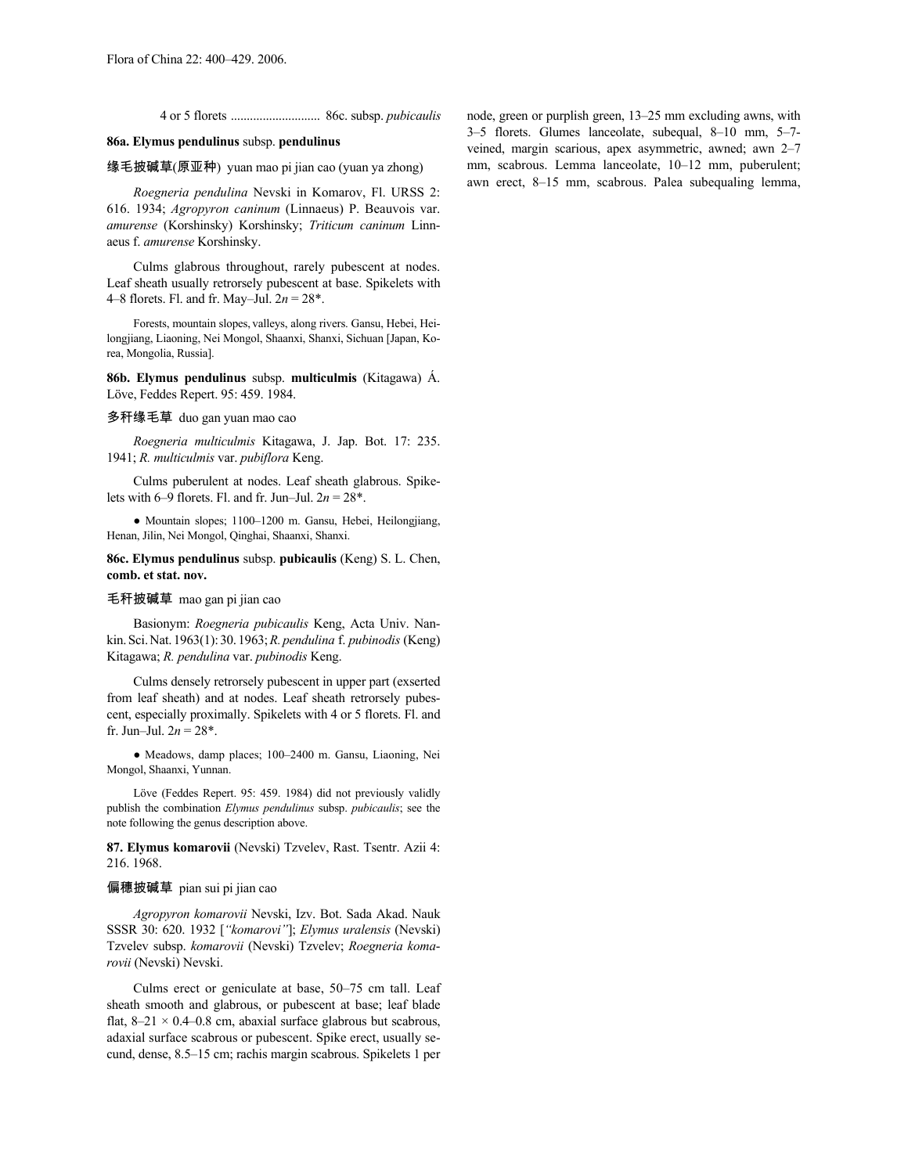4 or 5 florets ............................ 86c. subsp. *pubicaulis*

# **86a. Elymus pendulinus** subsp. **pendulinus**

缘毛披碱草(原亚种) yuan mao pi jian cao (yuan ya zhong)

*Roegneria pendulina* Nevski in Komarov, Fl. URSS 2: 616. 1934; *Agropyron caninum* (Linnaeus) P. Beauvois var. *amurense* (Korshinsky) Korshinsky; *Triticum caninum* Linnaeus f. *amurense* Korshinsky.

Culms glabrous throughout, rarely pubescent at nodes. Leaf sheath usually retrorsely pubescent at base. Spikelets with 4–8 florets. Fl. and fr. May–Jul. 2*n* = 28\*.

Forests, mountain slopes, valleys, along rivers. Gansu, Hebei, Heilongjiang, Liaoning, Nei Mongol, Shaanxi, Shanxi, Sichuan [Japan, Korea, Mongolia, Russia].

**86b. Elymus pendulinus** subsp. **multiculmis** (Kitagawa) Á. Löve, Feddes Repert. 95: 459. 1984.

#### 多秆缘毛草 duo gan yuan mao cao

*Roegneria multiculmis* Kitagawa, J. Jap. Bot. 17: 235. 1941; *R. multiculmis* var. *pubiflora* Keng.

Culms puberulent at nodes. Leaf sheath glabrous. Spikelets with 6–9 florets. Fl. and fr. Jun–Jul.  $2n = 28^*$ .

● Mountain slopes; 1100–1200 m. Gansu, Hebei, Heilongjiang, Henan, Jilin, Nei Mongol, Qinghai, Shaanxi, Shanxi.

**86c. Elymus pendulinus** subsp. **pubicaulis** (Keng) S. L. Chen, **comb. et stat. nov.**

#### 毛秆披碱草 mao gan pi jian cao

Basionym: *Roegneria pubicaulis* Keng, Acta Univ. Nankin.Sci.Nat.1963(1): 30.1963;*R. pendulina* f. *pubinodis* (Keng) Kitagawa; *R. pendulina* var. *pubinodis* Keng.

Culms densely retrorsely pubescent in upper part (exserted from leaf sheath) and at nodes. Leaf sheath retrorsely pubescent, especially proximally. Spikelets with 4 or 5 florets. Fl. and fr. Jun–Jul.  $2n = 28^*$ .

● Meadows, damp places; 100–2400 m. Gansu, Liaoning, Nei Mongol, Shaanxi, Yunnan.

Löve (Feddes Repert. 95: 459. 1984) did not previously validly publish the combination *Elymus pendulinus* subsp. *pubicaulis*; see the note following the genus description above.

# **87. Elymus komarovii** (Nevski) Tzvelev, Rast. Tsentr. Azii 4: 216. 1968.

#### 偏穗披碱草 pian sui pi jian cao

*Agropyron komarovii* Nevski, Izv. Bot. Sada Akad. Nauk SSSR 30: 620. 1932 [*"komarovi"*]; *Elymus uralensis* (Nevski) Tzvelev subsp. *komarovii* (Nevski) Tzvelev; *Roegneria komarovii* (Nevski) Nevski.

Culms erect or geniculate at base, 50–75 cm tall. Leaf sheath smooth and glabrous, or pubescent at base; leaf blade flat,  $8-21 \times 0.4-0.8$  cm, abaxial surface glabrous but scabrous, adaxial surface scabrous or pubescent. Spike erect, usually secund, dense, 8.5–15 cm; rachis margin scabrous. Spikelets 1 per

node, green or purplish green, 13–25 mm excluding awns, with 3–5 florets. Glumes lanceolate, subequal, 8–10 mm, 5–7 veined, margin scarious, apex asymmetric, awned; awn 2–7 mm, scabrous. Lemma lanceolate, 10–12 mm, puberulent; awn erect, 8–15 mm, scabrous. Palea subequaling lemma,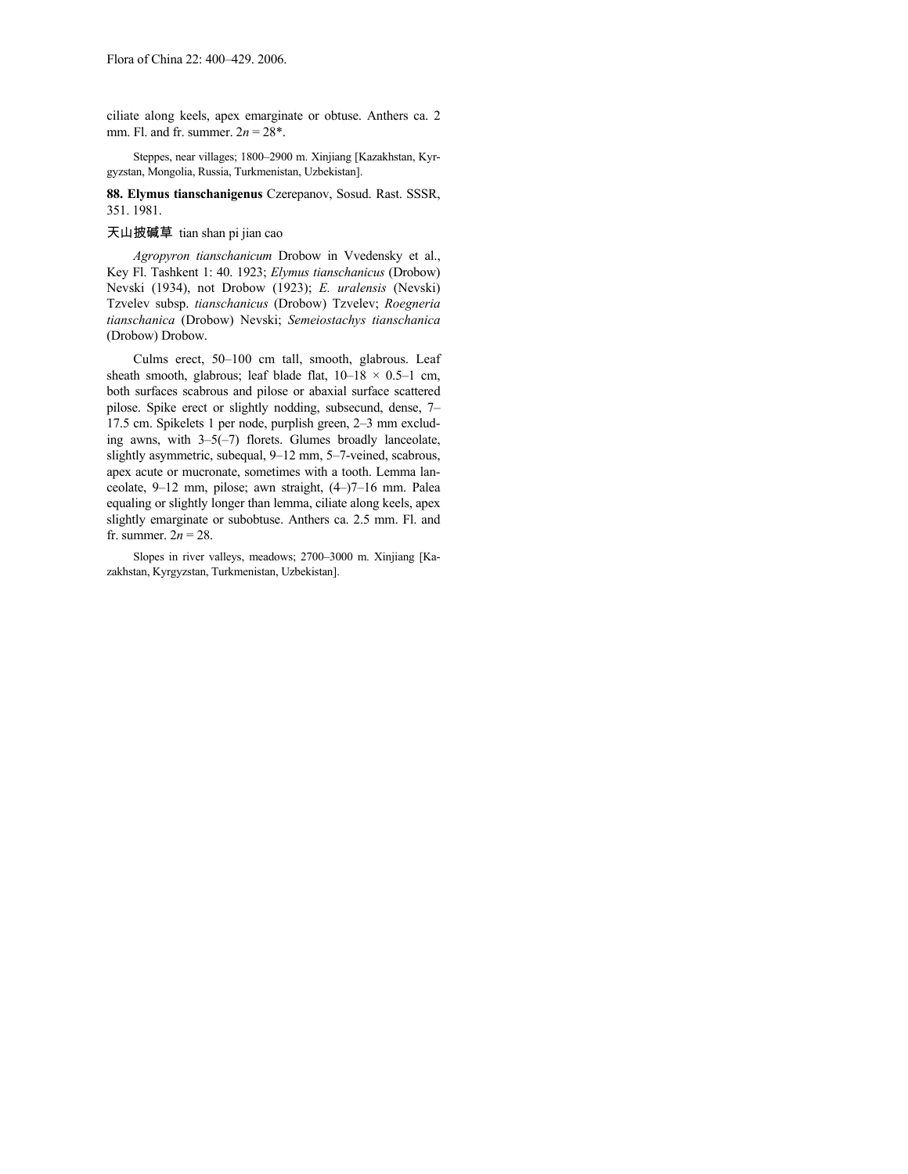ciliate along keels, apex emarginate or obtuse. Anthers ca. 2 mm. Fl. and fr. summer.  $2n = 28^*$ .

Steppes, near villages; 1800–2900 m. Xinjiang [Kazakhstan, Kyrgyzstan, Mongolia, Russia, Turkmenistan, Uzbekistan].

**88. Elymus tianschanigenus** Czerepanov, Sosud. Rast. SSSR, 351. 1981.

# 天山披碱草 tian shan pi jian cao

*Agropyron tianschanicum* Drobow in Vvedensky et al., Key Fl. Tashkent 1: 40. 1923; *Elymus tianschanicus* (Drobow) Nevski (1934), not Drobow (1923); *E. uralensis* (Nevski) Tzvelev subsp. *tianschanicus* (Drobow) Tzvelev; *Roegneria tianschanica* (Drobow) Nevski; *Semeiostachys tianschanica* (Drobow) Drobow.

Culms erect, 50–100 cm tall, smooth, glabrous. Leaf sheath smooth, glabrous; leaf blade flat,  $10-18 \times 0.5-1$  cm, both surfaces scabrous and pilose or abaxial surface scattered pilose. Spike erect or slightly nodding, subsecund, dense, 7– 17.5 cm. Spikelets 1 per node, purplish green, 2–3 mm excluding awns, with 3–5(–7) florets. Glumes broadly lanceolate, slightly asymmetric, subequal, 9–12 mm, 5–7-veined, scabrous, apex acute or mucronate, sometimes with a tooth. Lemma lanceolate, 9–12 mm, pilose; awn straight, (4–)7–16 mm. Palea equaling or slightly longer than lemma, ciliate along keels, apex slightly emarginate or subobtuse. Anthers ca. 2.5 mm. Fl. and fr. summer.  $2n = 28$ .

Slopes in river valleys, meadows; 2700–3000 m. Xinjiang [Kazakhstan, Kyrgyzstan, Turkmenistan, Uzbekistan].